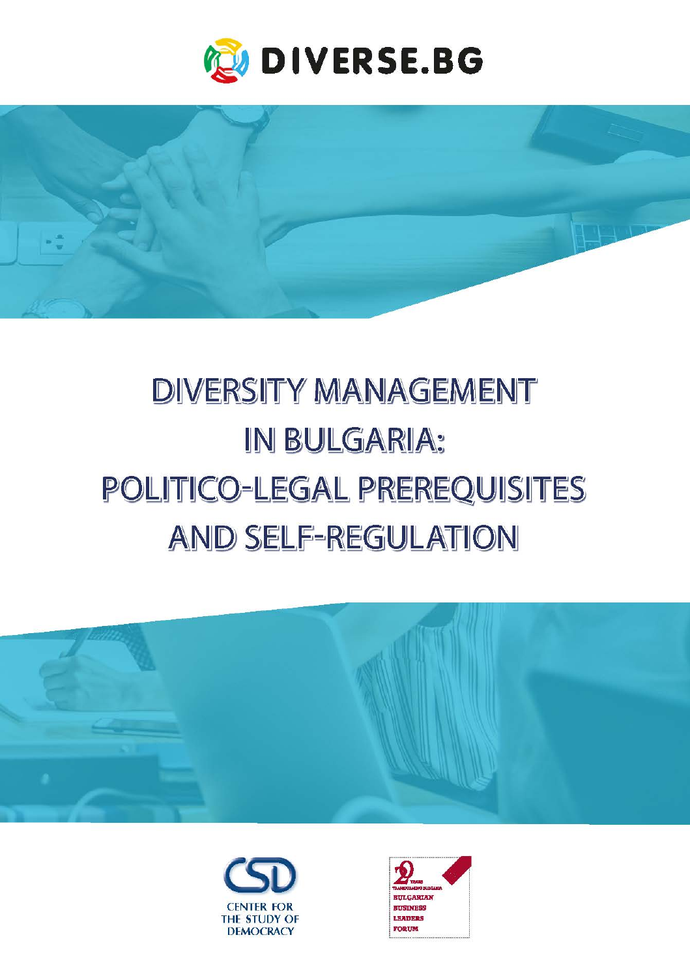



# **DIVERSITY MANAGEMENT** IN BULGARIA: POLITICO-LEGAL PREREQUISITES **AND SELF-REGULATION**





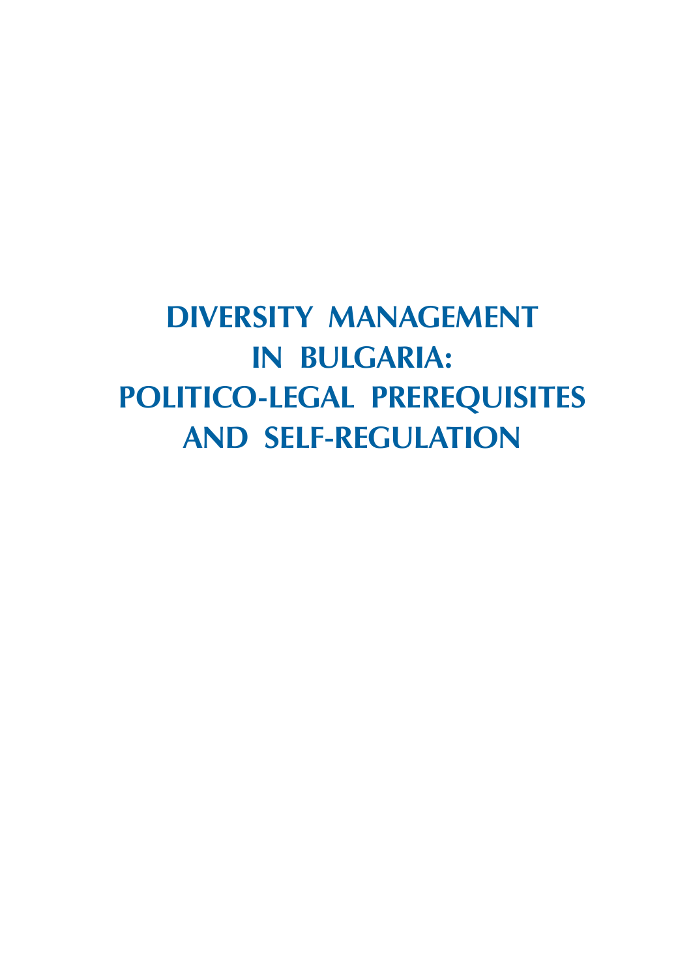## **Diversity Management in Bulgaria: Politico-Legal Prerequisites and Self-Regulation**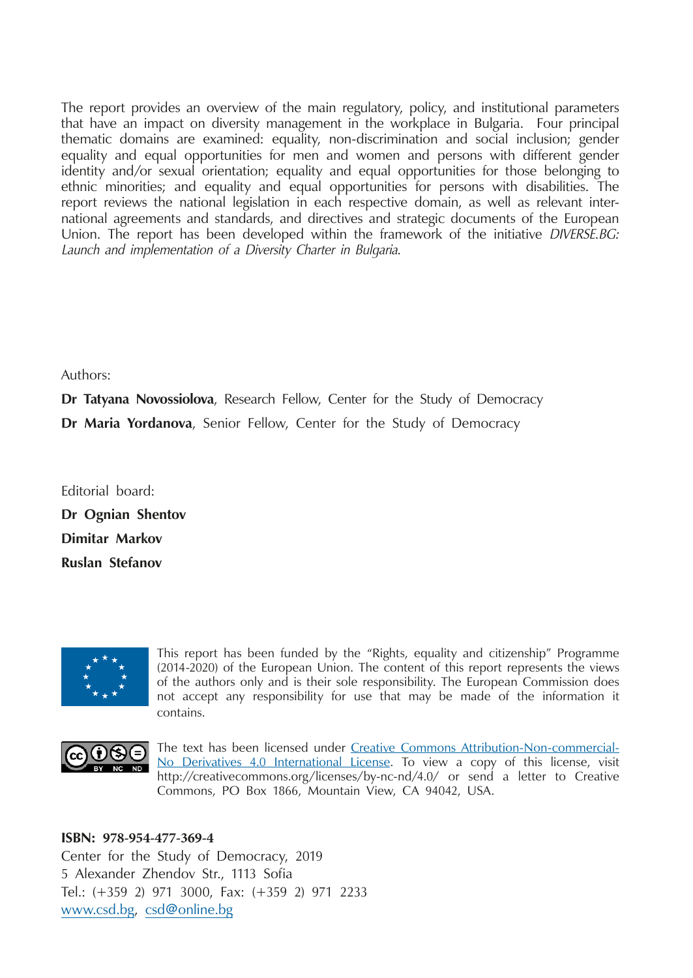The report provides an overview of the main regulatory, policy, and institutional parameters that have an impact on diversity management in the workplace in Bulgaria. Four principal thematic domains are examined: equality, non-discrimination and social inclusion; gender equality and equal opportunities for men and women and persons with different gender identity and/or sexual orientation; equality and equal opportunities for those belonging to ethnic minorities; and equality and equal opportunities for persons with disabilities. The report reviews the national legislation in each respective domain, as well as relevant international agreements and standards, and directives and strategic documents of the European Union. The report has been developed within the framework of the initiative *DIVERSE.BG: Launch and implementation of a Diversity Charter in Bulgaria*.

#### Authors:

**Dr Tatyana Novossiolova**, Research Fellow, Center for the Study of Democracy **Dr Maria Yordanova**, Senior Fellow, Center for the Study of Democracy

Editorial board: **Dr Ognian Shentov Dimitar Markov Ruslan Stefanov**



This report has been funded by the "Rights, equality and citizenship" Programme (2014-2020) of the European Union. The content of this report represents the views of the authors only and is their sole responsibility. The European Commission does not accept any responsibility for use that may be made of the information it contains.



The text has been licensed under [Creative Commons Attribution-Non-commercial-](http://creativecommons.org/licenses/by-nc-nd/4.0/)[No Derivatives 4.0 International License](http://creativecommons.org/licenses/by-nc-nd/4.0/). To view a copy of this license, visit http://creativecommons.org/licenses/by-nc-nd/4.0/ or send a letter to Creative Commons, PO Box 1866, Mountain View, CA 94042, USA.

#### **isBn: 978-954-477-369-4**

Center for the Study of Democracy, 2019 5 Alexander Zhendov Str., 1113 Sofia Tel.: (+359 2) 971 3000, Fax: (+359 2) 971 2233 [www.csd.bg](http://www.csd.bg), [csd@online.bg](mailto:csd@online.bg)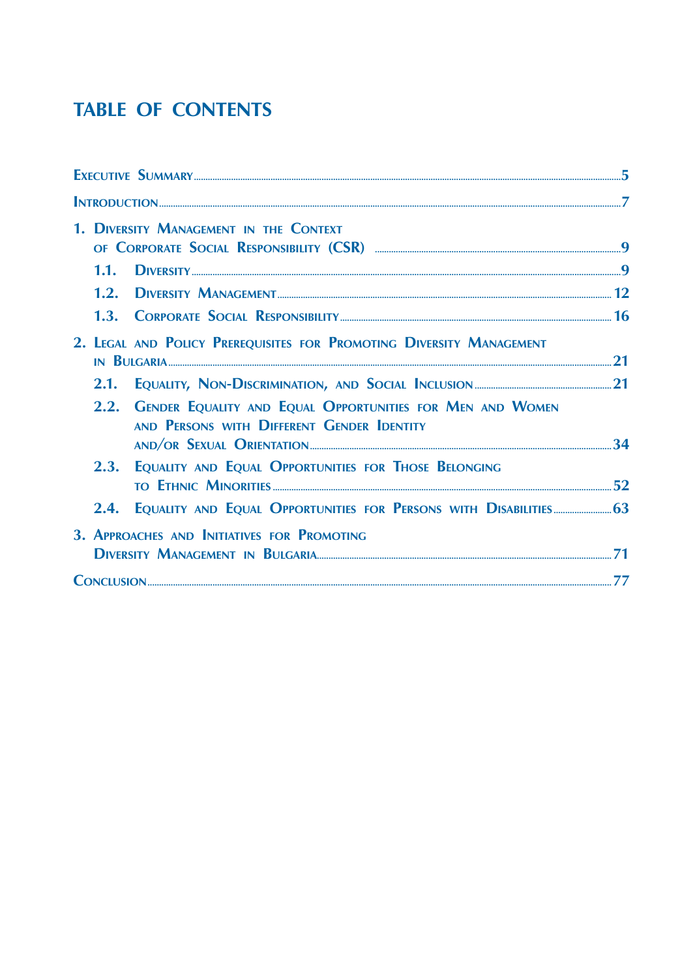## **TABLE OF CONTENTS**

|                                                                      | 1. DIVERSITY MANAGEMENT IN THE CONTEXT                                                                       | 9 |
|----------------------------------------------------------------------|--------------------------------------------------------------------------------------------------------------|---|
|                                                                      |                                                                                                              |   |
|                                                                      |                                                                                                              |   |
|                                                                      |                                                                                                              |   |
| 2. LEGAL AND POLICY PREREQUISITES FOR PROMOTING DIVERSITY MANAGEMENT |                                                                                                              |   |
|                                                                      |                                                                                                              |   |
|                                                                      | 2.2. GENDER EQUALITY AND EQUAL OPPORTUNITIES FOR MEN AND WOMEN<br>AND PERSONS WITH DIFFERENT GENDER IDENTITY |   |
|                                                                      |                                                                                                              |   |
|                                                                      | 2.3. EQUALITY AND EQUAL OPPORTUNITIES FOR THOSE BELONGING                                                    |   |
|                                                                      | 2.4. EQUALITY AND EQUAL OPPORTUNITIES FOR PERSONS WITH DISABILITIES 63                                       |   |
|                                                                      | 3. APPROACHES AND INITIATIVES FOR PROMOTING                                                                  |   |
|                                                                      |                                                                                                              |   |
|                                                                      | <b>CONCLUSION</b>                                                                                            |   |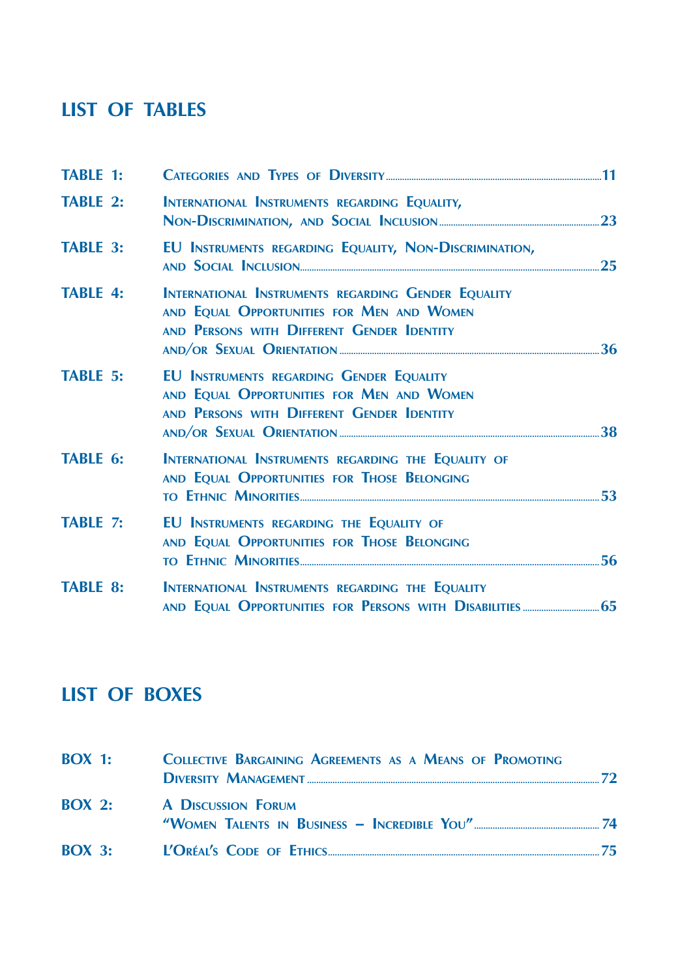## **List of Tables**

| <b>TABLE 1:</b> |                                                                                                                                                |  |
|-----------------|------------------------------------------------------------------------------------------------------------------------------------------------|--|
| <b>TABLE 2:</b> | INTERNATIONAL INSTRUMENTS REGARDING EQUALITY,                                                                                                  |  |
| <b>TABLE 3:</b> | EU INSTRUMENTS REGARDING EQUALITY, NON-DISCRIMINATION,                                                                                         |  |
| <b>TABLE 4:</b> | INTERNATIONAL INSTRUMENTS REGARDING GENDER EQUALITY<br>AND EQUAL OPPORTUNITIES FOR MEN AND WOMEN<br>AND PERSONS WITH DIFFERENT GENDER IDENTITY |  |
| <b>TABLE 5:</b> | EU INSTRUMENTS REGARDING GENDER EQUALITY<br>AND EQUAL OPPORTUNITIES FOR MEN AND WOMEN<br>AND PERSONS WITH DIFFERENT GENDER IDENTITY            |  |
| <b>TABLE 6:</b> | INTERNATIONAL INSTRUMENTS REGARDING THE EQUALITY OF<br>AND EQUAL OPPORTUNITIES FOR THOSE BELONGING                                             |  |
| <b>TABLE 7:</b> | EU INSTRUMENTS REGARDING THE EQUALITY OF<br>AND EQUAL OPPORTUNITIES FOR THOSE BELONGING                                                        |  |
| <b>TABLE 8:</b> | INTERNATIONAL INSTRUMENTS REGARDING THE EQUALITY                                                                                               |  |
|                 |                                                                                                                                                |  |

## **List of Boxes**

| $ROX_1$ :           | <b>COLLECTIVE BARGAINING AGREEMENTS AS A MEANS OF PROMOTING</b> |     |
|---------------------|-----------------------------------------------------------------|-----|
|                     | <b>BOX 2:</b> A DISCUSSION FORUM                                |     |
| $\overline{ROX}$ 3: |                                                                 | 75. |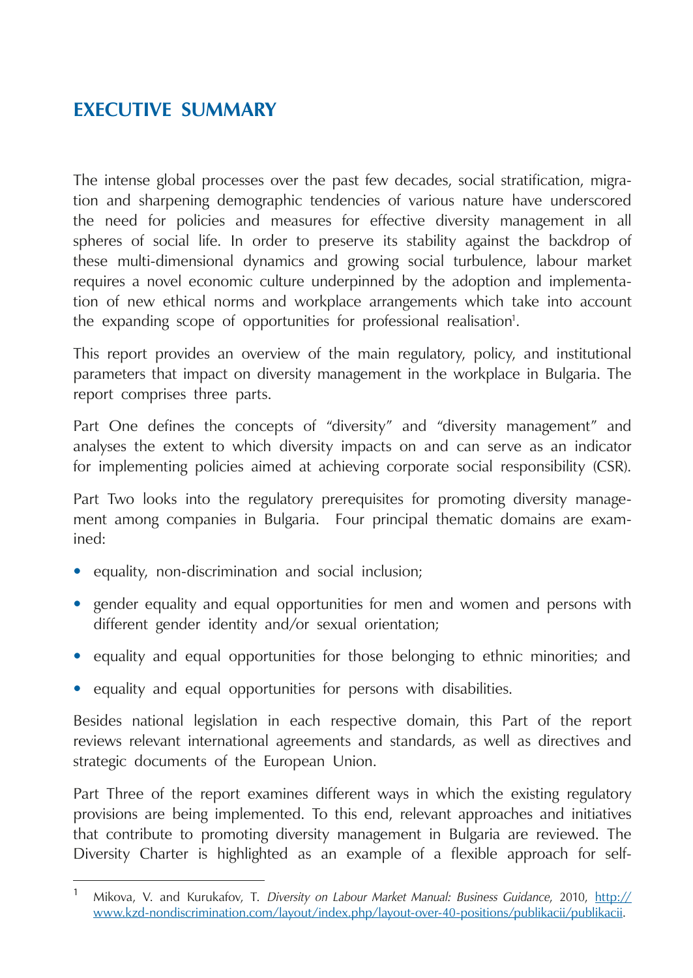## <span id="page-5-0"></span>**Executive Summary**

The intense global processes over the past few decades, social stratification, migration and sharpening demographic tendencies of various nature have underscored the need for policies and measures for effective diversity management in all spheres of social life. In order to preserve its stability against the backdrop of these multi-dimensional dynamics and growing social turbulence, labour market requires a novel economic culture underpinned by the adoption and implementation of new ethical norms and workplace arrangements which take into account the expanding scope of opportunities for professional realisation<sup>1</sup>.

This report provides an overview of the main regulatory, policy, and institutional parameters that impact on diversity management in the workplace in Bulgaria. The report comprises three parts.

Part One defines the concepts of "diversity" and "diversity management" and analyses the extent to which diversity impacts on and can serve as an indicator for implementing policies aimed at achieving corporate social responsibility (CSR).

Part Two looks into the regulatory prerequisites for promoting diversity management among companies in Bulgaria. Four principal thematic domains are examined:

- equality, non-discrimination and social inclusion;
- **•**  gender equality and equal opportunities for men and women and persons with different gender identity and/or sexual orientation;
- **•**  equality and equal opportunities for those belonging to ethnic minorities; and
- equality and equal opportunities for persons with disabilities.

Besides national legislation in each respective domain, this Part of the report reviews relevant international agreements and standards, as well as directives and strategic documents of the European Union.

Part Three of the report examines different ways in which the existing regulatory provisions are being implemented. To this end, relevant approaches and initiatives that contribute to promoting diversity management in Bulgaria are reviewed. The Diversity Charter is highlighted as an example of a flexible approach for self-

<sup>1</sup> Mikova, V. and Kurukafov, T. *Diversity on Labour Market Manual: Business Guidance*, 2010, [http://](http://www.kzd-nondiscrimination.com/layout/index.php/layout-over-40-positions/publikacii/publikacii) [www.kzd-nondiscrimination.com/layout/index.php/layout-over-40-positions/publikacii/publikacii](http://www.kzd-nondiscrimination.com/layout/index.php/layout-over-40-positions/publikacii/publikacii).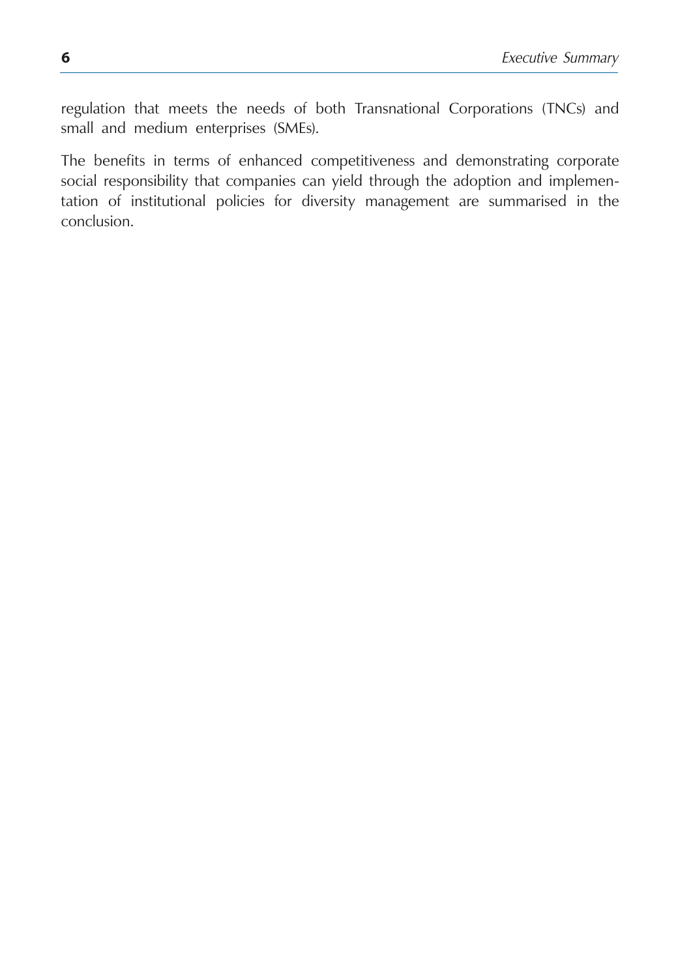regulation that meets the needs of both Transnational Corporations (TNCs) and small and medium enterprises (SMEs).

The benefits in terms of enhanced competitiveness and demonstrating corporate social responsibility that companies can yield through the adoption and implementation of institutional policies for diversity management are summarised in the conclusion.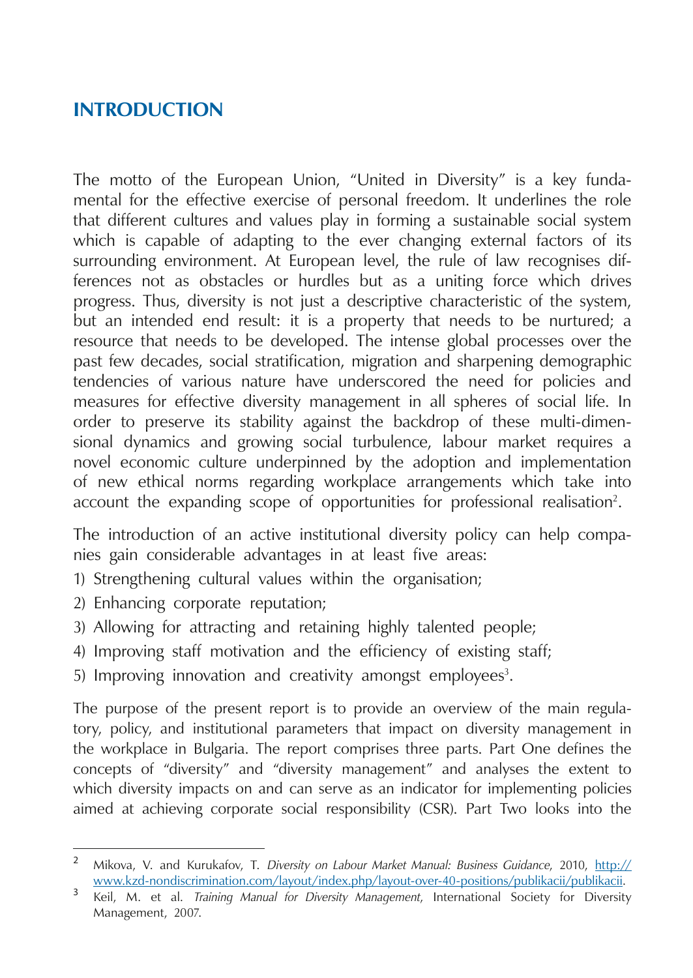### <span id="page-7-0"></span>**Introduction**

The motto of the European Union, "United in Diversity" is a key fundamental for the effective exercise of personal freedom. It underlines the role that different cultures and values play in forming a sustainable social system which is capable of adapting to the ever changing external factors of its surrounding environment. At European level, the rule of law recognises differences not as obstacles or hurdles but as a uniting force which drives progress. Thus, diversity is not just a descriptive characteristic of the system, but an intended end result: it is a property that needs to be nurtured; a resource that needs to be developed. The intense global processes over the past few decades, social stratification, migration and sharpening demographic tendencies of various nature have underscored the need for policies and measures for effective diversity management in all spheres of social life. In order to preserve its stability against the backdrop of these multi-dimensional dynamics and growing social turbulence, labour market requires a novel economic culture underpinned by the adoption and implementation of new ethical norms regarding workplace arrangements which take into account the expanding scope of opportunities for professional realisation<sup>2</sup>.

The introduction of an active institutional diversity policy can help companies gain considerable advantages in at least five areas:

- 1) Strengthening cultural values within the organisation;
- 2) Enhancing corporate reputation;
- 3) Allowing for attracting and retaining highly talented people;
- 4) Improving staff motivation and the efficiency of existing staff;
- 5) Improving innovation and creativity amongst employees<sup>3</sup>.

The purpose of the present report is to provide an overview of the main regulatory, policy, and institutional parameters that impact on diversity management in the workplace in Bulgaria. The report comprises three parts. Part One defines the concepts of "diversity" and "diversity management" and analyses the extent to which diversity impacts on and can serve as an indicator for implementing policies aimed at achieving corporate social responsibility (CSR). Part Two looks into the

<sup>2</sup> Mikova, V. and Kurukafov, T. *Diversity on Labour Market Manual: Business Guidance*, 2010, [http://](http://www.kzd-nondiscrimination.com/layout/index.php/layout-over-40-positions/publikacii/publikacii) [www.kzd-nondiscrimination.com/layout/index.php/layout-over-40-positions/publikacii/publikacii](http://www.kzd-nondiscrimination.com/layout/index.php/layout-over-40-positions/publikacii/publikacii). <sup>3</sup> Keil, M. et al. *Training Manual for Diversity Management*, International Society for Diversity

Management, 2007.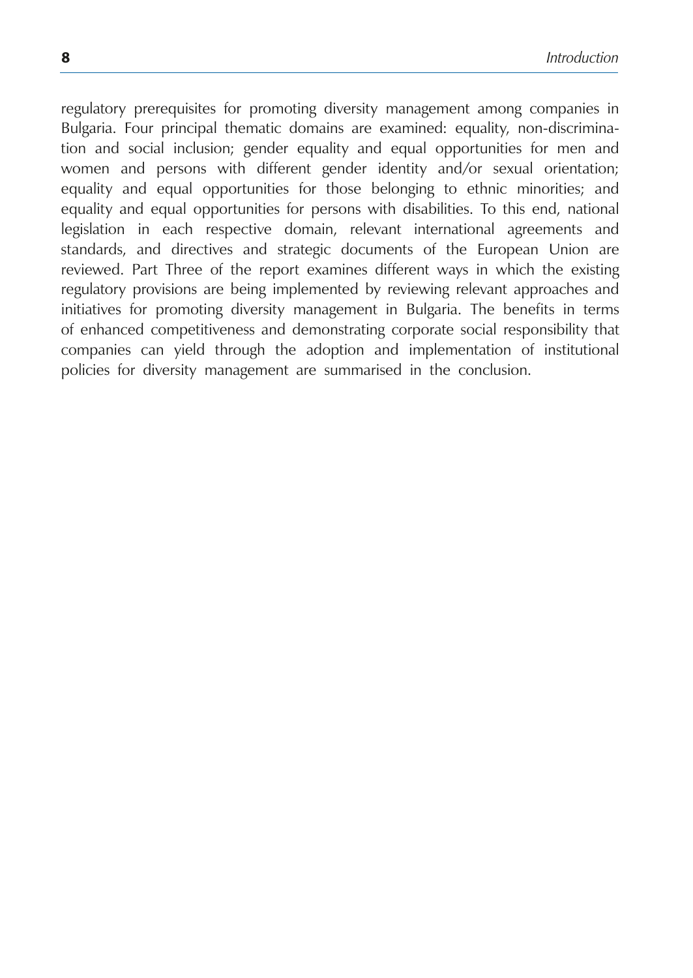regulatory prerequisites for promoting diversity management among companies in Bulgaria. Four principal thematic domains are examined: equality, non-discrimination and social inclusion; gender equality and equal opportunities for men and women and persons with different gender identity and/or sexual orientation; equality and equal opportunities for those belonging to ethnic minorities; and equality and equal opportunities for persons with disabilities. To this end, national legislation in each respective domain, relevant international agreements and standards, and directives and strategic documents of the European Union are reviewed. Part Three of the report examines different ways in which the existing regulatory provisions are being implemented by reviewing relevant approaches and initiatives for promoting diversity management in Bulgaria. The benefits in terms of enhanced competitiveness and demonstrating corporate social responsibility that companies can yield through the adoption and implementation of institutional policies for diversity management are summarised in the conclusion.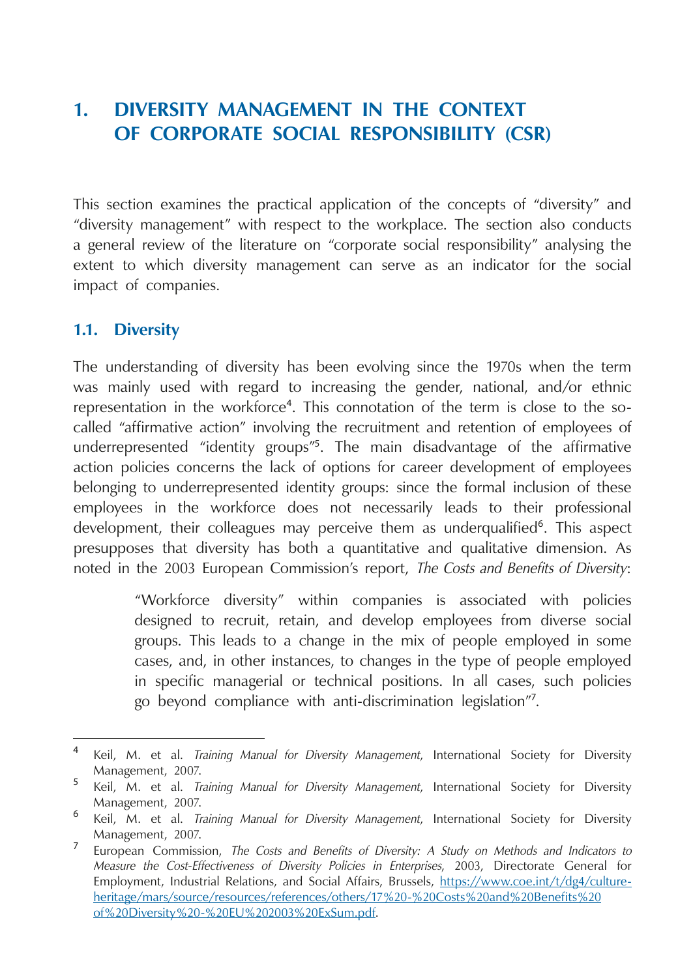## <span id="page-9-0"></span>**1. Diversity Management in the Context of Corporate Social Responsibility (CSR)**

This section examines the practical application of the concepts of "diversity" and "diversity management" with respect to the workplace. The section also conducts a general review of the literature on "corporate social responsibility" analysing the extent to which diversity management can serve as an indicator for the social impact of companies.

#### **1.1. Diversity**

The understanding of diversity has been evolving since the 1970s when the term was mainly used with regard to increasing the gender, national, and/or ethnic representation in the workforce<sup>4</sup>. This connotation of the term is close to the socalled "affirmative action" involving the recruitment and retention of employees of underrepresented "identity groups"<sup>5</sup> . The main disadvantage of the affirmative action policies concerns the lack of options for career development of employees belonging to underrepresented identity groups: since the formal inclusion of these employees in the workforce does not necessarily leads to their professional development, their colleagues may perceive them as underqualified<sup>6</sup>. This aspect presupposes that diversity has both a quantitative and qualitative dimension. As noted in the 2003 European Commission's report, *The Costs and Benefits of Diversity*:

> "Workforce diversity" within companies is associated with policies designed to recruit, retain, and develop employees from diverse social groups. This leads to a change in the mix of people employed in some cases, and, in other instances, to changes in the type of people employed in specific managerial or technical positions. In all cases, such policies go beyond compliance with anti-discrimination legislation"<sup>7</sup> .

<sup>4</sup> Keil, M. et al. *Training Manual for Diversity Management*, International Society for Diversity Management, 2007.

<sup>5</sup> Keil, M. et al. *Training Manual for Diversity Management*, International Society for Diversity Management, 2007.

<sup>6</sup> Keil, M. et al. *Training Manual for Diversity Management*, International Society for Diversity Management, 2007.

<sup>7</sup> European Commission, *The Costs and Benefits of Diversity: A Study on Methods and Indicators to Measure the Cost-Effectiveness of Diversity Policies in Enterprises*, 2003, Directorate General for Employment, Industrial Relations, and Social Affairs, Brussels, [https://www.coe.int/t/dg4/culture](https://www.coe.int/t/dg4/cultureheritage/mars/source/resources/references/others/17 - Costs and Benefits of Diversity - EU 2003 ExSum.pdf)[heritage/mars/source/resources/references/others/17%20-%20Costs%20and%20Benefits%20](https://www.coe.int/t/dg4/cultureheritage/mars/source/resources/references/others/17 - Costs and Benefits of Diversity - EU 2003 ExSum.pdf) [of%20Diversity%20-%20EU%202003%20ExSum.pdf](https://www.coe.int/t/dg4/cultureheritage/mars/source/resources/references/others/17 - Costs and Benefits of Diversity - EU 2003 ExSum.pdf).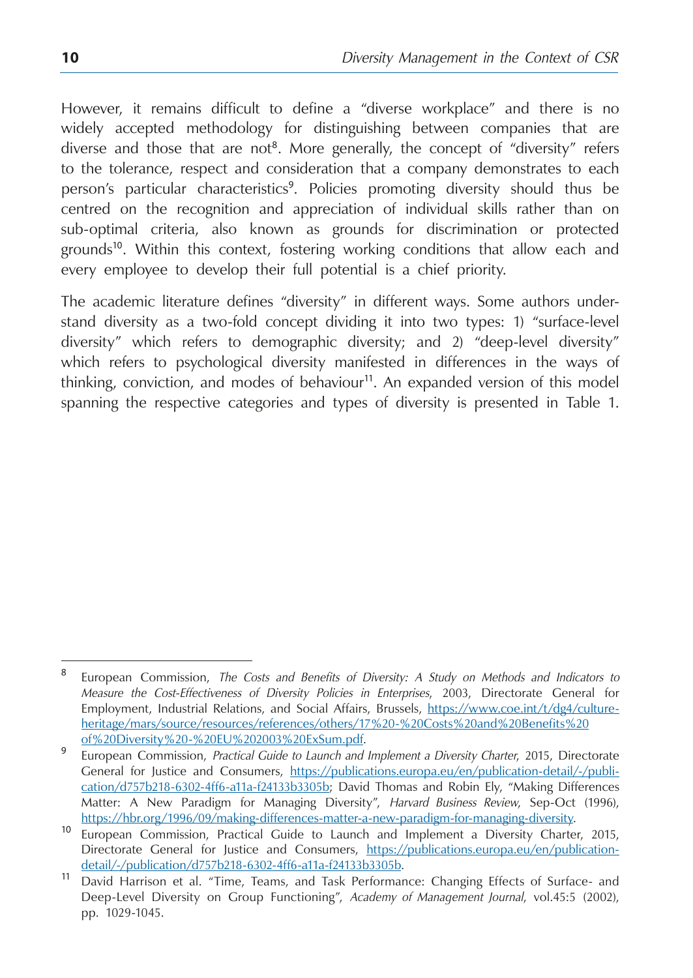However, it remains difficult to define a "diverse workplace" and there is no widely accepted methodology for distinguishing between companies that are diverse and those that are not<sup>8</sup>. More generally, the concept of "diversity" refers to the tolerance, respect and consideration that a company demonstrates to each person's particular characteristics<sup>9</sup>. Policies promoting diversity should thus be centred on the recognition and appreciation of individual skills rather than on sub-optimal criteria, also known as grounds for discrimination or protected  $\gamma$  grounds<sup>10</sup>. Within this context, fostering working conditions that allow each and every employee to develop their full potential is a chief priority.

The academic literature defines "diversity" in different ways. Some authors understand diversity as a two-fold concept dividing it into two types: 1) "surface-level diversity" which refers to demographic diversity; and 2) "deep-level diversity" which refers to psychological diversity manifested in differences in the ways of thinking, conviction, and modes of behaviour $11$ . An expanded version of this model spanning the respective categories and types of diversity is presented in Table 1.

<sup>8</sup> European Commission, *The Costs and Benefits of Diversity: A Study on Methods and Indicators to Measure the Cost-Effectiveness of Diversity Policies in Enterprises*, 2003, Directorate General for Employment, Industrial Relations, and Social Affairs, Brussels, [https://www.coe.int/t/dg4/culture](https://www.coe.int/t/dg4/cultureheritage/mars/source/resources/references/others/17 - Costs and Benefits of Diversity - EU 2003 ExSum.pdf)[heritage/mars/source/resources/references/others/17%20-%20Costs%20and%20Benefits%20](https://www.coe.int/t/dg4/cultureheritage/mars/source/resources/references/others/17 - Costs and Benefits of Diversity - EU 2003 ExSum.pdf)

<sup>&</sup>lt;sup>9</sup> European Commission, *Practical Guide to Launch and Implement a Diversity Charter*, 2015, Directorate General for Justice and Consumers, [https://publications.europa.eu/en/publication-detail/-/publi](https://publications.europa.eu/en/publication-detail/-/publication/d757b218-6302-4ff6-a11a-f24133b3305b)[cation/d757b218-6302-4ff6-a11a-f24133b3305b;](https://publications.europa.eu/en/publication-detail/-/publication/d757b218-6302-4ff6-a11a-f24133b3305b) David Thomas and Robin Ely, "Making Differences Matter: A New Paradigm for Managing Diversity", *Harvard Business Review*, Sep-Oct (1996),

[https://hbr.org/1996/09/making-differences-matter-a-new-paradigm-for-managing-diversity.](https://hbr.org/1996/09/making-differences-matter-a-new-paradigm-for-managing-diversity) <sup>10</sup> European Commission, Practical Guide to Launch and Implement a Diversity Charter, 2015, Directorate General for Justice and Consumers, [https://publications.europa.eu/en/publication](https://publications.europa.eu/en/publication-detail/-/publication/d757b218-6302-4ff6-a11a-f24133b3305b)[detail/-/publication/d757b218-6302-4ff6-a11a-f24133b3305b.](https://publications.europa.eu/en/publication-detail/-/publication/d757b218-6302-4ff6-a11a-f24133b3305b)<br><sup>11</sup> David Harrison et al. "Time, Teams, and Task Performance: Changing Effects of Surface- and

Deep-Level Diversity on Group Functioning", *Academy of Management Journal*, vol.45:5 (2002), pp. 1029-1045.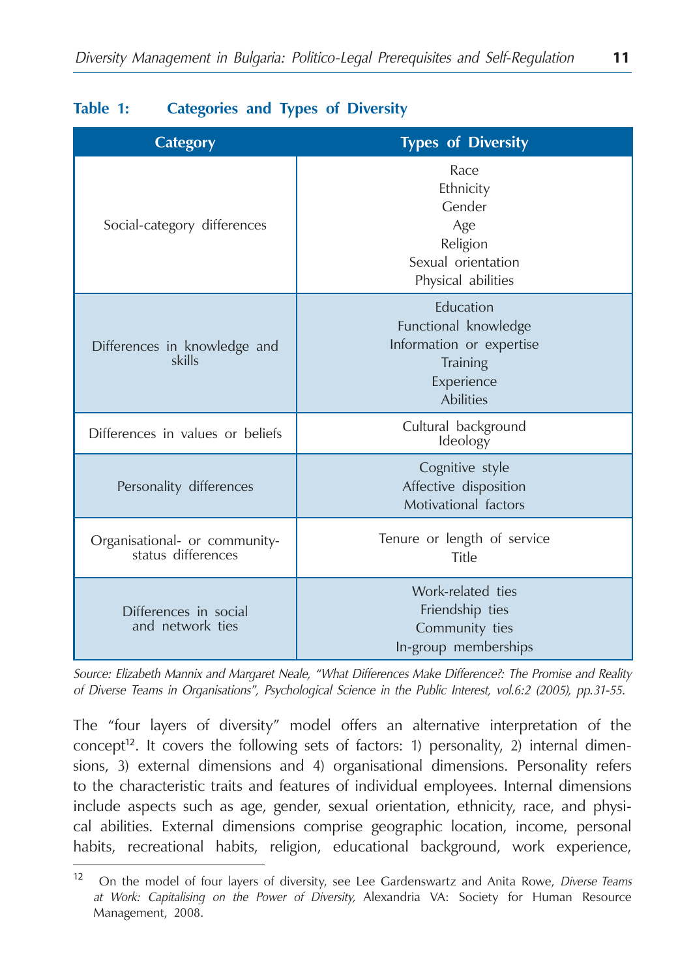| <b>Category</b>                                     | <b>Types of Diversity</b>                                                                                   |  |  |
|-----------------------------------------------------|-------------------------------------------------------------------------------------------------------------|--|--|
| Social-category differences                         | Race<br>Ethnicity<br>Gender<br>Age<br>Religion<br>Sexual orientation<br>Physical abilities                  |  |  |
| Differences in knowledge and<br>skills              | Education<br>Functional knowledge<br>Information or expertise<br>Training<br>Experience<br><b>Abilities</b> |  |  |
| Differences in values or beliefs                    | Cultural background<br>Ideology                                                                             |  |  |
| Personality differences                             | Cognitive style<br>Affective disposition<br>Motivational factors                                            |  |  |
| Organisational- or community-<br>status differences | Tenure or length of service<br>Title                                                                        |  |  |
| Differences in social<br>and network ties           | Work-related ties<br>Friendship ties<br>Community ties<br>In-group memberships                              |  |  |

#### **Table 1: Categories and Types of Diversity**

*Source: Elizabeth Mannix and Margaret Neale, "What Differences Make Difference?: The Promise and Reality of Diverse Teams in Organisations", Psychological Science in the Public Interest, vol.6:2 (2005), pp.31-55.*

The "four layers of diversity" model offers an alternative interpretation of the concept<sup>12</sup>. It covers the following sets of factors: 1) personality, 2) internal dimensions, 3) external dimensions and 4) organisational dimensions. Personality refers to the characteristic traits and features of individual employees. Internal dimensions include aspects such as age, gender, sexual orientation, ethnicity, race, and physical abilities. External dimensions comprise geographic location, income, personal habits, recreational habits, religion, educational background, work experience,

<sup>12</sup> On the model of four layers of diversity, see Lee Gardenswartz and Anita Rowe, *Diverse Teams at Work: Capitalising on the Power of Diversity,* Alexandria VA: Society for Human Resource Management, 2008.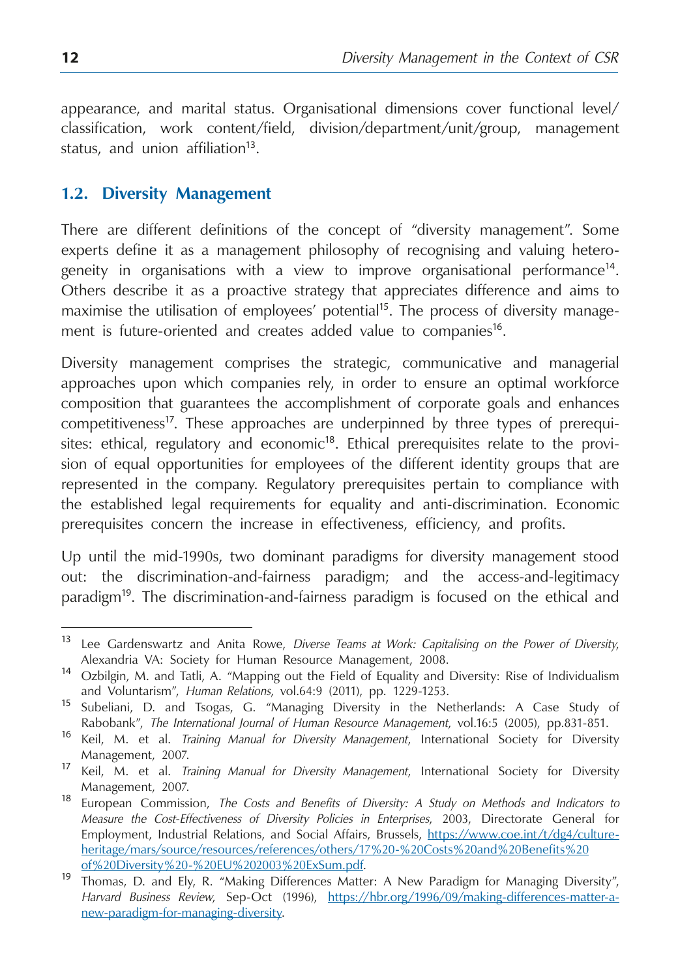<span id="page-12-0"></span>appearance, and marital status. Organisational dimensions cover functional level/ classification, work content/field, division/department/unit/group, management status, and union affiliation<sup>13</sup>.

#### **1.2. Diversity Management**

There are different definitions of the concept of "diversity management". Some experts define it as a management philosophy of recognising and valuing heterogeneity in organisations with a view to improve organisational performance<sup>14</sup>. Others describe it as a proactive strategy that appreciates difference and aims to maximise the utilisation of employees' potential<sup>15</sup>. The process of diversity management is future-oriented and creates added value to companies<sup>16</sup>.

Diversity management comprises the strategic, communicative and managerial approaches upon which companies rely, in order to ensure an optimal workforce composition that guarantees the accomplishment of corporate goals and enhances competitiveness<sup>17</sup>. These approaches are underpinned by three types of prerequisites: ethical, regulatory and economic $18$ . Ethical prerequisites relate to the provision of equal opportunities for employees of the different identity groups that are represented in the company. Regulatory prerequisites pertain to compliance with the established legal requirements for equality and anti-discrimination. Economic prerequisites concern the increase in effectiveness, efficiency, and profits.

Up until the mid-1990s, two dominant paradigms for diversity management stood out: the discrimination-and-fairness paradigm; and the access-and-legitimacy paradigm<sup>19</sup>. The discrimination-and-fairness paradigm is focused on the ethical and

<sup>13</sup> Lee Gardenswartz and Anita Rowe, *Diverse Teams at Work: Capitalising on the Power of Diversity*, Alexandria VA: Society for Human Resource Management, 2008.

<sup>14</sup> Ozbilgin, M. and Tatli, A. "Mapping out the Field of Equality and Diversity: Rise of Individualism and Voluntarism", *Human Relations*, vol.64:9 (2011), pp. 1229-1253.

<sup>15</sup> Subeliani, D. and Tsogas, G. "Managing Diversity in the Netherlands: A Case Study of Rabobank", *The International Journal of Human Resource Management*, vol.16:5 (2005), pp.831-851.

<sup>16</sup> Keil, M. et al. *Training Manual for Diversity Management*, International Society for Diversity Management, 2007.

<sup>17</sup> Keil, M. et al. *Training Manual for Diversity Management*, International Society for Diversity Management, 2007.

<sup>18</sup> European Commission, *The Costs and Benefits of Diversity: A Study on Methods and Indicators to Measure the Cost-Effectiveness of Diversity Policies in Enterprises*, 2003, Directorate General for Employment, Industrial Relations, and Social Affairs, Brussels, [https://www.coe.int/t/dg4/culture](https://www.coe.int/t/dg4/cultureheritage/mars/source/resources/references/others/17 - Costs and Benefits of Diversity - EU 2003 ExSum.pdf)[heritage/mars/source/resources/references/others/17%20-%20Costs%20and%20Benefits%20](https://www.coe.int/t/dg4/cultureheritage/mars/source/resources/references/others/17 - Costs and Benefits of Diversity - EU 2003 ExSum.pdf)

[of%20Diversity%20-%20EU%202003%20ExSum.pdf.](https://www.coe.int/t/dg4/cultureheritage/mars/source/resources/references/others/17 - Costs and Benefits of Diversity - EU 2003 ExSum.pdf) <sup>19</sup> Thomas, D. and Ely, R. "Making Differences Matter: A New Paradigm for Managing Diversity", *Harvard Business Review*, Sep-Oct (1996), [https://hbr.org/1996/09/making-differences-matter-a](https://hbr.org/1996/09/making-differences-matter-a-new-paradigm-for-managing-diversity)[new-paradigm-for-managing-diversity.](https://hbr.org/1996/09/making-differences-matter-a-new-paradigm-for-managing-diversity)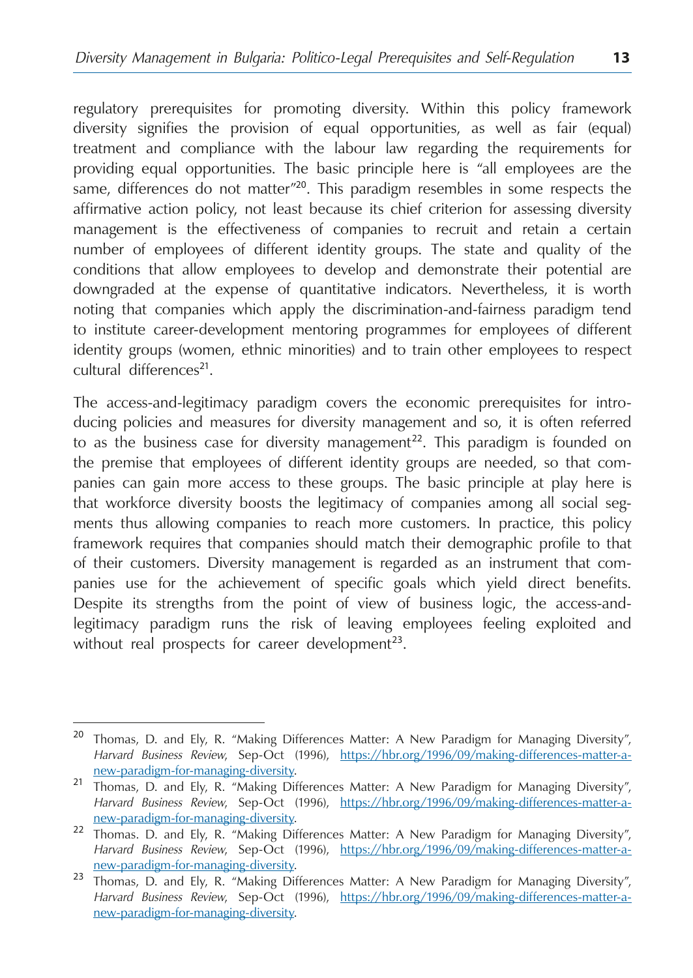regulatory prerequisites for promoting diversity. Within this policy framework diversity signifies the provision of equal opportunities, as well as fair (equal) treatment and compliance with the labour law regarding the requirements for providing equal opportunities. The basic principle here is "all employees are the same, differences do not matter<sup>"20</sup>. This paradigm resembles in some respects the affirmative action policy, not least because its chief criterion for assessing diversity management is the effectiveness of companies to recruit and retain a certain number of employees of different identity groups. The state and quality of the conditions that allow employees to develop and demonstrate their potential are downgraded at the expense of quantitative indicators. Nevertheless, it is worth noting that companies which apply the discrimination-and-fairness paradigm tend to institute career-development mentoring programmes for employees of different identity groups (women, ethnic minorities) and to train other employees to respect cultural differences<sup>21</sup>.

The access-and-legitimacy paradigm covers the economic prerequisites for introducing policies and measures for diversity management and so, it is often referred to as the business case for diversity management<sup>22</sup>. This paradigm is founded on the premise that employees of different identity groups are needed, so that companies can gain more access to these groups. The basic principle at play here is that workforce diversity boosts the legitimacy of companies among all social segments thus allowing companies to reach more customers. In practice, this policy framework requires that companies should match their demographic profile to that of their customers. Diversity management is regarded as an instrument that companies use for the achievement of specific goals which yield direct benefits. Despite its strengths from the point of view of business logic, the access-andlegitimacy paradigm runs the risk of leaving employees feeling exploited and without real prospects for career development<sup>23</sup>.

<sup>&</sup>lt;sup>20</sup> Thomas, D. and Ely, R. "Making Differences Matter: A New Paradigm for Managing Diversity", *Harvard Business Review*, Sep-Oct (1996), [https://hbr.org/1996/09/making-differences-matter-a-](https://hbr.org/1996/09/making-differences-matter-a-new-paradigm-for-managing-diversity)

[new-paradigm-for-managing-diversity](https://hbr.org/1996/09/making-differences-matter-a-new-paradigm-for-managing-diversity). <sup>21</sup> Thomas, D. and Ely, R. "Making Differences Matter: A New Paradigm for Managing Diversity", *Harvard Business Review*, Sep-Oct (1996), [https://hbr.org/1996/09/making-differences-matter-a-](https://hbr.org/1996/09/making-differences-matter-a-new-paradigm-for-managing-diversity)

[new-paradigm-for-managing-diversity](https://hbr.org/1996/09/making-differences-matter-a-new-paradigm-for-managing-diversity). <sup>22</sup> Thomas. D. and Ely, R. "Making Differences Matter: A New Paradigm for Managing Diversity", *Harvard Business Review*, Sep-Oct (1996), [https://hbr.org/1996/09/making-differences-matter-a-](https://hbr.org/1996/09/making-differences-matter-a-new-paradigm-for-managing-diversity)

[new-paradigm-for-managing-diversity](https://hbr.org/1996/09/making-differences-matter-a-new-paradigm-for-managing-diversity). <sup>23</sup> Thomas, D. and Ely, R. "Making Differences Matter: A New Paradigm for Managing Diversity", *Harvard Business Review*, Sep-Oct (1996), [https://hbr.org/1996/09/making-differences-matter-a](https://hbr.org/1996/09/making-differences-matter-a-new-paradigm-for-managing-diversity)[new-paradigm-for-managing-diversity](https://hbr.org/1996/09/making-differences-matter-a-new-paradigm-for-managing-diversity).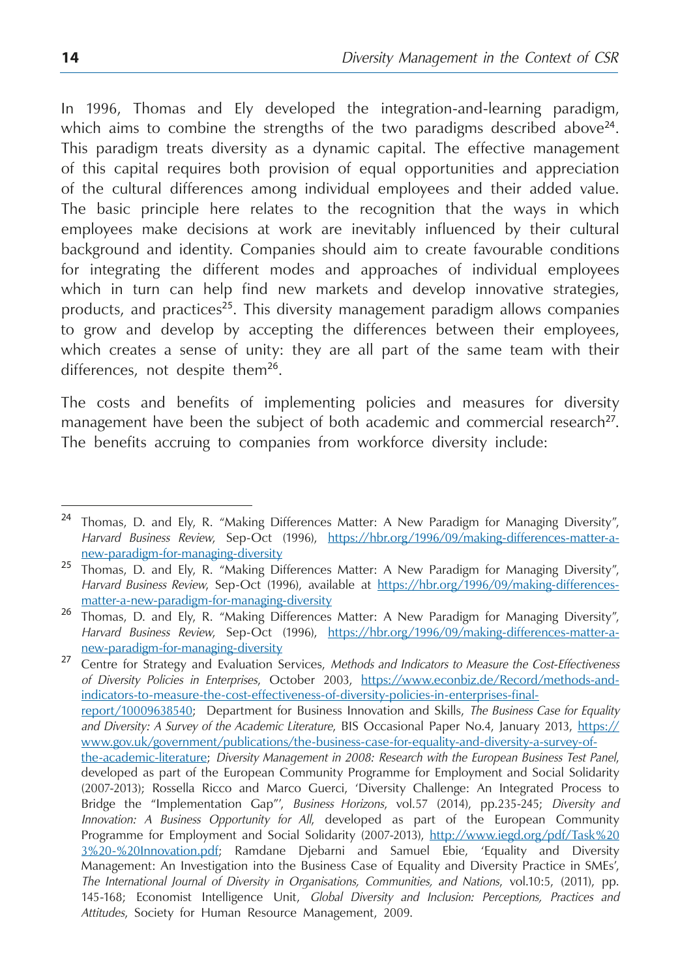In 1996, Thomas and Ely developed the integration-and-learning paradigm, which aims to combine the strengths of the two paradigms described above<sup>24</sup>. This paradigm treats diversity as a dynamic capital. The effective management of this capital requires both provision of equal opportunities and appreciation of the cultural differences among individual employees and their added value. The basic principle here relates to the recognition that the ways in which employees make decisions at work are inevitably influenced by their cultural background and identity. Companies should aim to create favourable conditions for integrating the different modes and approaches of individual employees which in turn can help find new markets and develop innovative strategies, products, and practices<sup>25</sup>. This diversity management paradigm allows companies to grow and develop by accepting the differences between their employees, which creates a sense of unity: they are all part of the same team with their differences, not despite them<sup>26</sup>.

The costs and benefits of implementing policies and measures for diversity management have been the subject of both academic and commercial research<sup>27</sup>. The benefits accruing to companies from workforce diversity include:

<sup>&</sup>lt;sup>24</sup> Thomas, D. and Ely, R. "Making Differences Matter: A New Paradigm for Managing Diversity", *Harvard Business Review*, Sep-Oct (1996), [https://hbr.org/1996/09/making-differences-matter-a](https://hbr.org/1996/09/making-differences-matter-a-new-paradigm-for-managing-diversity)[new-paradigm-for-managing-diversity](https://hbr.org/1996/09/making-differences-matter-a-new-paradigm-for-managing-diversity)

<sup>&</sup>lt;sup>25</sup> Thomas, D. and Ely, R. "Making Differences Matter: A New Paradigm for Managing Diversity", *Harvard Business Review*, Sep-Oct (1996), available at [https://hbr.org/1996/09/making-differences](https://hbr.org/1996/09/making-differences-matter-a-new-paradigm-for-managing-diversity)[matter-a-new-paradigm-for-managing-diversity](https://hbr.org/1996/09/making-differences-matter-a-new-paradigm-for-managing-diversity)

<sup>26</sup> Thomas, D. and Ely, R. "Making Differences Matter: A New Paradigm for Managing Diversity", *Harvard Business Review*, Sep-Oct (1996), [https://hbr.org/1996/09/making-differences-matter-a](https://hbr.org/1996/09/making-differences-matter-a-new-paradigm-for-managing-diversity)[new-paradigm-for-managing-diversity](https://hbr.org/1996/09/making-differences-matter-a-new-paradigm-for-managing-diversity)

<sup>27</sup> Centre for Strategy and Evaluation Services, *Methods and Indicators to Measure the Cost-Effectiveness of Diversity Policies in Enterprises*, October 2003, [https://www.econbiz.de/Record/methods-and](https://www.econbiz.de/Record/methods-and-indicators-to-measure-the-cost-effectiveness-of-diversity-policies-in-enterprises-final-report/10009638540)[indicators-to-measure-the-cost-effectiveness-of-diversity-policies-in-enterprises-final](https://www.econbiz.de/Record/methods-and-indicators-to-measure-the-cost-effectiveness-of-diversity-policies-in-enterprises-final-report/10009638540)[report/10009638540;](https://www.econbiz.de/Record/methods-and-indicators-to-measure-the-cost-effectiveness-of-diversity-policies-in-enterprises-final-report/10009638540) Department for Business Innovation and Skills, *The Business Case for Equality and Diversity: A Survey of the Academic Literature*, BIS Occasional Paper No.4, January 2013, [https://](https://www.gov.uk/government/publications/the-business-case-for-equality-and-diversity-a-survey-of-the-academic-literature) [www.gov.uk/government/publications/the-business-case-for-equality-and-diversity-a-survey-of](https://www.gov.uk/government/publications/the-business-case-for-equality-and-diversity-a-survey-of-the-academic-literature)[the-academic-literature;](https://www.gov.uk/government/publications/the-business-case-for-equality-and-diversity-a-survey-of-the-academic-literature) *Diversity Management in 2008: Research with the European Business Test Panel*, developed as part of the European Community Programme for Employment and Social Solidarity (2007-2013); Rossella Ricco and Marco Guerci, 'Diversity Challenge: An Integrated Process to Bridge the "Implementation Gap"', *Business Horizons*, vol.57 (2014), pp.235-245; *Diversity and Innovation: A Business Opportunity for All*, developed as part of the European Community Programme for Employment and Social Solidarity (2007-2013), [http://www.iegd.org/pdf/Task%20](http://www.iegd.org/pdf/Task 3 - Innovation.pdf) [3%20-%20Innovation.pdf;](http://www.iegd.org/pdf/Task 3 - Innovation.pdf) Ramdane Djebarni and Samuel Ebie, 'Equality and Diversity Management: An Investigation into the Business Case of Equality and Diversity Practice in SMEs', *The International Journal of Diversity in Organisations, Communities, and Nations*, vol.10:5, (2011), pp. 145-168; Economist Intelligence Unit, *Global Diversity and Inclusion: Perceptions, Practices and Attitudes*, Society for Human Resource Management, 2009.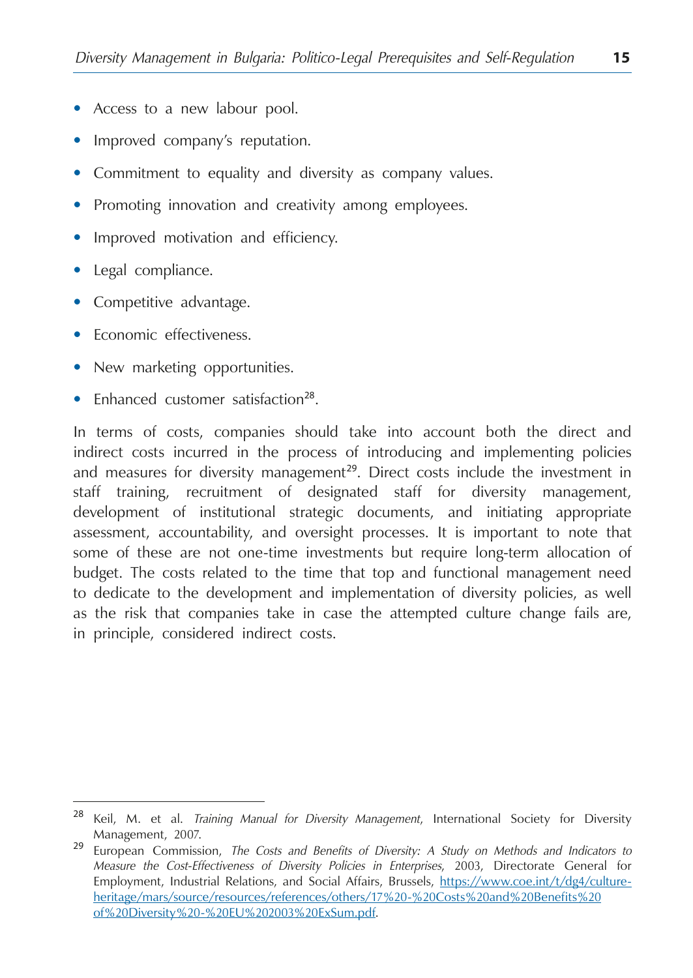- Access to a new labour pool.
- Improved company's reputation.
- Commitment to equality and diversity as company values.
- Promoting innovation and creativity among employees.
- Improved motivation and efficiency.
- **•**  Legal compliance.
- Competitive advantage.
- **•**  Economic effectiveness.
- New marketing opportunities.
- Enhanced customer satisfaction<sup>28</sup>.

In terms of costs, companies should take into account both the direct and indirect costs incurred in the process of introducing and implementing policies and measures for diversity management<sup>29</sup>. Direct costs include the investment in staff training, recruitment of designated staff for diversity management, development of institutional strategic documents, and initiating appropriate assessment, accountability, and oversight processes. It is important to note that some of these are not one-time investments but require long-term allocation of budget. The costs related to the time that top and functional management need to dedicate to the development and implementation of diversity policies, as well as the risk that companies take in case the attempted culture change fails are, in principle, considered indirect costs.

<sup>28</sup> Keil, M. et al. *Training Manual for Diversity Management*, International Society for Diversity Management, 2007.

<sup>29</sup> European Commission, *The Costs and Benefits of Diversity: A Study on Methods and Indicators to Measure the Cost-Effectiveness of Diversity Policies in Enterprises*, 2003, Directorate General for Employment, Industrial Relations, and Social Affairs, Brussels, [https://www.coe.int/t/dg4/culture](https://www.coe.int/t/dg4/cultureheritage/mars/source/resources/references/others/17 - Costs and Benefits of Diversity - EU 2003 ExSum.pdf)[heritage/mars/source/resources/references/others/17%20-%20Costs%20and%20Benefits%20](https://www.coe.int/t/dg4/cultureheritage/mars/source/resources/references/others/17 - Costs and Benefits of Diversity - EU 2003 ExSum.pdf) [of%20Diversity%20-%20EU%202003%20ExSum.pdf](https://www.coe.int/t/dg4/cultureheritage/mars/source/resources/references/others/17 - Costs and Benefits of Diversity - EU 2003 ExSum.pdf).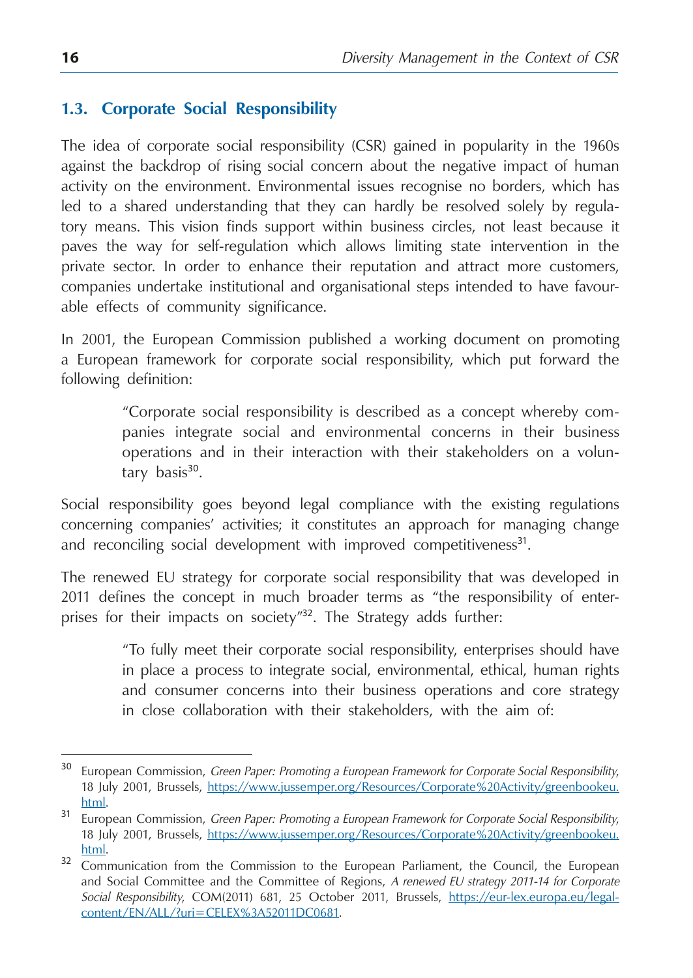#### <span id="page-16-0"></span>**1.3. Corporate Social Responsibility**

The idea of corporate social responsibility (CSR) gained in popularity in the 1960s against the backdrop of rising social concern about the negative impact of human activity on the environment. Environmental issues recognise no borders, which has led to a shared understanding that they can hardly be resolved solely by regulatory means. This vision finds support within business circles, not least because it paves the way for self-regulation which allows limiting state intervention in the private sector. In order to enhance their reputation and attract more customers, companies undertake institutional and organisational steps intended to have favourable effects of community significance.

In 2001, the European Commission published a working document on promoting a European framework for corporate social responsibility, which put forward the following definition:

> "Corporate social responsibility is described as a concept whereby companies integrate social and environmental concerns in their business operations and in their interaction with their stakeholders on a voluntary basis $30$ .

Social responsibility goes beyond legal compliance with the existing regulations concerning companies' activities; it constitutes an approach for managing change and reconciling social development with improved competitiveness<sup>31</sup>.

The renewed EU strategy for corporate social responsibility that was developed in 2011 defines the concept in much broader terms as "the responsibility of enterprises for their impacts on society"<sup>32</sup>. The Strategy adds further:

> "To fully meet their corporate social responsibility, enterprises should have in place a process to integrate social, environmental, ethical, human rights and consumer concerns into their business operations and core strategy in close collaboration with their stakeholders, with the aim of:

<sup>30</sup> European Commission, *Green Paper: Promoting a European Framework for Corporate Social Responsibility*, 18 July 2001, Brussels, [https://www.jussemper.org/Resources/Corporate%20Activity/greenbookeu.](https://www.jussemper.org/Resources/Corporate Activity/greenbookeu.html)

[html](https://www.jussemper.org/Resources/Corporate Activity/greenbookeu.html). <sup>31</sup> European Commission, *Green Paper: Promoting a European Framework for Corporate Social Responsibility*, 18 July 2001, Brussels, [https://www.jussemper.org/Resources/Corporate%20Activity/greenbookeu.](https://www.jussemper.org/Resources/Corporate Activity/greenbookeu.html)

[html](https://www.jussemper.org/Resources/Corporate Activity/greenbookeu.html).<br>32 Communication from the Commission to the European Parliament, the Council, the European and Social Committee and the Committee of Regions, *A renewed EU strategy 2011-14 for Corporate Social Responsibility*, COM(2011) 681, 25 October 2011, Brussels, [https://eur-lex.europa.eu/legal](https://eur-lex.europa.eu/legal-content/EN/ALL/?uri=CELEX%3A52011DC0681)[content/EN/ALL/?uri=CELEX%3A52011DC0681.](https://eur-lex.europa.eu/legal-content/EN/ALL/?uri=CELEX%3A52011DC0681)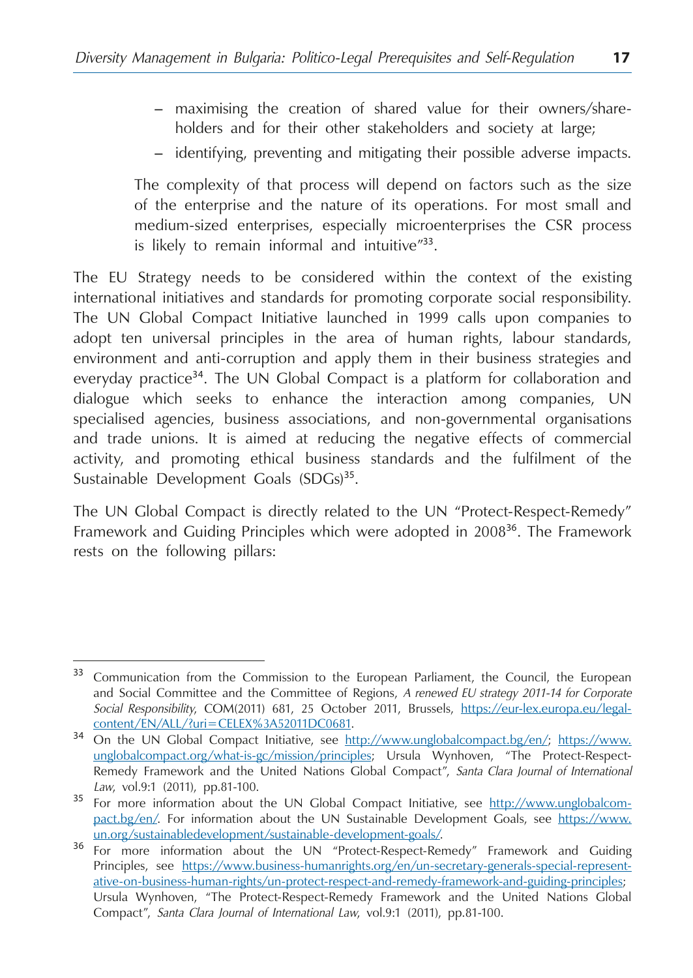- maximising the creation of shared value for their owners/shareholders and for their other stakeholders and society at large;
- identifying, preventing and mitigating their possible adverse impacts.

The complexity of that process will depend on factors such as the size of the enterprise and the nature of its operations. For most small and medium-sized enterprises, especially microenterprises the CSR process is likely to remain informal and intuitive"33.

The EU Strategy needs to be considered within the context of the existing international initiatives and standards for promoting corporate social responsibility. The UN Global Compact Initiative launched in 1999 calls upon companies to adopt ten universal principles in the area of human rights, labour standards, environment and anti-corruption and apply them in their business strategies and everyday practice<sup>34</sup>. The UN Global Compact is a platform for collaboration and dialogue which seeks to enhance the interaction among companies, UN specialised agencies, business associations, and non-governmental organisations and trade unions. It is aimed at reducing the negative effects of commercial activity, and promoting ethical business standards and the fulfilment of the Sustainable Development Goals (SDGs)<sup>35</sup>.

The UN Global Compact is directly related to the UN "Protect-Respect-Remedy" Framework and Guiding Principles which were adopted in 2008<sup>36</sup>. The Framework rests on the following pillars:

<sup>&</sup>lt;sup>33</sup> Communication from the Commission to the European Parliament, the Council, the European and Social Committee and the Committee of Regions, *A renewed EU strategy 2011-14 for Corporate Social Responsibility*, COM(2011) 681, 25 October 2011, Brussels, [https://eur-lex.europa.eu/legal-](https://eur-lex.europa.eu/legal-content/EN/ALL/?uri=CELEX%3A52011DC0681)

[content/EN/ALL/?uri=CELEX%3A52011DC0681](https://eur-lex.europa.eu/legal-content/EN/ALL/?uri=CELEX%3A52011DC0681). <sup>34</sup> On the UN Global Compact Initiative, see http://www.unglobalcompact.bg/en/; [https://www.](https://www.unglobalcompact.org/what-is-gc/mission/principles) [unglobalcompact.org/what-is-gc/mission/principles](https://www.unglobalcompact.org/what-is-gc/mission/principles); Ursula Wynhoven, "The Protect-Respect-Remedy Framework and the United Nations Global Compact", *Santa Clara Journal of International Law*, vol.9:1 (2011), pp.81-100.

<sup>&</sup>lt;sup>35</sup> For more information about the UN Global Compact Initiative, see http://www.unglobalcompact.bg/en/. For information about the UN Sustainable Development Goals, see [https://www.](https://www.un.org/sustainabledevelopment/sustainable-development-goals/)<br>un.org/sustainabledevelopment/sustainable-development-goals/.

<sup>&</sup>lt;sup>36</sup> For more information about the UN "Protect-Respect-Remedy" Framework and Guiding Principles, see [https://www.business-humanrights.org/en/un-secretary-generals-special-represent](https://www.business-humanrights.org/en/un-secretary-generals-special-representative-on-business-human-rights/un-protect-respect-and-remedy-framework-and-guiding-principles)[ative-on-business-human-rights/un-protect-respect-and-remedy-framework-and-guiding-principles;](https://www.business-humanrights.org/en/un-secretary-generals-special-representative-on-business-human-rights/un-protect-respect-and-remedy-framework-and-guiding-principles) Ursula Wynhoven, "The Protect-Respect-Remedy Framework and the United Nations Global Compact", *Santa Clara Journal of International Law*, vol.9:1 (2011), pp.81-100.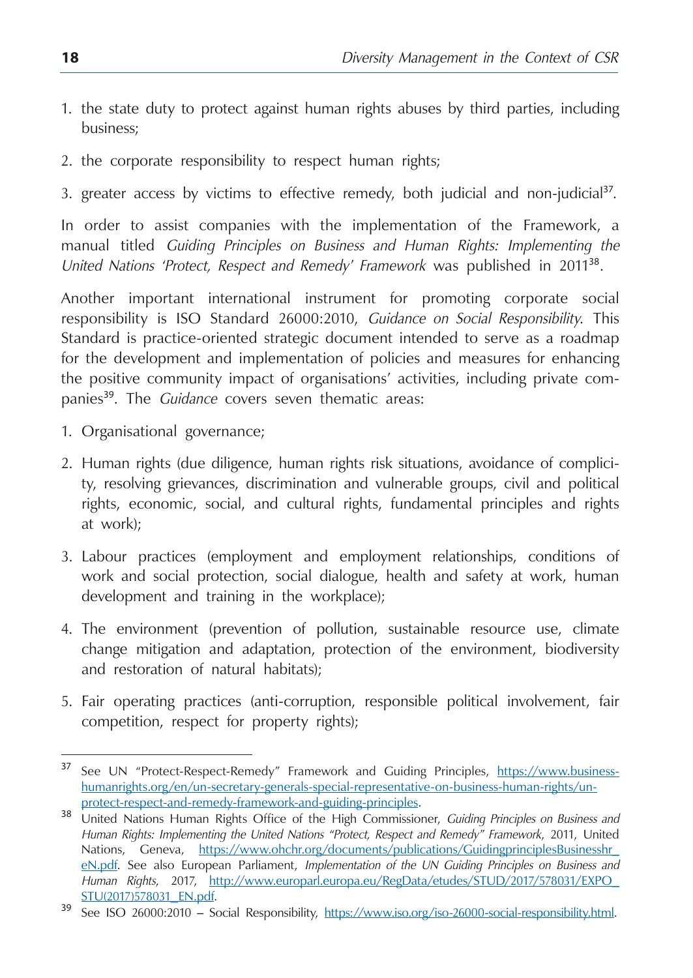- 1. the state duty to protect against human rights abuses by third parties, including business;
- 2. the corporate responsibility to respect human rights;
- 3. greater access by victims to effective remedy, both judicial and non-judicial<sup>37</sup>.

In order to assist companies with the implementation of the Framework, a manual titled *Guiding Principles on Business and Human Rights: Implementing the United Nations 'Protect, Respect and Remedy' Framework* was published in 2011<sup>38</sup>.

Another important international instrument for promoting corporate social responsibility is ISO Standard 26000:2010, *Guidance on Social Responsibility*. This Standard is practice-oriented strategic document intended to serve as a roadmap for the development and implementation of policies and measures for enhancing the positive community impact of organisations' activities, including private companies<sup>39</sup>. The *Guidance* covers seven thematic areas:

- 1. Organisational governance;
- 2. Human rights (due diligence, human rights risk situations, avoidance of complicity, resolving grievances, discrimination and vulnerable groups, civil and political rights, economic, social, and cultural rights, fundamental principles and rights at work);
- 3. Labour practices (employment and employment relationships, conditions of work and social protection, social dialogue, health and safety at work, human development and training in the workplace);
- 4. The environment (prevention of pollution, sustainable resource use, climate change mitigation and adaptation, protection of the environment, biodiversity and restoration of natural habitats);
- 5. Fair operating practices (anti-corruption, responsible political involvement, fair competition, respect for property rights);

<sup>37</sup> See UN "Protect-Respect-Remedy" Framework and Guiding Principles, [https://www.business](https://www.business-humanrights.org/en/un-secretary-generals-special-representative-on-business-human-rights/un-protect-respect-and-remedy-framework-and-guiding-principles)[humanrights.org/en/un-secretary-generals-special-representative-on-business-human-rights/un](https://www.business-humanrights.org/en/un-secretary-generals-special-representative-on-business-human-rights/un-protect-respect-and-remedy-framework-and-guiding-principles)[protect-respect-and-remedy-framework-and-guiding-principles.](https://www.business-humanrights.org/en/un-secretary-generals-special-representative-on-business-human-rights/un-protect-respect-and-remedy-framework-and-guiding-principles) <sup>38</sup> United Nations Human Rights Office of the High Commissioner, *Guiding Principles on Business and* 

*Human Rights: Implementing the United Nations "Protect, Respect and Remedy" Framework*, 2011, United Nations, Geneva, [https://www.ohchr.org/documents/publications/GuidingprinciplesBusinesshr\\_](https://www.ohchr.org/documents/publications/GuidingprinciplesBusinesshr_eN.pdf) [eN.pdf.](https://www.ohchr.org/documents/publications/GuidingprinciplesBusinesshr_eN.pdf) See also European Parliament, *Implementation of the UN Guiding Principles on Business and Human Rights*, 2017, [http://www.europarl.europa.eu/RegData/etudes/STUD/2017/578031/EXPO\\_](http://www.europarl.europa.eu/RegData/etudes/STUD/2017/578031/EXPO_STU(2017)578031_EN.pdf)

[STU\(2017\)578031\\_EN.pdf.](http://www.europarl.europa.eu/RegData/etudes/STUD/2017/578031/EXPO_STU(2017)578031_EN.pdf) <sup>39</sup> See ISO 26000:2010 – Social Responsibility, <https://www.iso.org/iso-26000-social-responsibility.html>.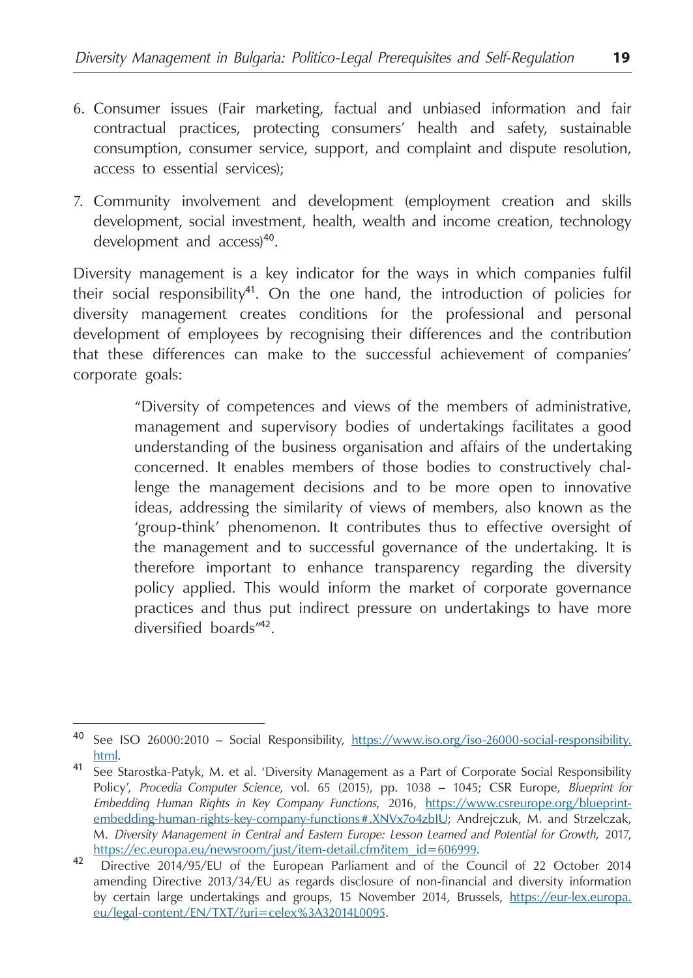- 6. Consumer issues (Fair marketing, factual and unbiased information and fair contractual practices, protecting consumers' health and safety, sustainable consumption, consumer service, support, and complaint and dispute resolution, access to essential services);
- 7. Community involvement and development (employment creation and skills development, social investment, health, wealth and income creation, technology development and access)<sup>40</sup>.

Diversity management is a key indicator for the ways in which companies fulfil their social responsibility<sup>41</sup>. On the one hand, the introduction of policies for diversity management creates conditions for the professional and personal development of employees by recognising their differences and the contribution that these differences can make to the successful achievement of companies' corporate goals:

> "Diversity of competences and views of the members of administrative, management and supervisory bodies of undertakings facilitates a good understanding of the business organisation and affairs of the undertaking concerned. It enables members of those bodies to constructively challenge the management decisions and to be more open to innovative ideas, addressing the similarity of views of members, also known as the 'group-think' phenomenon. It contributes thus to effective oversight of the management and to successful governance of the undertaking. It is therefore important to enhance transparency regarding the diversity policy applied. This would inform the market of corporate governance practices and thus put indirect pressure on undertakings to have more diversified boards"<sup>42</sup>.

<sup>40</sup> See ISO 26000:2010 – Social Responsibility, [https://www.iso.org/iso-26000-social-responsibility.](https://www.iso.org/iso-26000-social-responsibility.html)

[html.](https://www.iso.org/iso-26000-social-responsibility.html)<br><sup>41</sup> See Starostka-Patyk, M. et al. 'Diversity Management as a Part of Corporate Social Responsibility Policy', *Procedia Computer Science*, vol. 65 (2015), pp. 1038 – 1045; CSR Europe, *Blueprint for Embedding Human Rights in Key Company Functions*, 2016, [https://www.csreurope.org/blueprint](https://www.csreurope.org/blueprint-embedding-human-rights-key-company-functions#.XNVx7o4zbIU)[embedding-human-rights-key-company-functions#.XNVx7o4zbIU](https://www.csreurope.org/blueprint-embedding-human-rights-key-company-functions#.XNVx7o4zbIU); Andrejczuk, M. and Strzelczak, M. *Diversity Management in Central and Eastern Europe: Lesson Learned and Potential for Growth*, 2017, [https://ec.europa.eu/newsroom/just/item-detail.cfm?item\\_id=606999](https://ec.europa.eu/newsroom/just/item-detail.cfm?item_id=606999). <sup>42</sup> Directive 2014/95/EU of the European Parliament and of the Council of 22 October 2014

amending Directive 2013/34/EU as regards disclosure of non-financial and diversity information by certain large undertakings and groups, 15 November 2014, Brussels, [https://eur-lex.europa.](https://eur-lex.europa.eu/legal-content/EN/TXT/?uri=celex%3A32014L0095) [eu/legal-content/EN/TXT/?uri=celex%3A32014L0095](https://eur-lex.europa.eu/legal-content/EN/TXT/?uri=celex%3A32014L0095).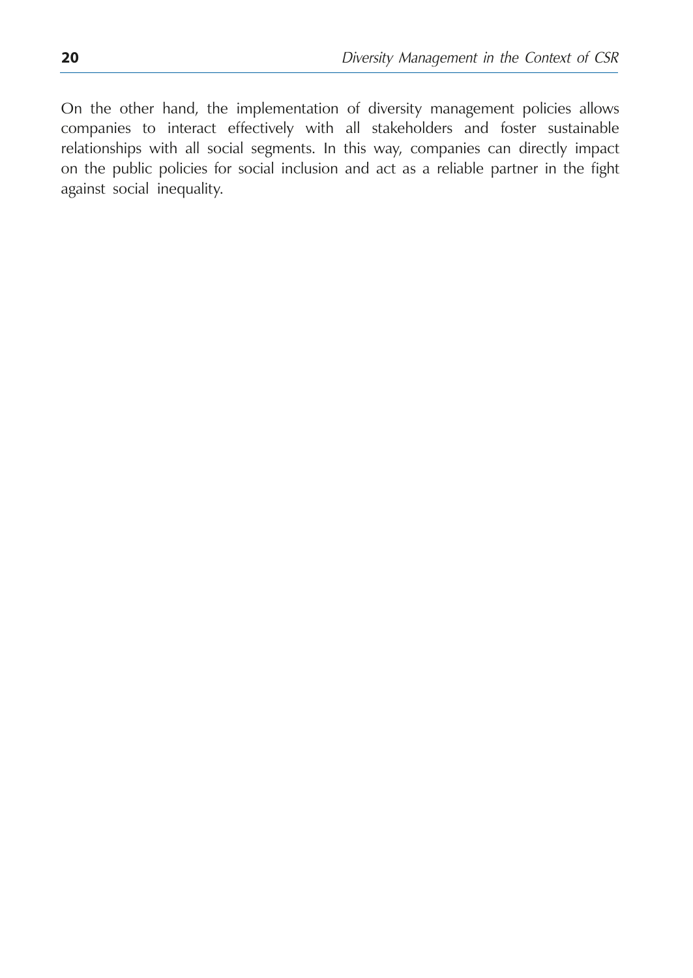On the other hand, the implementation of diversity management policies allows companies to interact effectively with all stakeholders and foster sustainable relationships with all social segments. In this way, companies can directly impact on the public policies for social inclusion and act as a reliable partner in the fight against social inequality.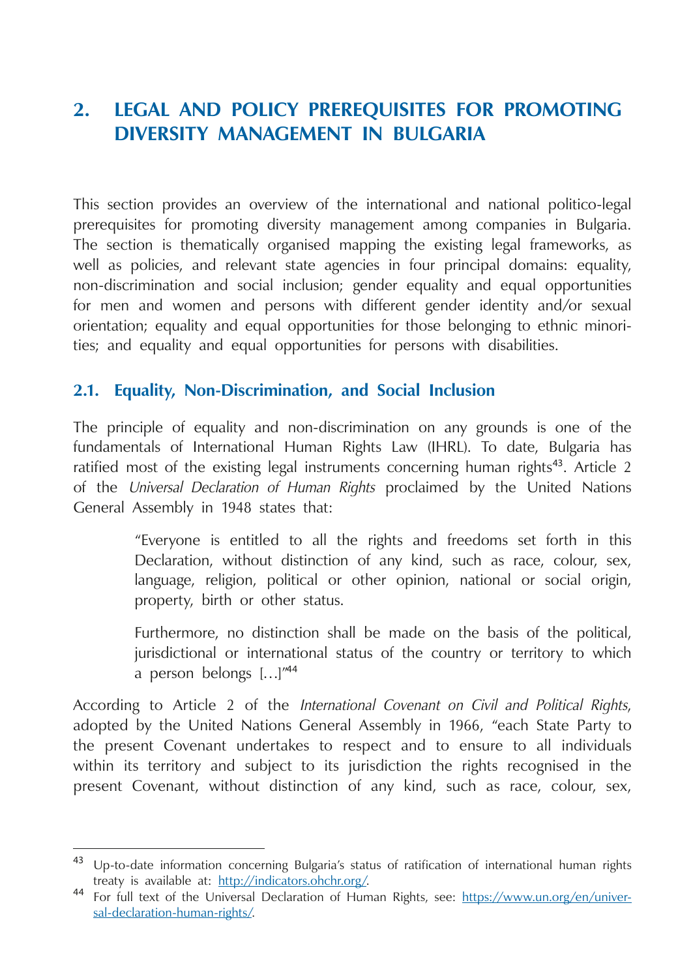## <span id="page-21-0"></span>**2. Legal and Policy Prerequisites for Promoting Diversity Management in Bulgaria**

This section provides an overview of the international and national politico-legal prerequisites for promoting diversity management among companies in Bulgaria. The section is thematically organised mapping the existing legal frameworks, as well as policies, and relevant state agencies in four principal domains: equality, non-discrimination and social inclusion; gender equality and equal opportunities for men and women and persons with different gender identity and/or sexual orientation; equality and equal opportunities for those belonging to ethnic minorities; and equality and equal opportunities for persons with disabilities.

#### **2.1. Equality, Non-Discrimination, and Social Inclusion**

The principle of equality and non-discrimination on any grounds is one of the fundamentals of International Human Rights Law (IHRL). To date, Bulgaria has ratified most of the existing legal instruments concerning human rights<sup>43</sup>. Article 2 of the *Universal Declaration of Human Rights* proclaimed by the United Nations General Assembly in 1948 states that:

> "Everyone is entitled to all the rights and freedoms set forth in this Declaration, without distinction of any kind, such as race, colour, sex, language, religion, political or other opinion, national or social origin, property, birth or other status.

> Furthermore, no distinction shall be made on the basis of the political, jurisdictional or international status of the country or territory to which a person belongs […]"<sup>44</sup>

According to Article 2 of the *International Covenant on Civil and Political Rights*, adopted by the United Nations General Assembly in 1966, "each State Party to the present Covenant undertakes to respect and to ensure to all individuals within its territory and subject to its jurisdiction the rights recognised in the present Covenant, without distinction of any kind, such as race, colour, sex,

<sup>&</sup>lt;sup>43</sup> Up-to-date information concerning Bulgaria's status of ratification of international human rights treaty is available at:  $\frac{http://indicators.ohehr.org/}{http://indicators.ohehr.org/}$ .

<sup>&</sup>lt;sup>44</sup> For full text of the Universal Declaration of Human Rights, see: https://www.un.org/en/universal-declaration-human-rights/.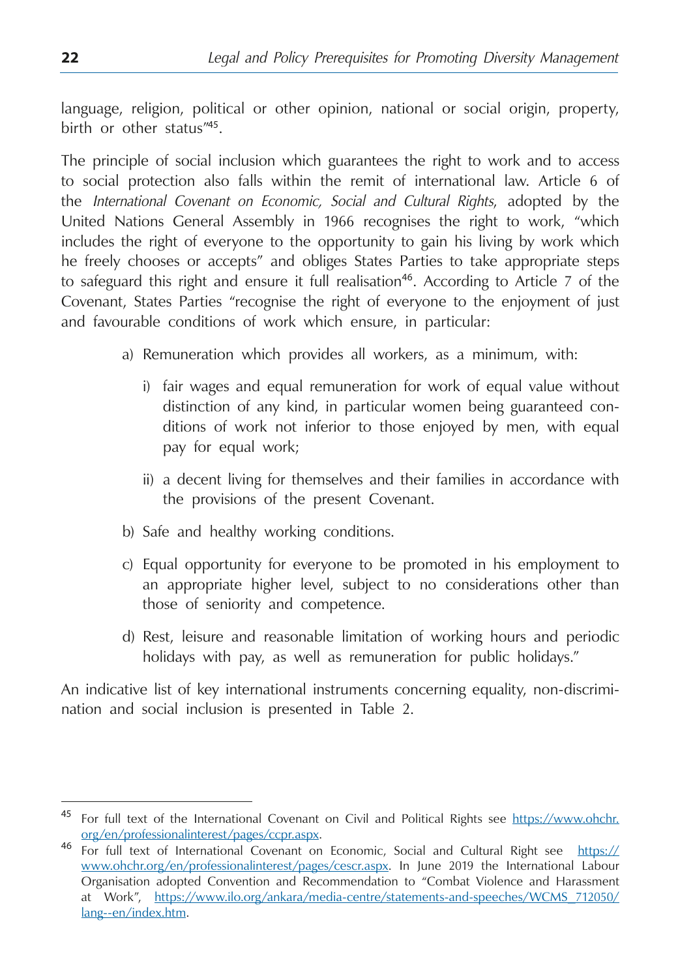language, religion, political or other opinion, national or social origin, property, birth or other status"<sup>45</sup>.

The principle of social inclusion which guarantees the right to work and to access to social protection also falls within the remit of international law. Article 6 of the *International Covenant on Economic, Social and Cultural Rights*, adopted by the United Nations General Assembly in 1966 recognises the right to work, "which includes the right of everyone to the opportunity to gain his living by work which he freely chooses or accepts" and obliges States Parties to take appropriate steps to safeguard this right and ensure it full realisation<sup>46</sup>. According to Article 7 of the Covenant, States Parties "recognise the right of everyone to the enjoyment of just and favourable conditions of work which ensure, in particular:

- a) Remuneration which provides all workers, as a minimum, with:
	- i) fair wages and equal remuneration for work of equal value without distinction of any kind, in particular women being guaranteed conditions of work not inferior to those enjoyed by men, with equal pay for equal work;
	- ii) a decent living for themselves and their families in accordance with the provisions of the present Covenant.
- b) Safe and healthy working conditions.
- c) Equal opportunity for everyone to be promoted in his employment to an appropriate higher level, subject to no considerations other than those of seniority and competence.
- d) Rest, leisure and reasonable limitation of working hours and periodic holidays with pay, as well as remuneration for public holidays."

An indicative list of key international instruments concerning equality, non-discrimination and social inclusion is presented in Table 2.

<sup>&</sup>lt;sup>45</sup> For full text of the International Covenant on Civil and Political Rights see [https://www.ohchr.](https://www.ohchr.org/en/professionalinterest/pages/ccpr.aspx) [org/en/professionalinterest/pages/ccpr.aspx.](https://www.ohchr.org/en/professionalinterest/pages/ccpr.aspx) <sup>46</sup> For full text of International Covenant on Economic, Social and Cultural Right see [https://](https://www.ohchr.org/en/professionalinterest/pages/cescr.aspx)

[www.ohchr.org/en/professionalinterest/pages/cescr.aspx](https://www.ohchr.org/en/professionalinterest/pages/cescr.aspx). In June 2019 the International Labour Organisation adopted Convention and Recommendation to "Combat Violence and Harassment at Work", https://www.ilo.org/ankara/media-centre/statements-and-speeches/WCMS\_712050/ lang--en/index.htm.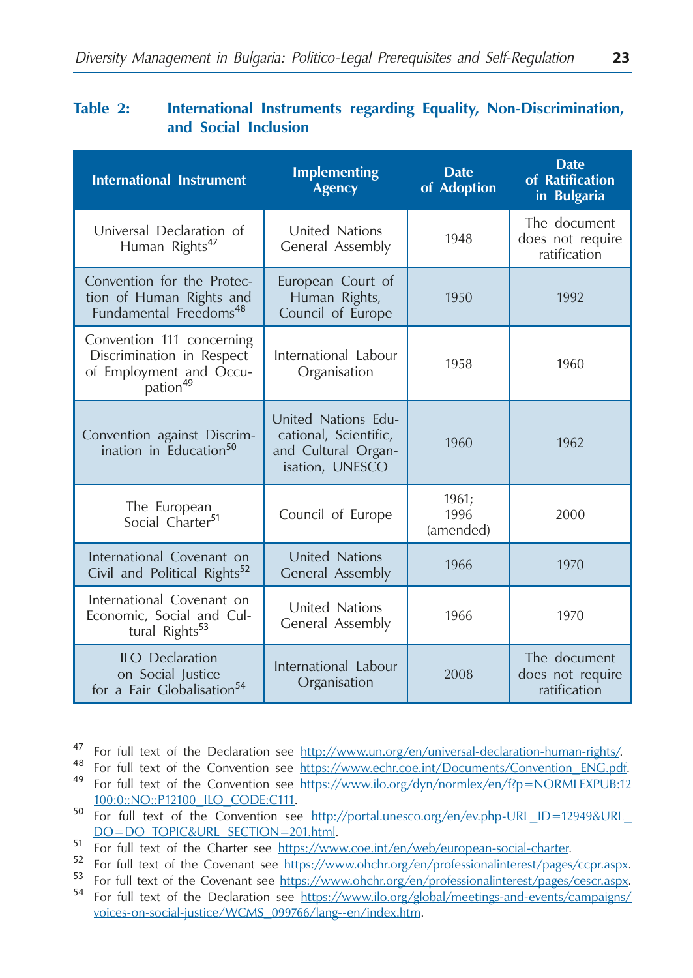#### **Table 2: International Instruments regarding Equality, Non-Discrimination, and Social Inclusion**

| <b>International Instrument</b>                                                                           | <b>Implementing</b><br><b>Agency</b>                                                   | <b>Date</b><br>of Adoption | <b>Date</b><br>of Ratification<br>in Bulgaria    |
|-----------------------------------------------------------------------------------------------------------|----------------------------------------------------------------------------------------|----------------------------|--------------------------------------------------|
| Universal Declaration of<br>Human Rights <sup>47</sup>                                                    | United Nations<br>General Assembly                                                     | 1948                       | The document<br>does not require<br>ratification |
| Convention for the Protec-<br>tion of Human Rights and<br>Fundamental Freedoms <sup>48</sup>              | European Court of<br>Human Rights,<br>Council of Europe                                | 1950                       | 1992                                             |
| Convention 111 concerning<br>Discrimination in Respect<br>of Employment and Occu-<br>pation <sup>49</sup> | International Labour<br>Organisation                                                   | 1958                       | 1960                                             |
| Convention against Discrim-<br>ination in Education <sup>50</sup>                                         | United Nations Edu-<br>cational, Scientific,<br>and Cultural Organ-<br>isation, UNESCO | 1960                       | 1962                                             |
| The European<br>Social Charter <sup>51</sup>                                                              | Council of Europe                                                                      | 1961;<br>1996<br>(amended) | 2000                                             |
| International Covenant on<br>Civil and Political Rights <sup>52</sup>                                     | United Nations<br>General Assembly                                                     | 1966                       | 1970                                             |
| International Covenant on<br>Economic, Social and Cul-<br>tural Rights <sup>53</sup>                      | United Nations<br>General Assembly                                                     | 1966                       | 1970                                             |
| ILO Declaration<br>on Social Justice<br>for a Fair Globalisation <sup>54</sup>                            | International Labour<br>Organisation                                                   | 2008                       | The document<br>does not require<br>ratification |

<sup>&</sup>lt;sup>47</sup> For full text of the Declaration see <u>http://www.un.org/en/universal-declaration-human-rights/</u><br><sup>48</sup> For full text of the Convention see <u>https://www.echr.coe.int/Documents/Convention\_ENG.pdf</u>.<br><sup>49</sup> For full text of t

<sup>100:0::</sup>NO::P12100\_ILO\_CODE:C111. <sup>50</sup> For full text of the Convention see http://portal.unesco.org/en/ev.php-URL\_ID=12949&URL\_

DO=DO\_TOPIC&URL\_SECTION=201.html.<br>
For full text of the Charter see https://www.coe.int/en/web/european-social-charter.<br>
For full text of the Covenant see https://www.ohchr.org/en/professionalinterest/pages/ccpr.aspx.<br>
For voices-on-social-justice/WCMS\_099766/lang--en/index.htm.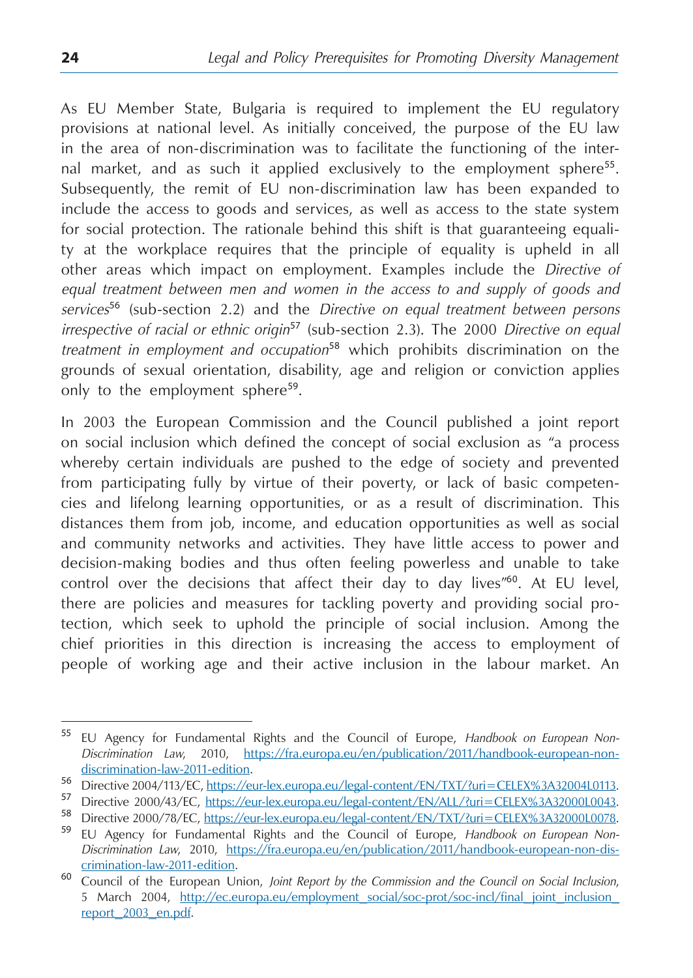As EU Member State, Bulgaria is required to implement the EU regulatory provisions at national level. As initially conceived, the purpose of the EU law in the area of non-discrimination was to facilitate the functioning of the internal market, and as such it applied exclusively to the employment sphere<sup>55</sup>. Subsequently, the remit of EU non-discrimination law has been expanded to include the access to goods and services, as well as access to the state system for social protection. The rationale behind this shift is that guaranteeing equality at the workplace requires that the principle of equality is upheld in all other areas which impact on employment. Examples include the *Directive of equal treatment between men and women in the access to and supply of goods and services*<sup>56</sup> (sub-section 2.2) and the *Directive on equal treatment between persons irrespective of racial or ethnic origin*<sup>57</sup> (sub-section 2.3). The 2000 *Directive on equal treatment in employment and occupation*<sup>58</sup> which prohibits discrimination on the grounds of sexual orientation, disability, age and religion or conviction applies only to the employment sphere<sup>59</sup>.

In 2003 the European Commission and the Council published a joint report on social inclusion which defined the concept of social exclusion as "a process whereby certain individuals are pushed to the edge of society and prevented from participating fully by virtue of their poverty, or lack of basic competencies and lifelong learning opportunities, or as a result of discrimination. This distances them from job, income, and education opportunities as well as social and community networks and activities. They have little access to power and decision-making bodies and thus often feeling powerless and unable to take control over the decisions that affect their day to day lives"<sup>60</sup>. At EU level, there are policies and measures for tackling poverty and providing social protection, which seek to uphold the principle of social inclusion. Among the chief priorities in this direction is increasing the access to employment of people of working age and their active inclusion in the labour market. An

<sup>55</sup> EU Agency for Fundamental Rights and the Council of Europe, *Handbook on European Non-Discrimination Law*, 2010, https://fra.europa.eu/en/publication/2011/handbook-european-non-

discrimination-law-2011-edition.<br>
56 Directive 2004/113/EC, https://eur-lex.europa.eu/legal-content/EN/TXT/?uri=CELEX%3A32004L0113.<br>
57 Directive 2000/43/EC, https://eur-lex.europa.eu/legal-content/EN/ALL/?uri=CELEX%3A3200

*Discrimination Law*, 2010, https://fra.europa.eu/en/publication/2011/handbook-european-non-discrimination-law-2011-edition. <sup>60</sup> Council of the European Union, *Joint Report by the Commission and the Council on Social Inclusion*,

<sup>5</sup> March 2004, http://ec.europa.eu/employment\_social/soc-prot/soc-incl/final\_joint\_inclusion\_ report\_2003\_en.pdf.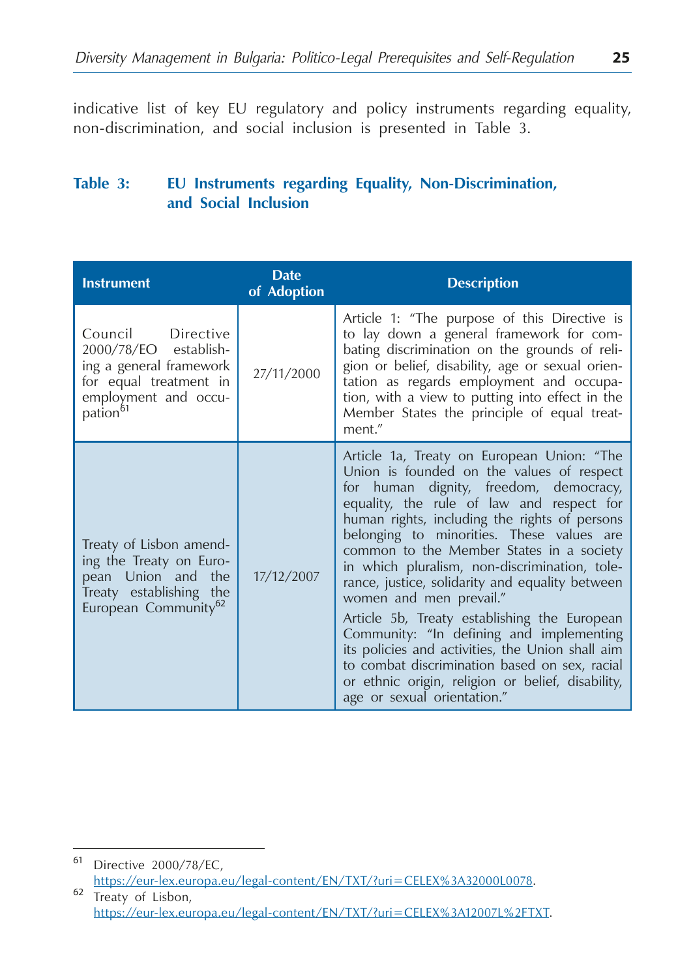indicative list of key EU regulatory and policy instruments regarding equality, non-discrimination, and social inclusion is presented in Table 3.

#### **Table 3: EU Instruments regarding Equality, Non-Discrimination, and Social Inclusion**

| <b>Instrument</b>                                                                                                                               | <b>Date</b><br>of Adoption | <b>Description</b>                                                                                                                                                                                                                                                                                                                                                                                                                                                                                                                                                                                                                                                                                                                           |
|-------------------------------------------------------------------------------------------------------------------------------------------------|----------------------------|----------------------------------------------------------------------------------------------------------------------------------------------------------------------------------------------------------------------------------------------------------------------------------------------------------------------------------------------------------------------------------------------------------------------------------------------------------------------------------------------------------------------------------------------------------------------------------------------------------------------------------------------------------------------------------------------------------------------------------------------|
| Council Directive<br>2000/78/EO establish-<br>ing a general framework<br>for equal treatment in<br>employment and occu-<br>pation <sup>61</sup> | 27/11/2000                 | Article 1: "The purpose of this Directive is<br>to lay down a general framework for com-<br>bating discrimination on the grounds of reli-<br>gion or belief, disability, age or sexual orien-<br>tation as regards employment and occupa-<br>tion, with a view to putting into effect in the<br>Member States the principle of equal treat-<br>ment."                                                                                                                                                                                                                                                                                                                                                                                        |
| Treaty of Lisbon amend-<br>ing the Treaty on Euro-<br>pean Union and the<br>Treaty establishing the<br>European Community <sup>62</sup>         | 17/12/2007                 | Article 1a, Treaty on European Union: "The<br>Union is founded on the values of respect<br>for human dignity, freedom, democracy,<br>equality, the rule of law and respect for<br>human rights, including the rights of persons<br>belonging to minorities. These values are<br>common to the Member States in a society<br>in which pluralism, non-discrimination, tole-<br>rance, justice, solidarity and equality between<br>women and men prevail."<br>Article 5b, Treaty establishing the European<br>Community: "In defining and implementing<br>its policies and activities, the Union shall aim<br>to combat discrimination based on sex, racial<br>or ethnic origin, religion or belief, disability,<br>age or sexual orientation." |

<sup>61</sup> Directive 2000/78/ЕC, https://eur-lex.europa.eu/legal-content/EN/TXT/?uri=CELEX%3A32000L0078. <sup>62</sup> Treaty of Lisbon,

https://eur-lex.europa.eu/legal-content/EN/TXT/?uri=CELEX%3A12007L%2FTXT.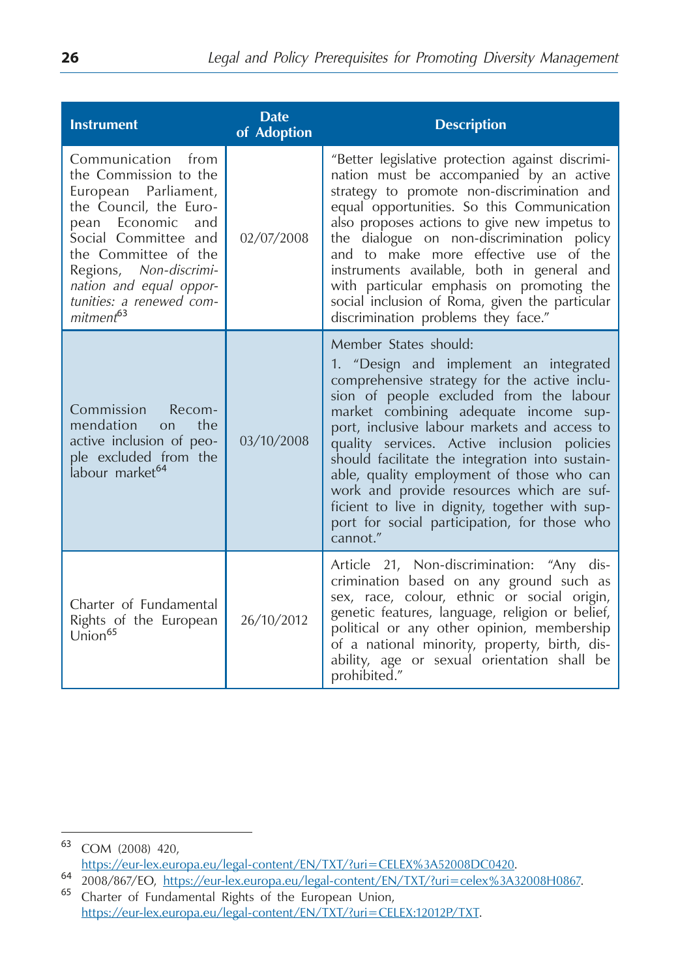| <b>Instrument</b>                                                                                                                                                                                                                                                               | <b>Date</b><br>of Adoption | <b>Description</b>                                                                                                                                                                                                                                                                                                                                                                                                                                                                                                                                            |
|---------------------------------------------------------------------------------------------------------------------------------------------------------------------------------------------------------------------------------------------------------------------------------|----------------------------|---------------------------------------------------------------------------------------------------------------------------------------------------------------------------------------------------------------------------------------------------------------------------------------------------------------------------------------------------------------------------------------------------------------------------------------------------------------------------------------------------------------------------------------------------------------|
| Communication from<br>the Commission to the<br>European Parliament,<br>the Council, the Euro-<br>pean Economic<br>and<br>Social Committee and<br>the Committee of the<br>Regions, Non-discrimi-<br>nation and equal oppor-<br>tunities: a renewed com-<br>mitment <sup>63</sup> | 02/07/2008                 | "Better legislative protection against discrimi-<br>nation must be accompanied by an active<br>strategy to promote non-discrimination and<br>equal opportunities. So this Communication<br>also proposes actions to give new impetus to<br>the dialogue on non-discrimination policy<br>and to make more effective use of the<br>instruments available, both in general and<br>with particular emphasis on promoting the<br>social inclusion of Roma, given the particular<br>discrimination problems they face."                                             |
| Commission<br>Recom-<br>mendation<br>the<br><b>on</b><br>active inclusion of peo-<br>ple excluded from the<br>labour market <sup>64</sup>                                                                                                                                       | 03/10/2008                 | Member States should:<br>1. "Design and implement an integrated<br>comprehensive strategy for the active inclu-<br>sion of people excluded from the labour<br>market combining adequate income sup-<br>port, inclusive labour markets and access to<br>quality services. Active inclusion policies<br>should facilitate the integration into sustain-<br>able, quality employment of those who can<br>work and provide resources which are suf-<br>ficient to live in dignity, together with sup-<br>port for social participation, for those who<br>cannot." |
| Charter of Fundamental<br>Rights of the European<br>Union <sup>65</sup>                                                                                                                                                                                                         | 26/10/2012                 | Article 21, Non-discrimination: "Any dis-<br>crimination based on any ground such as<br>sex, race, colour, ethnic or social origin,<br>genetic features, language, religion or belief,<br>political or any other opinion, membership<br>of a national minority, property, birth, dis-<br>ability, age or sexual orientation shall be<br>prohibited."                                                                                                                                                                                                          |

https://eur-lex.europa.eu/legal-content/EN/TXT/?uri=celex%3A32008H0867.<br>
64 2008/867/EO, https://eur-lex.europa.eu/legal-content/EN/TXT/?uri=celex%3A32008H0867.

<sup>63</sup> COM (2008) 420,<br>https://eur-lex.europa.eu/legal-content/EN/TXT/?uri=CELEX%3A52008DC0420.

https://eur-lex.europa.eu/legal-content/EN/TXT/?uri=CELEX:12012P/TXT.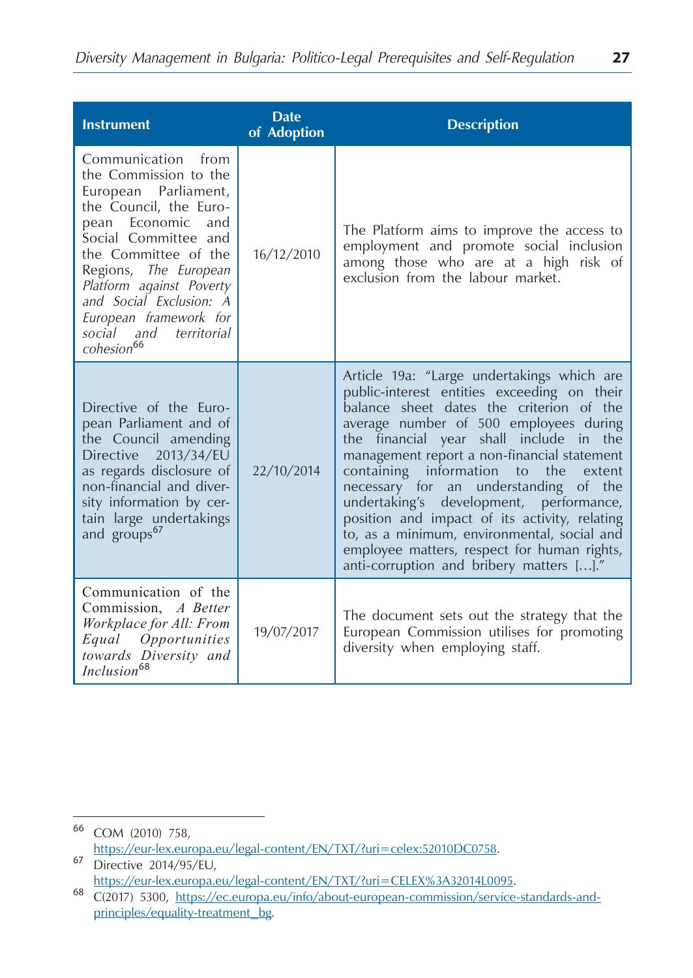| <b>Instrument</b>                                                                                                                                                                                                                                                                                                                   | <b>Date</b><br>of Adoption | <b>Description</b>                                                                                                                                                                                                                                                                                                                                                                                                                                                                                                                                                                                        |
|-------------------------------------------------------------------------------------------------------------------------------------------------------------------------------------------------------------------------------------------------------------------------------------------------------------------------------------|----------------------------|-----------------------------------------------------------------------------------------------------------------------------------------------------------------------------------------------------------------------------------------------------------------------------------------------------------------------------------------------------------------------------------------------------------------------------------------------------------------------------------------------------------------------------------------------------------------------------------------------------------|
| Communication from<br>the Commission to the<br>European Parliament,<br>the Council, the Euro-<br>pean Economic<br>and<br>Social Committee and<br>the Committee of the<br>Regions, The European<br>Platform against Poverty<br>and Social Exclusion: A<br>European framework for<br>social and territorial<br>cohesion <sup>66</sup> | 16/12/2010                 | The Platform aims to improve the access to<br>employment and promote social inclusion<br>among those who are at a high risk of<br>exclusion from the labour market.                                                                                                                                                                                                                                                                                                                                                                                                                                       |
| Directive of the Euro-<br>pean Parliament and of<br>the Council amending<br>Directive 2013/34/EU<br>as regards disclosure of<br>non-financial and diver-<br>sity information by cer-<br>tain large undertakings<br>and groups <sup>67</sup>                                                                                         | 22/10/2014                 | Article 19a: "Large undertakings which are<br>public-interest entities exceeding on their<br>balance sheet dates the criterion of the<br>average number of 500 employees during<br>the financial year shall include in<br>the<br>management report a non-financial statement<br>containing information<br>to the<br>extent<br>necessary for an understanding of the<br>undertaking's development, performance,<br>position and impact of its activity, relating<br>to, as a minimum, environmental, social and<br>employee matters, respect for human rights,<br>anti-corruption and bribery matters []." |
| Communication of the<br>Commission, A Better<br>Workplace for All: From<br>Equal Opportunities<br>towards Diversity and<br>Inclusion <sup>68</sup>                                                                                                                                                                                  | 19/07/2017                 | The document sets out the strategy that the<br>European Commission utilises for promoting<br>diversity when employing staff.                                                                                                                                                                                                                                                                                                                                                                                                                                                                              |

<sup>66</sup> COM (2010) 758,

https://eur-lex.europa.eu/legal-content/EN/TXT/?uri=celex:52010DC0758.<br>Directive 2014/95/EU,<br>https://eur-lex.europa.eu/legal-content/EN/TXT/?uri=CELEX%3A32014L0095.

https://eur.europa.eu/info/about-european-commission/service-standards-and-<br>C(2017) 5300, https://ec.europa.eu/info/about-european-commission/service-standards-andprinciples/equality-treatment\_bg.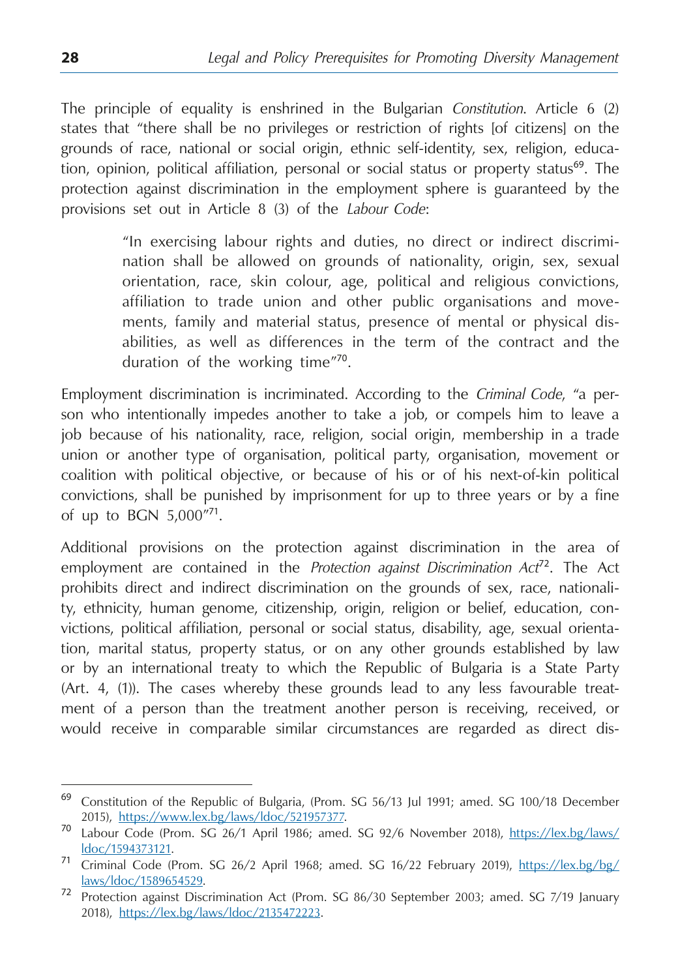Тhe principle of equality is enshrined in the Bulgarian *Constitution*. Article 6 (2) states that "there shall be no privileges or restriction of rights [of citizens] on the grounds of race, national or social origin, ethnic self-identity, sex, religion, education, opinion, political affiliation, personal or social status or property status<sup>69</sup>. The protection against discrimination in the employment sphere is guaranteed by the provisions set out in Article 8 (3) of the *Labour Code*:

> "In exercising labour rights and duties, no direct or indirect discrimination shall be allowed on grounds of nationality, origin, sex, sexual orientation, race, skin colour, age, political and religious convictions, affiliation to trade union and other public organisations and movements, family and material status, presence of mental or physical disabilities, as well as differences in the term of the contract and the duration of the working time"<sup>70</sup>.

Employment discrimination is incriminated. According to the *Criminal Code*, "a person who intentionally impedes another to take a job, or compels him to leave a job because of his nationality, race, religion, social origin, membership in a trade union or another type of organisation, political party, organisation, movement or coalition with political objective, or because of his or of his next-of-kin political convictions, shall be punished by imprisonment for up to three years or by a fine of up to BGN 5,000"<sup>71</sup>.

Additional provisions on the protection against discrimination in the area of employment are contained in the *Protection against Discrimination Act*<sup>72</sup>. The Act prohibits direct and indirect discrimination on the grounds of sex, race, nationality, ethnicity, human genome, citizenship, origin, religion or belief, education, convictions, political affiliation, personal or social status, disability, age, sexual orientation, marital status, property status, or on any other grounds established by law or by an international treaty to which the Republic of Bulgaria is a State Party (Art. 4, (1)). The cases whereby these grounds lead to any less favourable treatment of a person than the treatment another person is receiving, received, or would receive in comparable similar circumstances are regarded as direct dis-

<sup>69</sup> Constitution of the Republic of Bulgaria, (Prom. SG 56/13 Jul 1991; amed. SG 100/18 December

<sup>2015),</sup> https://www.lex.bg/laws/ldoc/521957377. <sup>70</sup> Labour Code (Prom. SG 26/1 April 1986; amed. SG 92/6 November 2018), [https://lex.bg/laws/](https://lex.bg/laws/ldoc/1594373121)

[ldoc/1594373121.](https://lex.bg/laws/ldoc/1594373121) <sup>71</sup> Criminal Code (Prom. SG 26/2 April 1968; amed. SG 16/22 February 2019), https://lex.bg/bg/

laws/ldoc/1589654529. <sup>72</sup> Protection against Discrimination Act (Prom. SG 86/30 September 2003; amed. SG 7/19 January 2018), [https://lex.bg/laws/ldoc/2135472223.](https://lex.bg/laws/ldoc/2135472223)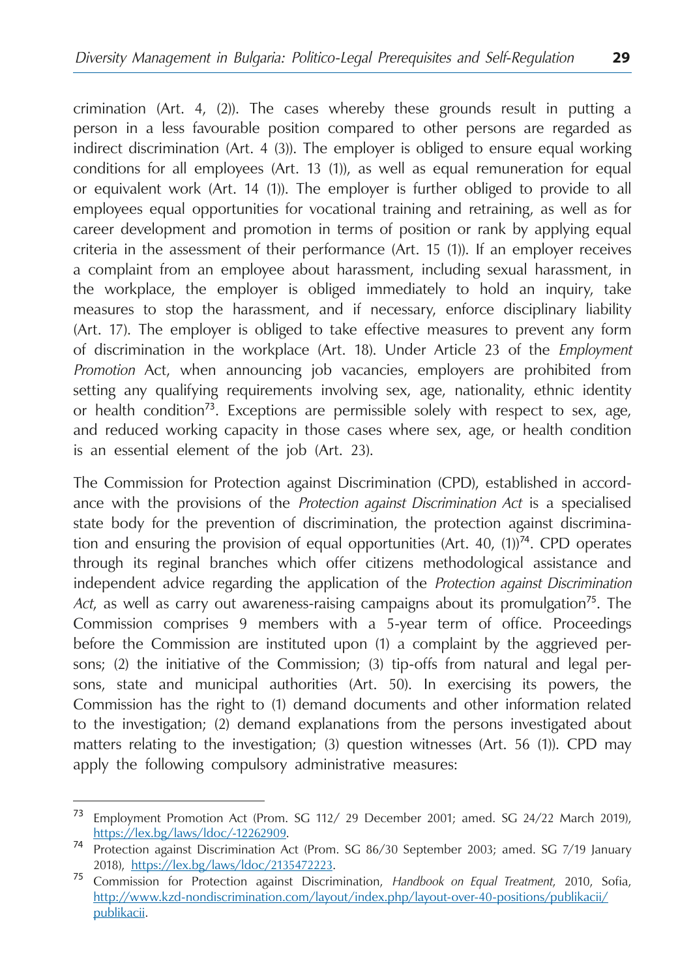crimination (Art. 4, (2)). The cases whereby these grounds result in putting a person in a less favourable position compared to other persons are regarded as indirect discrimination (Art. 4 (3)). The employer is obliged to ensure equal working conditions for all employees (Art. 13 (1)), as well as equal remuneration for equal or equivalent work (Art. 14 (1)). The employer is further obliged to provide to all employees equal opportunities for vocational training and retraining, as well as for career development and promotion in terms of position or rank by applying equal criteria in the assessment of their performance (Art. 15 (1)). If an employer receives a complaint from an employee about harassment, including sexual harassment, in the workplace, the employer is obliged immediately to hold an inquiry, take measures to stop the harassment, and if necessary, enforce disciplinary liability (Art. 17). The employer is obliged to take effective measures to prevent any form of discrimination in the workplace (Art. 18). Under Article 23 of the *Employment Promotion* Act, when announcing job vacancies, employers are prohibited from setting any qualifying requirements involving sex, age, nationality, ethnic identity or health condition<sup>73</sup>. Exceptions are permissible solely with respect to sex, age, and reduced working capacity in those cases where sex, age, or health condition is an essential element of the job (Art. 23).

The Commission for Protection against Discrimination (CPD), established in accordance with the provisions of the *Protection against Discrimination Act* is a specialised state body for the prevention of discrimination, the protection against discrimination and ensuring the provision of equal opportunities (Art. 40,  $(1)$ )<sup>74</sup>. CPD operates through its reginal branches which offer citizens methodological assistance and independent advice regarding the application of the *Protection against Discrimination Act*, as well as carry out awareness-raising campaigns about its promulgation<sup>75</sup>. The Commission comprises 9 members with a 5-year term of office. Proceedings before the Commission are instituted upon (1) a complaint by the aggrieved persons; (2) the initiative of the Commission; (3) tip-offs from natural and legal persons, state and municipal authorities (Art. 50). In exercising its powers, the Commission has the right to (1) demand documents and other information related to the investigation; (2) demand explanations from the persons investigated about matters relating to the investigation; (3) question witnesses (Art. 56 (1)). CPD may apply the following compulsory administrative measures:

<sup>73</sup> Employment Promotion Act (Prom. SG 112/ 29 December 2001; amed. SG 24/22 March 2019),

[https://lex.bg/laws/ldoc/-12262909.](https://lex.bg/laws/ldoc/-12262909) <sup>74</sup> Protection against Discrimination Act (Prom. SG 86/30 September 2003; amed. SG 7/19 January

<sup>2018),</sup> <https://lex.bg/laws/ldoc/2135472223>. <sup>75</sup> Commission for Protection against Discrimination, *Handbook on Equal Treatment*, 2010, Sofia, [http://www.kzd-nondiscrimination.com/layout/index.php/layout-over-40-positions/publikacii/](http://www.kzd-nondiscrimination.com/layout/index.php/layout-over-40-positions/publikacii/publikacii) [publikacii.](http://www.kzd-nondiscrimination.com/layout/index.php/layout-over-40-positions/publikacii/publikacii)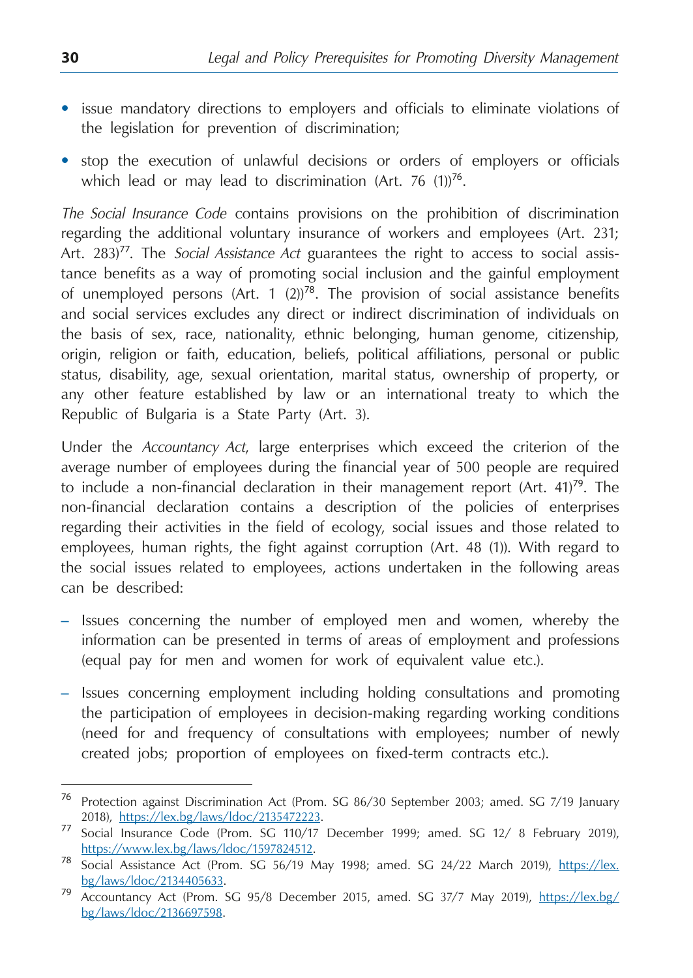- issue mandatory directions to employers and officials to eliminate violations of the legislation for prevention of discrimination;
- stop the execution of unlawful decisions or orders of employers or officials which lead or may lead to discrimination (Art. 76  $(1)$ )<sup>76</sup>.

*The Social Insurance Code* contains provisions on the prohibition of discrimination regarding the additional voluntary insurance of workers and employees (Art. 231; Art. 283)<sup>77</sup>. The *Social Assistance Act* guarantees the right to access to social assistance benefits as a way of promoting social inclusion and the gainful employment of unemployed persons (Art. 1  $(2)$ )<sup>78</sup>. The provision of social assistance benefits and social services excludes any direct or indirect discrimination of individuals on the basis of sex, race, nationality, ethnic belonging, human genome, citizenship, origin, religion or faith, education, beliefs, political affiliations, personal or public status, disability, age, sexual orientation, marital status, ownership of property, or any other feature established by law or an international treaty to which the Republic of Bulgaria is a State Party (Art. 3).

Under the *Accountancy Act*, large enterprises which exceed the criterion of the average number of employees during the financial year of 500 people are required to include a non-financial declaration in their management report  $(Art. 41)<sup>79</sup>$ . The non-financial declaration contains a description of the policies of enterprises regarding their activities in the field of ecology, social issues and those related to employees, human rights, the fight against corruption (Art. 48 (1)). With regard to the social issues related to employees, actions undertaken in the following areas can be described:

- Issues concerning the number of employed men and women, whereby the information can be presented in terms of areas of employment and professions (equal pay for men and women for work of equivalent value etc.).
- Issues concerning employment including holding consultations and promoting the participation of employees in decision-making regarding working conditions (need for and frequency of consultations with employees; number of newly created jobs; proportion of employees on fixed-term contracts etc.).

<sup>76</sup> Protection against Discrimination Act (Prom. SG 86/30 September 2003; amed. SG 7/19 January

<sup>2018),</sup> [https://lex.bg/laws/ldoc/2135472223.](https://lex.bg/laws/ldoc/2135472223) <sup>77</sup> Social Insurance Code (Prom. SG 110/17 December 1999; amed. SG 12/ 8 February 2019),

[https://www.lex.bg/laws/ldoc/1597824512.](https://www.lex.bg/laws/ldoc/1597824512) <sup>78</sup> Social Assistance Act (Prom. SG 56/19 May 1998; amed. SG 24/22 March 2019), [https://lex.](https://lex.bg/laws/ldoc/2134405633) [bg/laws/ldoc/2134405633](https://lex.bg/laws/ldoc/2134405633). <sup>79</sup> Accountancy Act (Prom. SG 95/8 December 2015, amed. SG 37/7 May 2019), [https://lex.bg/](https://lex.bg/bg/laws/ldoc/2136697598)

[bg/laws/ldoc/2136697598.](https://lex.bg/bg/laws/ldoc/2136697598)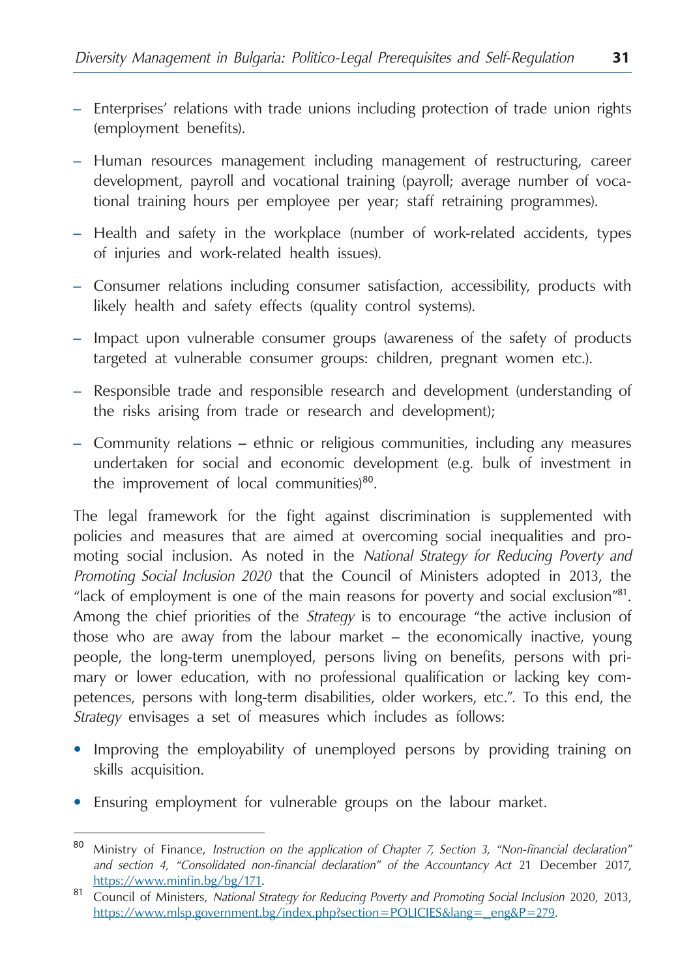- Enterprises' relations with trade unions including protection of trade union rights (employment benefits).
- Human resources management including management of restructuring, career development, payroll and vocational training (payroll; average number of vocational training hours per employee per year; staff retraining programmes).
- Health and safety in the workplace (number of work-related accidents, types of injuries and work-related health issues).
- Consumer relations including consumer satisfaction, accessibility, products with likely health and safety effects (quality control systems).
- Impact upon vulnerable consumer groups (awareness of the safety of products targeted at vulnerable consumer groups: children, pregnant women etc.).
- Responsible trade and responsible research and development (understanding of the risks arising from trade or research and development);
- Community relations ethnic or religious communities, including any measures undertaken for social and economic development (e.g. bulk of investment in the improvement of local communities) $80$ .

The legal framework for the fight against discrimination is supplemented with policies and measures that are aimed at overcoming social inequalities and promoting social inclusion. As noted in the *National Strategy for Reducing Poverty and Promoting Social Inclusion 2020* that the Council of Ministers adopted in 2013, the "lack of employment is one of the main reasons for poverty and social exclusion"<sup>81</sup>. Among the chief priorities of the *Strategy* is to encourage "the active inclusion of those who are away from the labour market – the economically inactive, young people, the long-term unemployed, persons living on benefits, persons with primary or lower education, with no professional qualification or lacking key competences, persons with long-term disabilities, older workers, etc.". To this end, the *Strategy* envisages a set of measures which includes as follows:

- Improving the employability of unemployed persons by providing training on skills acquisition.
- Ensuring employment for vulnerable groups on the labour market.

<sup>80</sup> Ministry of Finance, *Instruction on the application of Chapter 7, Section 3, "Non-financial declaration" and section 4, "Consolidated non-financial declaration" of the Accountancy Act* 21 December 2017,

[https://www.minfin.bg/bg/171.](https://www.minfin.bg/bg/171) <sup>81</sup> Council of Ministers, *National Strategy for Reducing Poverty and Promoting Social Inclusion* 2020, 2013, https://www.mlsp.government.bg/index.php?section=POLICIES&lang=\_eng&P=279.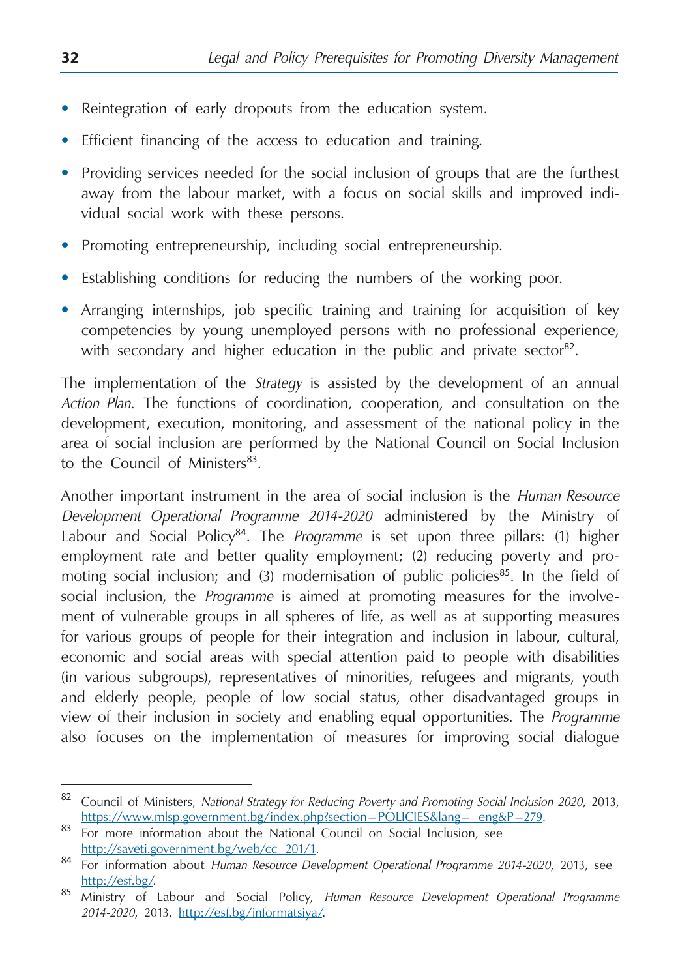- Reintegration of early dropouts from the education system.
- Efficient financing of the access to education and training.
- Providing services needed for the social inclusion of groups that are the furthest away from the labour market, with a focus on social skills and improved individual social work with these persons.
- Promoting entrepreneurship, including social entrepreneurship.
- Establishing conditions for reducing the numbers of the working poor.
- Arranging internships, job specific training and training for acquisition of key competencies by young unemployed persons with no professional experience, with secondary and higher education in the public and private sector<sup>82</sup>.

The implementation of the *Strategy* is assisted by the development of an annual *Action Plan*. The functions of coordination, cooperation, and consultation on the development, execution, monitoring, and assessment of the national policy in the area of social inclusion are performed by the National Council on Social Inclusion to the Council of Ministers<sup>83</sup>.

Another important instrument in the area of social inclusion is the *Human Resource Development Operational Programme 2014-2020* administered by the Ministry of Labour and Social Policy<sup>84</sup>. The *Programme* is set upon three pillars: (1) higher employment rate and better quality employment; (2) reducing poverty and promoting social inclusion; and (3) modernisation of public policies<sup>85</sup>. In the field of social inclusion, the *Programme* is aimed at promoting measures for the involvement of vulnerable groups in all spheres of life, as well as at supporting measures for various groups of people for their integration and inclusion in labour, cultural, economic and social areas with special attention paid to people with disabilities (in various subgroups), representatives of minorities, refugees and migrants, youth and elderly people, people of low social status, other disadvantaged groups in view of their inclusion in society and enabling equal opportunities. The *Programme* also focuses on the implementation of measures for improving social dialogue

<sup>82</sup> Council of Ministers, *National Strategy for Reducing Poverty and Promoting Social Inclusion 2020*, 2013,

https://www.mlsp.government.bg/index.php?section=POLICIES&lang=\_eng&P=279.<br><sup>83</sup> For more information about the National Council on Social Inclusion, see

[http://saveti.government.bg/web/cc\\_201/1.](http://saveti.government.bg/web/cc_201/1) <sup>84</sup> For information about *Human Resource Development Operational Programme 2014-2020*, 2013, see

<http://esf.bg/>. <sup>85</sup> Ministry of Labour and Social Policy, *Human Resource Development Operational Programme 2014-2020*, 2013, <http://esf.bg/informatsiya/>.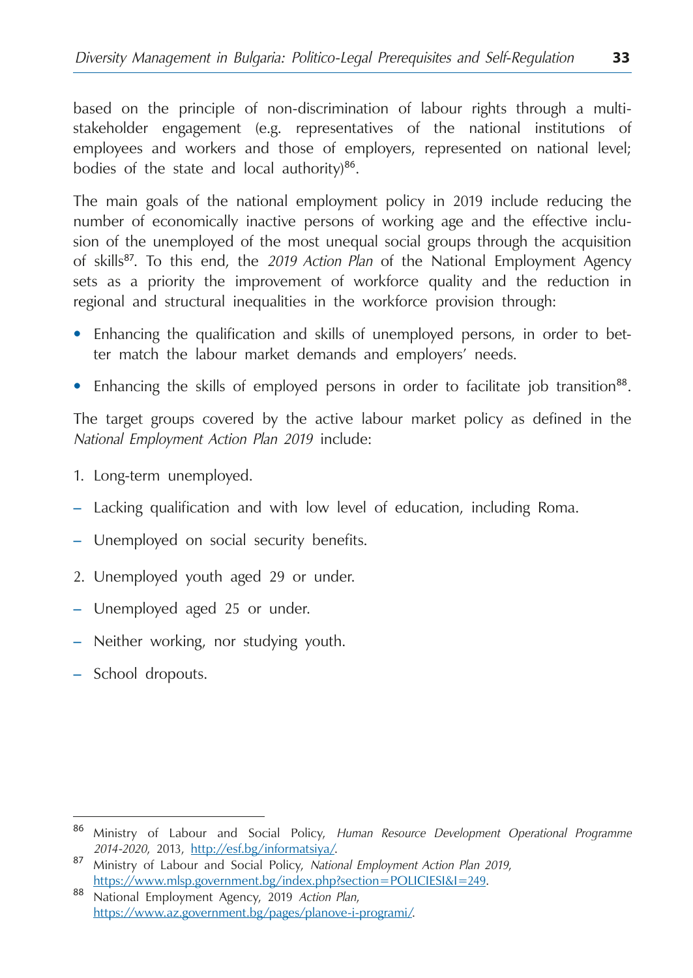based on the principle of non-discrimination of labour rights through a multistakeholder engagement (e.g. representatives of the national institutions of employees and workers and those of employers, represented on national level; bodies of the state and local authority)<sup>86</sup>.

The main goals of the national employment policy in 2019 include reducing the number of economically inactive persons of working age and the effective inclusion of the unemployed of the most unequal social groups through the acquisition of skills<sup>87</sup>. To this end, the *2019 Action Plan* of the National Employment Agency sets as a priority the improvement of workforce quality and the reduction in regional and structural inequalities in the workforce provision through:

- **•**  Enhancing the qualification and skills of unemployed persons, in order to better match the labour market demands and employers' needs.
- Enhancing the skills of employed persons in order to facilitate job transition<sup>88</sup>.

The target groups covered by the active labour market policy as defined in the *National Employment Action Plan 2019* include:

- 1. Long-term unemployed.
- Lacking qualification and with low level of education, including Roma.
- Unemployed on social security benefits.
- 2. Unemployed youth aged 29 or under.
- Unemployed aged 25 or under.
- Neither working, nor studying youth.
- School dropouts.

<sup>86</sup> Ministry of Labour and Social Policy, *Human Resource Development Operational Programme* 

*<sup>2014-2020</sup>*, 2013, [http://esf.bg/informatsiya/.](http://esf.bg/informatsiya/) <sup>87</sup> Ministry of Labour and Social Policy, *National Employment Action Plan 2019*, https://www.mlsp.government.bg/index.php?section=POLICIESI&I=249.<br>National Employment Agency, 2019 *Action Plan*,

[https://www.az.government.bg/pages/planove-i-programi/.](https://www.az.government.bg/pages/planove-i-programi/)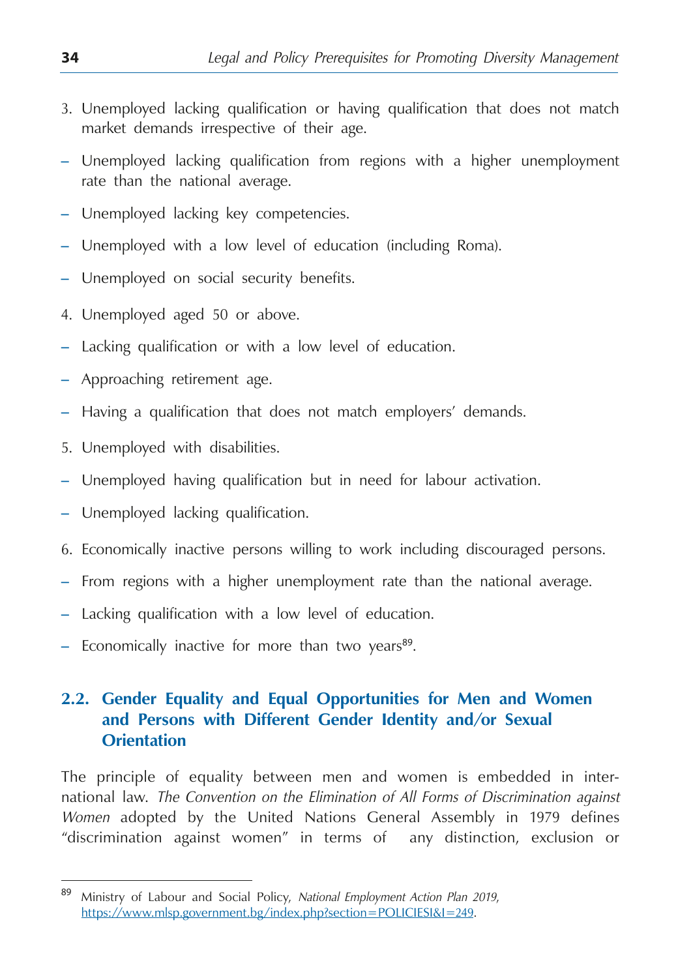- <span id="page-34-0"></span>3. Unemployed lacking qualification or having qualification that does not match market demands irrespective of their age.
- Unemployed lacking qualification from regions with a higher unemployment rate than the national average.
- Unemployed lacking key competencies.
- Unemployed with a low level of education (including Roma).
- Unemployed on social security benefits.
- 4. Unemployed aged 50 or above.
- Lacking qualification or with a low level of education.
- Approaching retirement age.
- Having a qualification that does not match employers' demands.
- 5. Unemployed with disabilities.
- Unemployed having qualification but in need for labour activation.
- Unemployed lacking qualification.
- 6. Economically inactive persons willing to work including discouraged persons.
- From regions with a higher unemployment rate than the national average.
- Lacking qualification with a low level of education.
- $-$  Economically inactive for more than two years<sup>89</sup>.

#### **2.2. Gender Equality and Equal Opportunities for Men and Women and Persons with Different Gender Identity and/or Sexual Orientation**

The principle of equality between men and women is embedded in international law. *The Convention on the Elimination of All Forms of Discrimination against Women* adopted by the United Nations General Assembly in 1979 defines "discrimination against women" in terms of any distinction, exclusion or

<sup>89</sup> Ministry of Labour and Social Policy, *National Employment Action Plan 2019*, https://www.mlsp.government.bg/index.php?section=POLICIESI&I=249.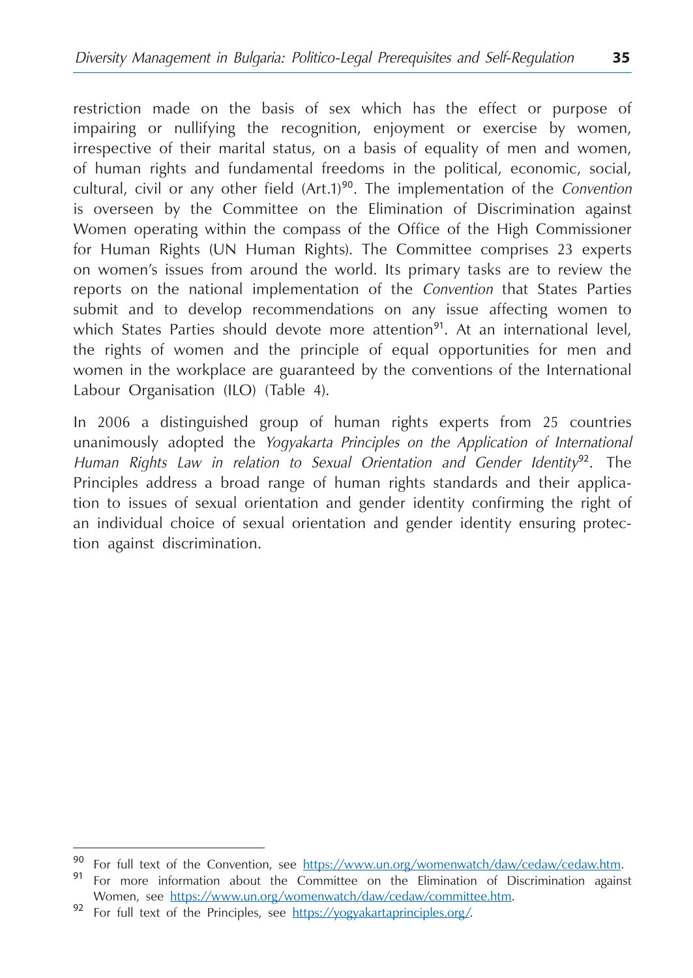restriction made on the basis of sex which has the effect or purpose of impairing or nullifying the recognition, enjoyment or exercise by women, irrespective of their marital status, on a basis of equality of men and women, of human rights and fundamental freedoms in the political, economic, social, cultural, civil or any other field (Art.1)<sup>90</sup>. The implementation of the *Convention* is overseen by the Committee on the Elimination of Discrimination against Women operating within the compass of the Office of the High Commissioner for Human Rights (UN Human Rights). The Committee comprises 23 experts on women's issues from around the world. Its primary tasks are to review the reports on the national implementation of the *Convention* that States Parties submit and to develop recommendations on any issue affecting women to which States Parties should devote more attention<sup>91</sup>. At an international level, the rights of women and the principle of equal opportunities for men and women in the workplace are guaranteed by the conventions of the International Labour Organisation (ILO) (Table 4).

In 2006 a distinguished group of human rights experts from 25 countries unanimously adopted the *Yogyakarta Principles on the Application of International Human Rights Law in relation to Sexual Orientation and Gender Identity*<sup>92</sup>. The Principles address a broad range of human rights standards and their application to issues of sexual orientation and gender identity confirming the right of an individual choice of sexual orientation and gender identity ensuring protection against discrimination.

<sup>90</sup> For full text of the Convention, see [https://www.un.org/womenwatch/daw/cedaw/cedaw.htm.](https://www.un.org/womenwatch/daw/cedaw/cedaw.htm)<br>91 For more information about the Committee on the Elimination of Discrimination against Women, see [https://www.un.org/womenwatch/daw/cedaw/committee.htm.](https://www.un.org/womenwatch/daw/cedaw/committee.htm)<br><sup>92</sup> For full text of the Principles, see [https://yogyakartaprinciples.org/.](https://yogyakartaprinciples.org/)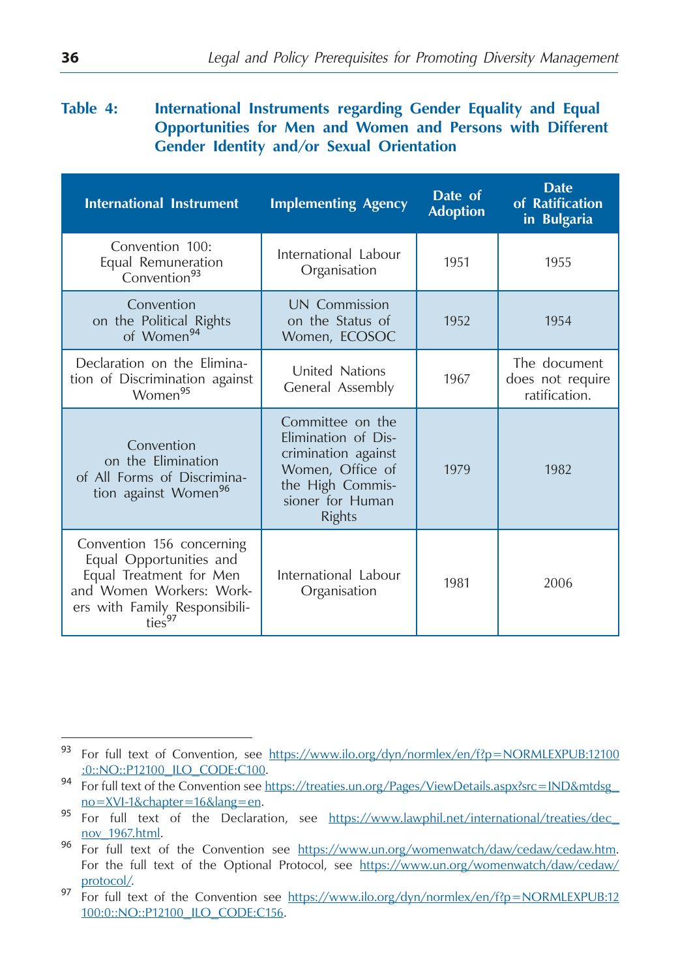#### Table 4: International Instruments regarding Gender Equality and Equal **Opportunities for Men and Women and Persons with Different Gender Identity and/or Sexual Orientation**

| <b>International Instrument</b>                                                                                                                             | <b>Implementing Agency</b>                                                                                                                  | Date of<br><b>Adoption</b> | <b>Date</b><br>of Ratification<br>in Bulgaria     |
|-------------------------------------------------------------------------------------------------------------------------------------------------------------|---------------------------------------------------------------------------------------------------------------------------------------------|----------------------------|---------------------------------------------------|
| Convention 100:<br>Equal Remuneration<br>Convention <sup>93</sup>                                                                                           | International Labour<br>Organisation                                                                                                        | 1951                       | 1955                                              |
| Convention<br>on the Political Rights<br>of Women <sup>94</sup>                                                                                             | UN Commission<br>on the Status of<br>Women, ECOSOC                                                                                          | 1952                       | 1954                                              |
| Declaration on the Elimina-<br>tion of Discrimination against<br>Women <sup>95</sup>                                                                        | United Nations<br>General Assembly                                                                                                          | 1967                       | The document<br>does not require<br>ratification. |
| Convention<br>on the Elimination<br>of All Forms of Discrimina-<br>tion against Women <sup>96</sup>                                                         | Committee on the<br>Elimination of Dis-<br>crimination against<br>Women, Office of<br>the High Commis-<br>sioner for Human<br><b>Rights</b> | 1979                       | 1982                                              |
| Convention 156 concerning<br>Equal Opportunities and<br>Equal Treatment for Men<br>and Women Workers: Work-<br>ers with Family Responsibili-<br>$ties^{97}$ | International Labour<br>Organisation                                                                                                        | 1981                       | 2006                                              |

<sup>93</sup> For full text of Convention, see https://www.ilo.org/dyn/normlex/en/f?p=NORMLEXPUB:12100

<sup>:0::</sup>NO::P12100\_ILO\_CODE:C100. <sup>94</sup> For full text of the Convention see https://treaties.un.org/Pages/ViewDetails.aspx?src=IND&mtdsg\_

no=XVI-1&chapter=16&lang=en.<br><sup>95</sup> For full text of the Declaration, see https://www.lawphil.net/international/treaties/dec\_

nov\_1967.html.<br>
96 For full text of the Convention see https://www.un.org/womenwatch/daw/cedaw/cedaw.htm. For the full text of the Optional Protocol, see https://www.un.org/womenwatch/daw/cedaw/

protocol/.<br><sup>97</sup> For full text of the Convention see https://www.ilo.org/dyn/normlex/en/f?p=NORMLEXPUB:12 100:0::NO::P12100\_ILO\_CODE:C156.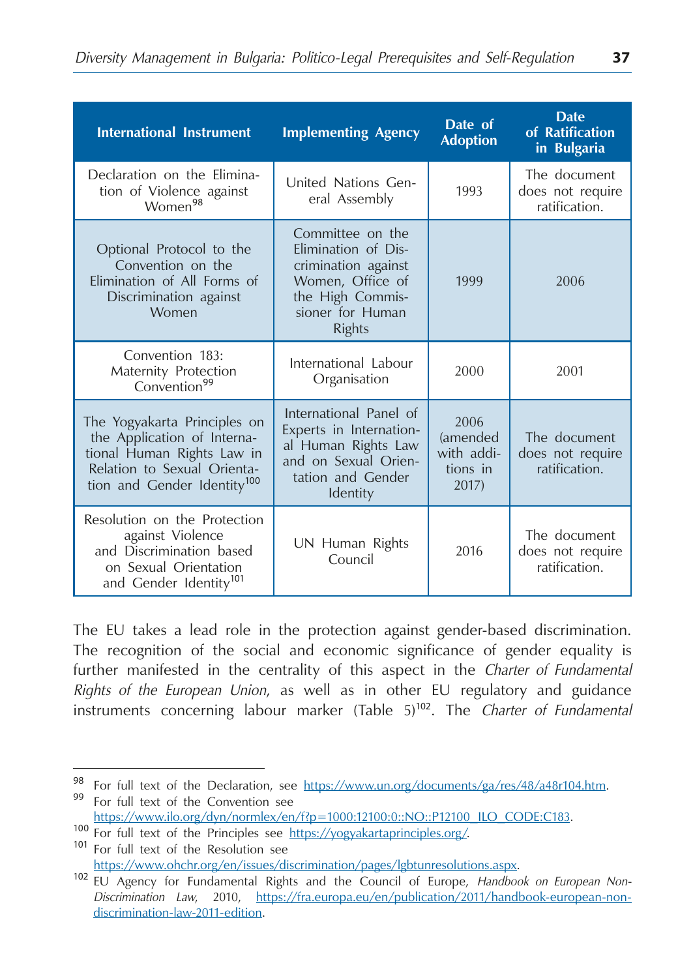| <b>International Instrument</b>                                                                                                                                     | <b>Implementing Agency</b>                                                                                                           | Date of<br><b>Adoption</b>                          | <b>Date</b><br>of Ratification<br>in Bulgaria     |
|---------------------------------------------------------------------------------------------------------------------------------------------------------------------|--------------------------------------------------------------------------------------------------------------------------------------|-----------------------------------------------------|---------------------------------------------------|
| Declaration on the Elimina-<br>tion of Violence against<br>Women <sup>98</sup>                                                                                      | United Nations Gen-<br>eral Assembly                                                                                                 | 1993                                                | The document<br>does not require<br>ratification. |
| Optional Protocol to the<br>Convention on the<br>Elimination of All Forms of<br>Discrimination against<br>Women                                                     | Committee on the<br>Elimination of Dis-<br>crimination against<br>Women, Office of<br>the High Commis-<br>sioner for Human<br>Rights | 1999                                                | 2006                                              |
| Convention 183:<br>Maternity Protection<br>Convention <sup>99</sup>                                                                                                 | International Labour<br>Organisation                                                                                                 | 2000                                                | 2001                                              |
| The Yogyakarta Principles on<br>the Application of Interna-<br>tional Human Rights Law in<br>Relation to Sexual Orienta-<br>tion and Gender Identity <sup>100</sup> | International Panel of<br>Experts in Internation-<br>al Human Rights Law<br>and on Sexual Orien-<br>tation and Gender<br>Identity    | 2006<br>(amended<br>with addi-<br>tions in<br>2017) | The document<br>does not require<br>ratification. |
| Resolution on the Protection<br>against Violence<br>and Discrimination based<br>on Sexual Orientation<br>and Gender Identity <sup>101</sup>                         | UN Human Rights<br>Council                                                                                                           | 2016                                                | The document<br>does not require<br>ratification. |

The EU takes a lead role in the protection against gender-based discrimination. The recognition of the social and economic significance of gender equality is further manifested in the centrality of this aspect in the *Charter of Fundamental Rights of the European Union*, as well as in other EU regulatory and guidance instruments concerning labour marker (Table 5)<sup>102</sup>. The *Charter of Fundamental* 

<sup>98</sup> For full text of the Declaration, see <u>https://www.un.org/documents/ga/res/48/a48r104.htm</u>.<br>99 For full text of the Convention see<br>https://www.ilo.org/dyn/normlex/en/f?p=1000:12100:0::NO::P12100\_ILO\_CODE:C183.

 $\frac{100}{100}$  For full text of the Principles see https://yogyakartaprinciples.org/. 101 For full text of the Resolution see

https://www.ohchr.org/en/issues/discrimination/pages/lgbtunresolutions.aspx. <sup>102</sup> EU Agency for Fundamental Rights and the Council of Europe, *Handbook on European Non-Discrimination Law*, 2010, https://fra.europa.eu/en/publication/2011/handbook-european-nondiscrimination-law-2011-edition.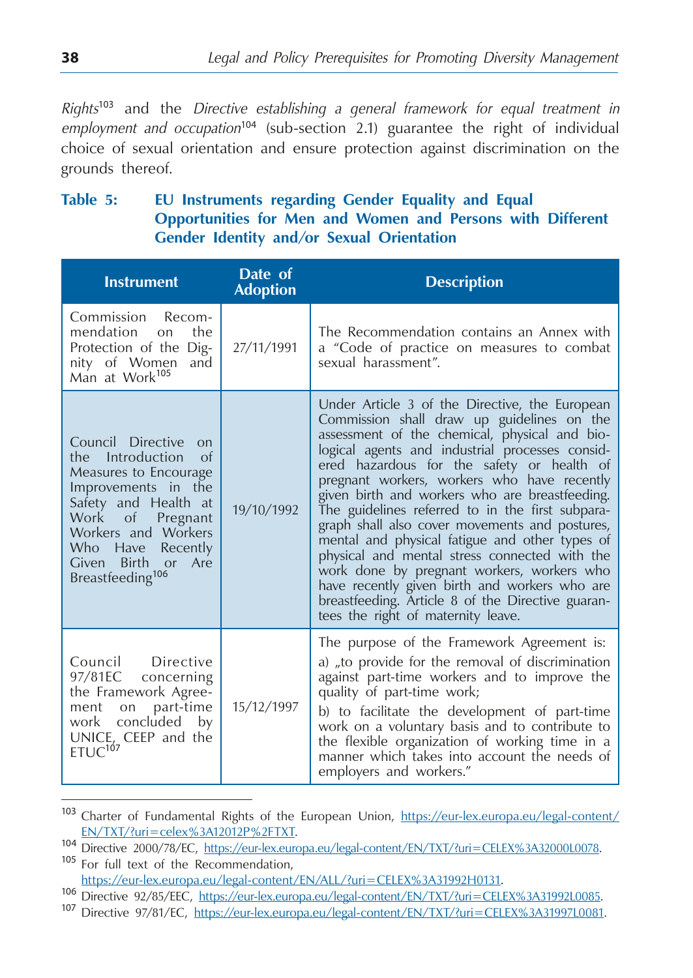*Rights*<sup>103</sup> and the *Directive establishing a general framework for equal treatment in employment and occupation*<sup>104</sup> (sub-section 2.1) guarantee the right of individual choice of sexual orientation and ensure protection against discrimination on the grounds thereof.

# **Table 5: EU Instruments regarding Gender Equality and Equal Opportunities for Men and Women and Persons with Different Gender Identity and/or Sexual Orientation**

| <b>Instrument</b>                                                                                                                                                                                                                                              | Date of<br><b>Adoption</b> | <b>Description</b>                                                                                                                                                                                                                                                                                                                                                                                                                                                                                                                                                                                                                                                                                                                                 |
|----------------------------------------------------------------------------------------------------------------------------------------------------------------------------------------------------------------------------------------------------------------|----------------------------|----------------------------------------------------------------------------------------------------------------------------------------------------------------------------------------------------------------------------------------------------------------------------------------------------------------------------------------------------------------------------------------------------------------------------------------------------------------------------------------------------------------------------------------------------------------------------------------------------------------------------------------------------------------------------------------------------------------------------------------------------|
| Commission Recom-<br>mendation<br>the<br>$\Omega$<br>Protection of the Dig-<br>nity of Women<br>and<br>Man at Work <sup>105</sup>                                                                                                                              | 27/11/1991                 | The Recommendation contains an Annex with<br>a "Code of practice on measures to combat<br>sexual harassment".                                                                                                                                                                                                                                                                                                                                                                                                                                                                                                                                                                                                                                      |
| Council Directive<br>$\Omega$<br>the Introduction<br>$\alpha$<br>Measures to Encourage<br>Improvements in the<br>Safety and Health at<br>Work of<br>Pregnant<br>Workers and Workers<br>Who Have Recently<br>Given Birth or Are<br>Breastfeeding <sup>106</sup> | 19/10/1992                 | Under Article 3 of the Directive, the European<br>Commission shall draw up guidelines on the<br>assessment of the chemical, physical and bio-<br>logical agents and industrial processes consid-<br>ered hazardous for the safety or health of<br>pregnant workers, workers who have recently<br>given birth and workers who are breastfeeding.<br>The guidelines referred to in the first subpara-<br>graph shall also cover movements and postures,<br>mental and physical fatigue and other types of<br>physical and mental stress connected with the<br>work done by pregnant workers, workers who<br>have recently given birth and workers who are<br>breastfeeding. Article 8 of the Directive guaran-<br>tees the right of maternity leave. |
| Council Directive<br>97/81EC concerning<br>the Framework Agree-<br>ment on part-time<br>work concluded by<br>UNICE <sub>L</sub> CEEP and the<br>$ETUC^{107}$                                                                                                   | 15/12/1997                 | The purpose of the Framework Agreement is:<br>a) to provide for the removal of discrimination<br>against part-time workers and to improve the<br>quality of part-time work;<br>b) to facilitate the development of part-time<br>work on a voluntary basis and to contribute to<br>the flexible organization of working time in a<br>manner which takes into account the needs of<br>employers and workers."                                                                                                                                                                                                                                                                                                                                        |

<sup>103</sup> Charter of Fundamental Rights of the European Union, [https://eur-lex.europa.eu/legal-content/](https://eur-lex.europa.eu/legal-content/EN/TXT/?uri=celex%3A12012P%2FTXT)

[EN/TXT/?uri=celex%3A12012P%2FTXT.](https://eur-lex.europa.eu/legal-content/EN/TXT/?uri=celex%3A12012P%2FTXT)<br>
104 Directive 2000/78/EC, [https://eur-lex.europa.eu/legal-content/EN/TXT/?uri=CELEX%3A32000L0078.](https://eur-lex.europa.eu/legal-content/EN/TXT/?uri=CELEX%3A32000L0078)<br>
105 For full text of the Recommendation,<br>
https://eur-lex.europa.eu/legal-content/EN/ALL

<sup>106</sup> Directive 92/85/EEC, https://eur-lex.europa.eu/legal-content/EN/TXT/?uri=CELEX%3A31992L0085.<br>107 Directive 97/81/EC, https://eur-lex.europa.eu/legal-content/EN/TXT/?uri=CELEX%3A31997L0081.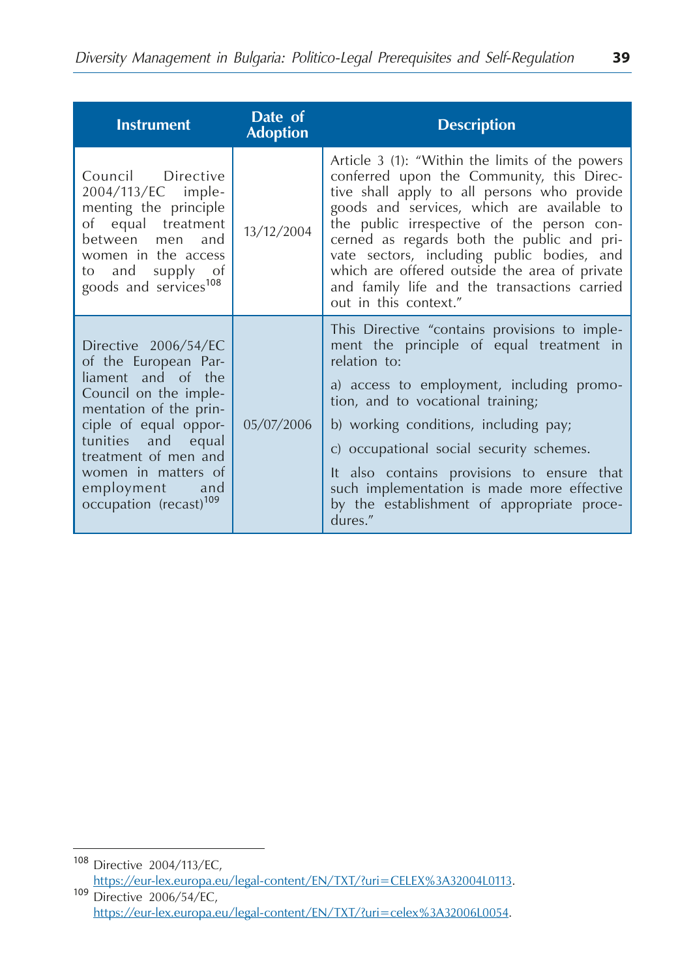| <b>Instrument</b>                                                                                                                                                                                                                                                              | Date of<br><b>Adoption</b> | <b>Description</b>                                                                                                                                                                                                                                                                                                                                                                                                                                            |
|--------------------------------------------------------------------------------------------------------------------------------------------------------------------------------------------------------------------------------------------------------------------------------|----------------------------|---------------------------------------------------------------------------------------------------------------------------------------------------------------------------------------------------------------------------------------------------------------------------------------------------------------------------------------------------------------------------------------------------------------------------------------------------------------|
| Council Directive<br>2004/113/EC imple-<br>menting the principle<br>of equal treatment<br>between men and<br>women in the access<br>to and supply of<br>goods and services <sup>108</sup>                                                                                      | 13/12/2004                 | Article 3 (1): "Within the limits of the powers<br>conferred upon the Community, this Direc-<br>tive shall apply to all persons who provide<br>goods and services, which are available to<br>the public irrespective of the person con-<br>cerned as regards both the public and pri-<br>vate sectors, including public bodies, and<br>which are offered outside the area of private<br>and family life and the transactions carried<br>out in this context." |
| Directive 2006/54/EC<br>of the European Par-<br>liament and of the<br>Council on the imple-<br>mentation of the prin-<br>ciple of equal oppor-<br>tunities and equal<br>treatment of men and<br>women in matters of<br>employment<br>and<br>occupation (recast) <sup>109</sup> | 05/07/2006                 | This Directive "contains provisions to imple-<br>ment the principle of equal treatment in<br>relation to:<br>a) access to employment, including promo-<br>tion, and to vocational training;<br>b) working conditions, including pay;<br>c) occupational social security schemes.<br>It also contains provisions to ensure that<br>such implementation is made more effective<br>by the establishment of appropriate proce-<br>dures."                         |

<sup>108</sup> Directive 2004/113/ЕC, https://eur-lex.europa.eu/legal-content/EN/TXT/?uri=CELEX%3A32004L0113.<br>109 Directive 2006/54/EC,

https://eur-lex.europa.eu/legal-content/EN/TXT/?uri=celex%3A32006L0054.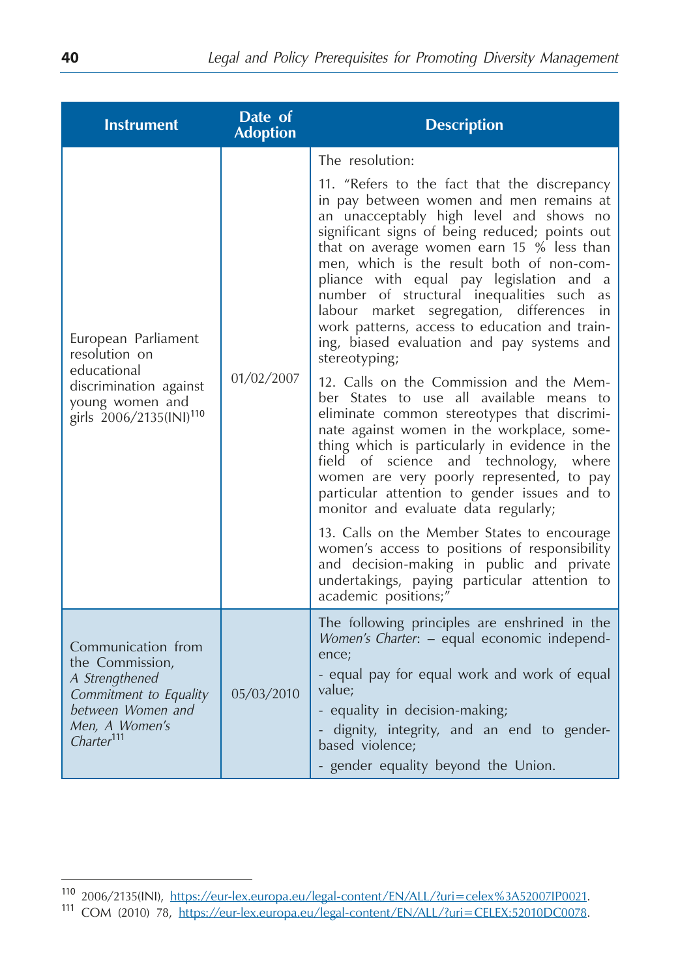| <b>Instrument</b>                                                                                                                                  | Date of<br><b>Adoption</b> | <b>Description</b>                                                                                                                                                                                                                                                                                                                                                                                                                                                                                                                                                                                                                                                                                                                                                                                                                                                                                                                                                                                                                                                                                                                                                                                       |
|----------------------------------------------------------------------------------------------------------------------------------------------------|----------------------------|----------------------------------------------------------------------------------------------------------------------------------------------------------------------------------------------------------------------------------------------------------------------------------------------------------------------------------------------------------------------------------------------------------------------------------------------------------------------------------------------------------------------------------------------------------------------------------------------------------------------------------------------------------------------------------------------------------------------------------------------------------------------------------------------------------------------------------------------------------------------------------------------------------------------------------------------------------------------------------------------------------------------------------------------------------------------------------------------------------------------------------------------------------------------------------------------------------|
| European Parliament<br>resolution on<br>educational<br>discrimination against<br>young women and<br>girls 2006/2135(INI) <sup>110</sup>            | 01/02/2007                 | The resolution:<br>11. "Refers to the fact that the discrepancy<br>in pay between women and men remains at<br>an unacceptably high level and shows no<br>significant signs of being reduced; points out<br>that on average women earn 15 % less than<br>men, which is the result both of non-com-<br>pliance with equal pay legislation and a<br>number of structural inequalities such<br>as<br>labour market segregation, differences<br>in<br>work patterns, access to education and train-<br>ing, biased evaluation and pay systems and<br>stereotyping;<br>12. Calls on the Commission and the Mem-<br>ber States to use all available means to<br>eliminate common stereotypes that discrimi-<br>nate against women in the workplace, some-<br>thing which is particularly in evidence in the<br>field of science and technology, where<br>women are very poorly represented, to pay<br>particular attention to gender issues and to<br>monitor and evaluate data regularly;<br>13. Calls on the Member States to encourage<br>women's access to positions of responsibility<br>and decision-making in public and private<br>undertakings, paying particular attention to<br>academic positions;" |
| Communication from<br>the Commission,<br>A Strengthened<br>Commitment to Equality<br>between Women and<br>Men, A Women's<br>Charter <sup>111</sup> | 05/03/2010                 | The following principles are enshrined in the<br>Women's Charter: - equal economic independ-<br>ence;<br>- equal pay for equal work and work of equal<br>value;<br>- equality in decision-making;<br>dignity, integrity, and an end to gender-<br>based violence:<br>- gender equality beyond the Union.                                                                                                                                                                                                                                                                                                                                                                                                                                                                                                                                                                                                                                                                                                                                                                                                                                                                                                 |

<sup>110</sup> 2006/2135(INI), https://eur-lex.europa.eu/legal-content/EN/ALL/?uri=celex%3A52007IP0021. <sup>111</sup> COM (2010) 78, https://eur-lex.europa.eu/legal-content/EN/ALL/?uri=CELEX:52010DC0078.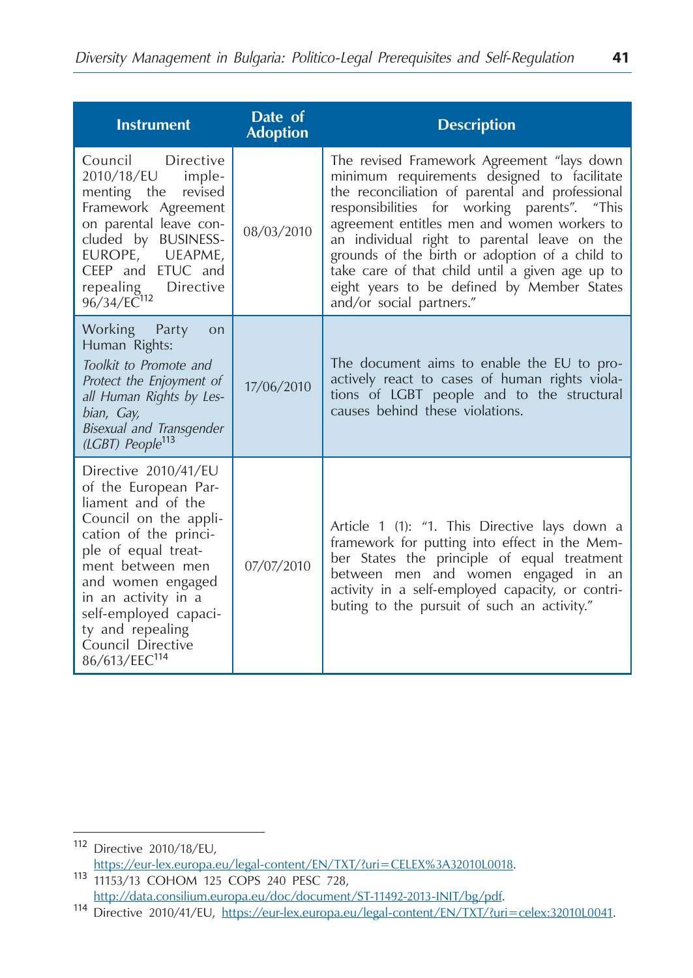| <b>Instrument</b>                                                                                                                                                                                                                                                                                          | Date of<br><b>Adoption</b> | <b>Description</b>                                                                                                                                                                                                                                                                                                                                                                                                                                                         |
|------------------------------------------------------------------------------------------------------------------------------------------------------------------------------------------------------------------------------------------------------------------------------------------------------------|----------------------------|----------------------------------------------------------------------------------------------------------------------------------------------------------------------------------------------------------------------------------------------------------------------------------------------------------------------------------------------------------------------------------------------------------------------------------------------------------------------------|
| Council<br>Directive<br>2010/18/EU<br>imple-<br>menting the<br>revised<br>Framework Agreement<br>on parental leave con-<br>cluded by BUSINESS-<br>EUROPE, UEAPME,<br>CEEP and ETUC and<br>repealing Directive<br>96/34/EC <sup>112</sup>                                                                   | 08/03/2010                 | The revised Framework Agreement "lays down<br>minimum requirements designed to facilitate<br>the reconciliation of parental and professional<br>responsibilities for working parents". "This<br>agreement entitles men and women workers to<br>an individual right to parental leave on the<br>grounds of the birth or adoption of a child to<br>take care of that child until a given age up to<br>eight years to be defined by Member States<br>and/or social partners." |
| Working Party<br>on<br>Human Rights:<br>Toolkit to Promote and<br>Protect the Enjoyment of<br>all Human Rights by Les-<br>bian, Gay,<br>Bisexual and Transgender<br>(LGBT) People <sup>113</sup>                                                                                                           | 17/06/2010                 | The document aims to enable the EU to pro-<br>actively react to cases of human rights viola-<br>tions of LGBT people and to the structural<br>causes behind these violations.                                                                                                                                                                                                                                                                                              |
| Directive 2010/41/EU<br>of the European Par-<br>liament and of the<br>Council on the appli-<br>cation of the princi-<br>ple of equal treat-<br>ment between men<br>and women engaged<br>in an activity in a<br>self-employed capaci-<br>ty and repealing<br>Council Directive<br>86/613/EEC <sup>114</sup> | 07/07/2010                 | Article 1 (1): "1. This Directive lays down a<br>framework for putting into effect in the Mem-<br>ber States the principle of equal treatment<br>between men and women engaged in an<br>activity in a self-employed capacity, or contri-<br>buting to the pursuit of such an activity."                                                                                                                                                                                    |

<sup>112</sup> Directive 2010/18/ЕU, https://eur-lex.europa.eu/legal-content/EN/TXT/?uri=CELEX%3A32010L0018.<br>113 11153/13 COHOM 125 COPS 240 PESC 728,

http://data.consilium.europa.eu/doc/document/ST-11492-2013-INIT/bg/pdf.<br>114 Directive 2010/41/EU, https://eur-lex.europa.eu/legal-content/EN/TXT/?uri=celex:32010L0041.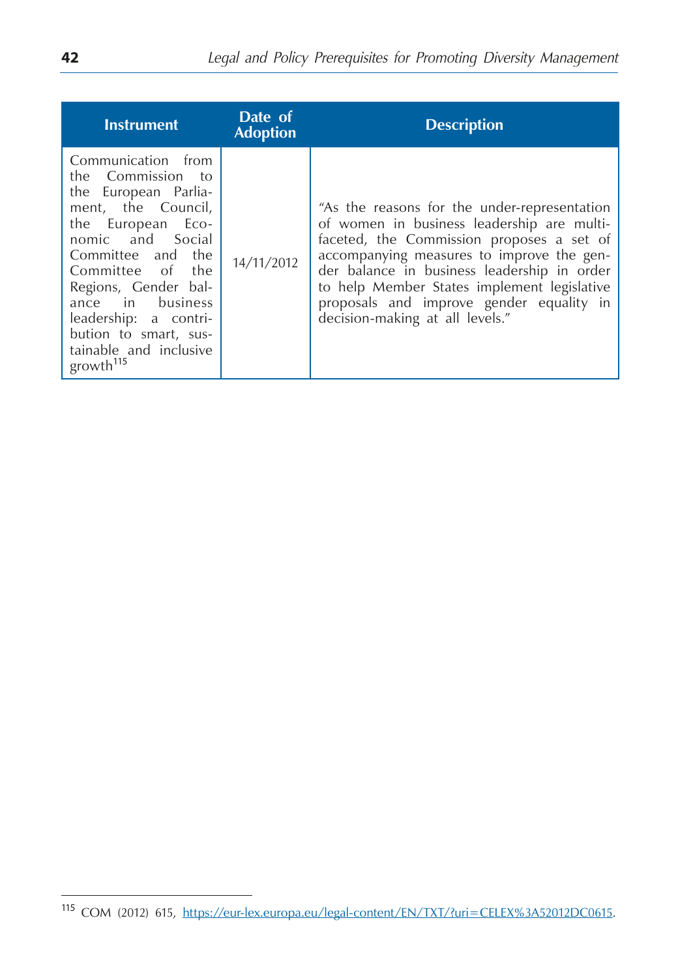| <b>Instrument</b>                                                                                                                                                                                                                                                                                                        | Date of<br><b>Adoption</b> | <b>Description</b>                                                                                                                                                                                                                                                                                                                                                |
|--------------------------------------------------------------------------------------------------------------------------------------------------------------------------------------------------------------------------------------------------------------------------------------------------------------------------|----------------------------|-------------------------------------------------------------------------------------------------------------------------------------------------------------------------------------------------------------------------------------------------------------------------------------------------------------------------------------------------------------------|
| Communication from<br>the Commission to<br>the European Parlia-<br>ment, the Council,<br>the European Eco-<br>nomic and Social<br>Committee and the<br>Committee of the<br>Regions, Gender bal-<br>ance in business<br>leadership: a contri-<br>bution to smart, sus-<br>tainable and inclusive<br>growth <sup>115</sup> | 14/11/2012                 | "As the reasons for the under-representation<br>of women in business leadership are multi-<br>faceted, the Commission proposes a set of<br>accompanying measures to improve the gen-<br>der balance in business leadership in order<br>to help Member States implement legislative<br>proposals and improve gender equality in<br>decision-making at all levels." |

<sup>115</sup> COM (2012) 615, https://eur-lex.europa.eu/legal-content/EN/TXT/?uri=CELEX%3A52012DC0615.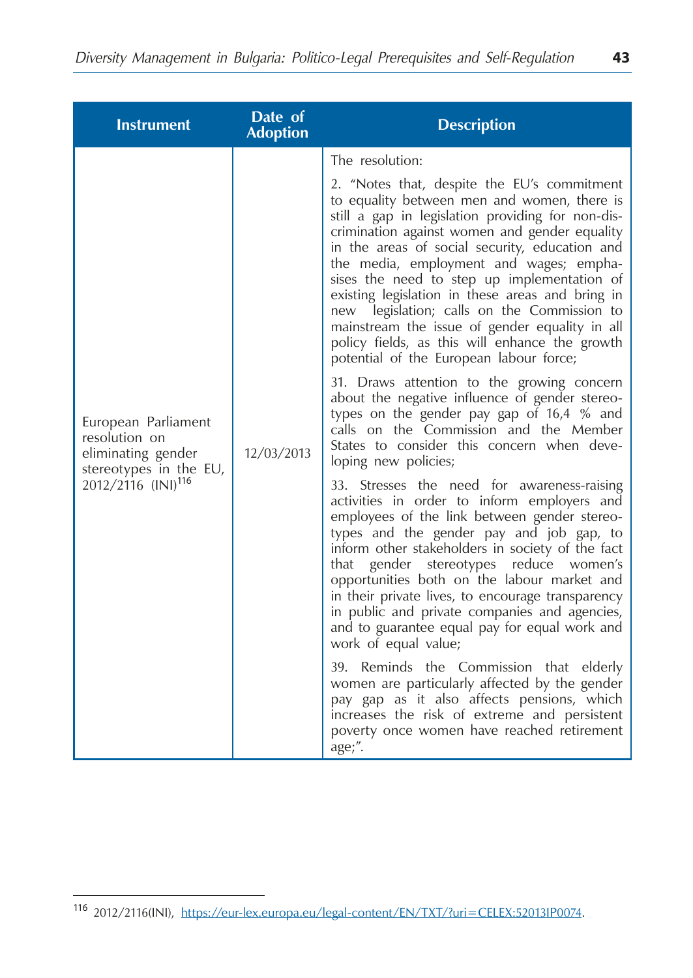| <b>Instrument</b>                                                                                                      | Date of<br><b>Adoption</b> | <b>Description</b>                                                                                                                                                                                                                                                                                                                                                                                                                                                                                                    |
|------------------------------------------------------------------------------------------------------------------------|----------------------------|-----------------------------------------------------------------------------------------------------------------------------------------------------------------------------------------------------------------------------------------------------------------------------------------------------------------------------------------------------------------------------------------------------------------------------------------------------------------------------------------------------------------------|
| European Parliament<br>resolution on<br>eliminating gender<br>stereotypes in the EU,<br>2012/2116 (INI) <sup>116</sup> | 12/03/2013                 | The resolution:<br>2. "Notes that, despite the EU's commitment<br>to equality between men and women, there is<br>still a gap in legislation providing for non-dis-<br>crimination against women and gender equality<br>in the areas of social security, education and                                                                                                                                                                                                                                                 |
|                                                                                                                        |                            | the media, employment and wages; empha-<br>sises the need to step up implementation of<br>existing legislation in these areas and bring in<br>new legislation; calls on the Commission to<br>mainstream the issue of gender equality in all<br>policy fields, as this will enhance the growth<br>potential of the European labour force;                                                                                                                                                                              |
|                                                                                                                        |                            | 31. Draws attention to the growing concern<br>about the negative influence of gender stereo-<br>types on the gender pay gap of 16,4 % and<br>calls on the Commission and the Member<br>States to consider this concern when deve-<br>loping new policies;                                                                                                                                                                                                                                                             |
|                                                                                                                        |                            | 33. Stresses the need for awareness-raising<br>activities in order to inform employers and<br>employees of the link between gender stereo-<br>types and the gender pay and job gap, to<br>inform other stakeholders in society of the fact<br>gender stereotypes reduce women's<br>that<br>opportunities both on the labour market and<br>in their private lives, to encourage transparency<br>in public and private companies and agencies,<br>and to guarantee equal pay for equal work and<br>work of equal value; |
|                                                                                                                        |                            | 39. Reminds the Commission that elderly<br>women are particularly affected by the gender<br>pay gap as it also affects pensions, which<br>increases the risk of extreme and persistent<br>poverty once women have reached retirement<br>age;".                                                                                                                                                                                                                                                                        |

<sup>116</sup> 2012/2116(INI), https://eur-lex.europa.eu/legal-content/EN/TXT/?uri=CELEX:52013IP0074.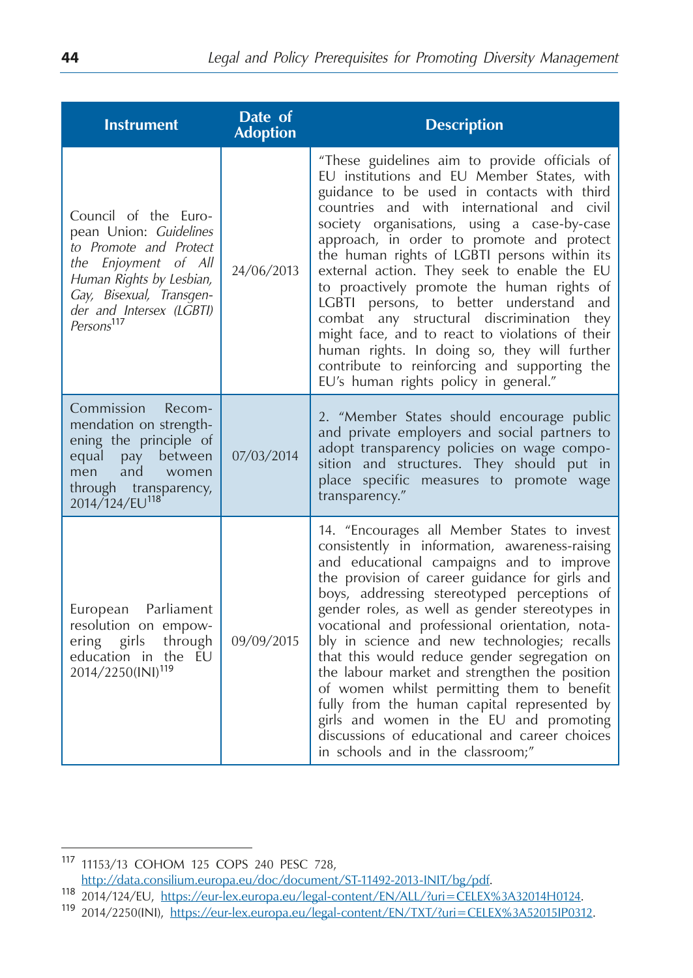| <b>Instrument</b>                                                                                                                                                                                              | Date of<br><b>Adoption</b> | <b>Description</b>                                                                                                                                                                                                                                                                                                                                                                                                                                                                                                                                                                                                                                                                                                            |
|----------------------------------------------------------------------------------------------------------------------------------------------------------------------------------------------------------------|----------------------------|-------------------------------------------------------------------------------------------------------------------------------------------------------------------------------------------------------------------------------------------------------------------------------------------------------------------------------------------------------------------------------------------------------------------------------------------------------------------------------------------------------------------------------------------------------------------------------------------------------------------------------------------------------------------------------------------------------------------------------|
| Council of the Euro-<br>pean Union: Guidelines<br>to Promote and Protect<br>the Enjoyment of All<br>Human Rights by Lesbian,<br>Gay, Bisexual, Transgen-<br>der and Intersex (LGBTI)<br>Persons <sup>117</sup> | 24/06/2013                 | "These guidelines aim to provide officials of<br>EU institutions and EU Member States, with<br>guidance to be used in contacts with third<br>countries and with international and civil<br>society organisations, using a case-by-case<br>approach, in order to promote and protect<br>the human rights of LGBTI persons within its<br>external action. They seek to enable the EU<br>to proactively promote the human rights of<br>LGBTI persons, to better understand and<br>combat any structural discrimination<br>they<br>might face, and to react to violations of their<br>human rights. In doing so, they will further<br>contribute to reinforcing and supporting the<br>EU's human rights policy in general."       |
| Commission<br>Recom-<br>mendation on strength-<br>ening the principle of<br>equal pay between<br>and<br>women<br>men<br>through transparency,<br>2014/124/EU <sup>118</sup>                                    | 07/03/2014                 | 2. "Member States should encourage public<br>and private employers and social partners to<br>adopt transparency policies on wage compo-<br>sition and structures. They should put in<br>place specific measures to promote wage<br>transparency."                                                                                                                                                                                                                                                                                                                                                                                                                                                                             |
| European Parliament<br>resolution on empow-<br>through<br>ering<br>girls<br>education in the EU<br>2014/2250(INI) <sup>119</sup>                                                                               | 09/09/2015                 | 14. "Encourages all Member States to invest<br>consistently in information, awareness-raising<br>and educational campaigns and to improve<br>the provision of career guidance for girls and<br>boys, addressing stereotyped perceptions of<br>gender roles, as well as gender stereotypes in<br>vocational and professional orientation, nota-<br>bly in science and new technologies; recalls<br>that this would reduce gender segregation on<br>the labour market and strengthen the position<br>of women whilst permitting them to benefit<br>fully from the human capital represented by<br>girls and women in the EU and promoting<br>discussions of educational and career choices<br>in schools and in the classroom;" |

<sup>118</sup> 2014/124/EU, https://eur-lex.europa.eu/legal-content/EN/ALL/?uri=CELEX%3A32014H0124.<br><sup>119</sup> 2014/2250(INI), https://eur-lex.europa.eu/legal-content/EN/TXT/?uri=CELEX%3A52015IP0312.

<sup>&</sup>lt;sup>117</sup> 11153/13 COHOM 125 COPS 240 PESC 728,<br>http://data.consilium.europa.eu/doc/document/ST-11492-2013-INIT/bg/pdf.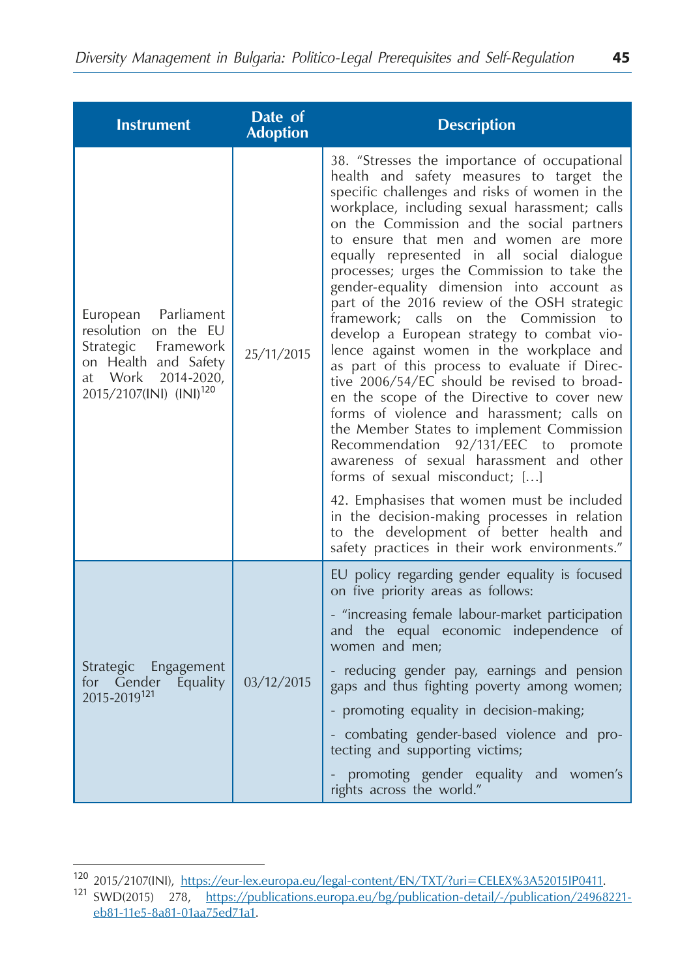| <b>Instrument</b>                                                                                                                                          | Date of<br><b>Adoption</b> | <b>Description</b>                                                                                                                                                                                                                                                                                                                                                                                                                                                                                                                                                                                                                                                                                                                                                                                                                                                                                                                                                                                                                                                                                                    |
|------------------------------------------------------------------------------------------------------------------------------------------------------------|----------------------------|-----------------------------------------------------------------------------------------------------------------------------------------------------------------------------------------------------------------------------------------------------------------------------------------------------------------------------------------------------------------------------------------------------------------------------------------------------------------------------------------------------------------------------------------------------------------------------------------------------------------------------------------------------------------------------------------------------------------------------------------------------------------------------------------------------------------------------------------------------------------------------------------------------------------------------------------------------------------------------------------------------------------------------------------------------------------------------------------------------------------------|
| European Parliament<br>resolution on the EU<br>Strategic<br>Framework<br>on Health and Safety<br>at Work 2014-2020,<br>2015/2107(INI) (INI) <sup>120</sup> | 25/11/2015                 | 38. "Stresses the importance of occupational<br>health and safety measures to target the<br>specific challenges and risks of women in the<br>workplace, including sexual harassment; calls<br>on the Commission and the social partners<br>to ensure that men and women are more<br>equally represented in all social dialogue<br>processes; urges the Commission to take the<br>gender-equality dimension into account as<br>part of the 2016 review of the OSH strategic<br>framework; calls on the Commission to<br>develop a European strategy to combat vio-<br>lence against women in the workplace and<br>as part of this process to evaluate if Direc-<br>tive 2006/54/EC should be revised to broad-<br>en the scope of the Directive to cover new<br>forms of violence and harassment; calls on<br>the Member States to implement Commission<br>Recommendation 92/131/EEC to promote<br>awareness of sexual harassment and other<br>forms of sexual misconduct; []<br>42. Emphasises that women must be included<br>in the decision-making processes in relation<br>to the development of better health and |
|                                                                                                                                                            |                            | safety practices in their work environments."                                                                                                                                                                                                                                                                                                                                                                                                                                                                                                                                                                                                                                                                                                                                                                                                                                                                                                                                                                                                                                                                         |
|                                                                                                                                                            |                            | EU policy regarding gender equality is focused<br>on five priority areas as follows:                                                                                                                                                                                                                                                                                                                                                                                                                                                                                                                                                                                                                                                                                                                                                                                                                                                                                                                                                                                                                                  |
| Strategic Engagement<br>for Gender<br>Equality<br>2015-2019 <sup>121</sup>                                                                                 |                            | - "increasing female labour-market participation<br>and the equal economic independence of<br>women and men;                                                                                                                                                                                                                                                                                                                                                                                                                                                                                                                                                                                                                                                                                                                                                                                                                                                                                                                                                                                                          |
|                                                                                                                                                            | 03/12/2015                 | - reducing gender pay, earnings and pension<br>gaps and thus fighting poverty among women;                                                                                                                                                                                                                                                                                                                                                                                                                                                                                                                                                                                                                                                                                                                                                                                                                                                                                                                                                                                                                            |
|                                                                                                                                                            |                            | - promoting equality in decision-making;                                                                                                                                                                                                                                                                                                                                                                                                                                                                                                                                                                                                                                                                                                                                                                                                                                                                                                                                                                                                                                                                              |
|                                                                                                                                                            |                            | - combating gender-based violence and pro-<br>tecting and supporting victims;                                                                                                                                                                                                                                                                                                                                                                                                                                                                                                                                                                                                                                                                                                                                                                                                                                                                                                                                                                                                                                         |
|                                                                                                                                                            |                            | promoting gender equality and women's<br>rights across the world."                                                                                                                                                                                                                                                                                                                                                                                                                                                                                                                                                                                                                                                                                                                                                                                                                                                                                                                                                                                                                                                    |

<sup>120</sup> 2015/2107(INI), https://eur-lex.europa.eu/legal-content/EN/TXT/?uri=CELEX%3A52015IP0411. <sup>121</sup> SWD(2015) 278, https://publications.europa.eu/bg/publication-detail/-/publication/24968221 eb81-11e5-8a81-01aa75ed71a1.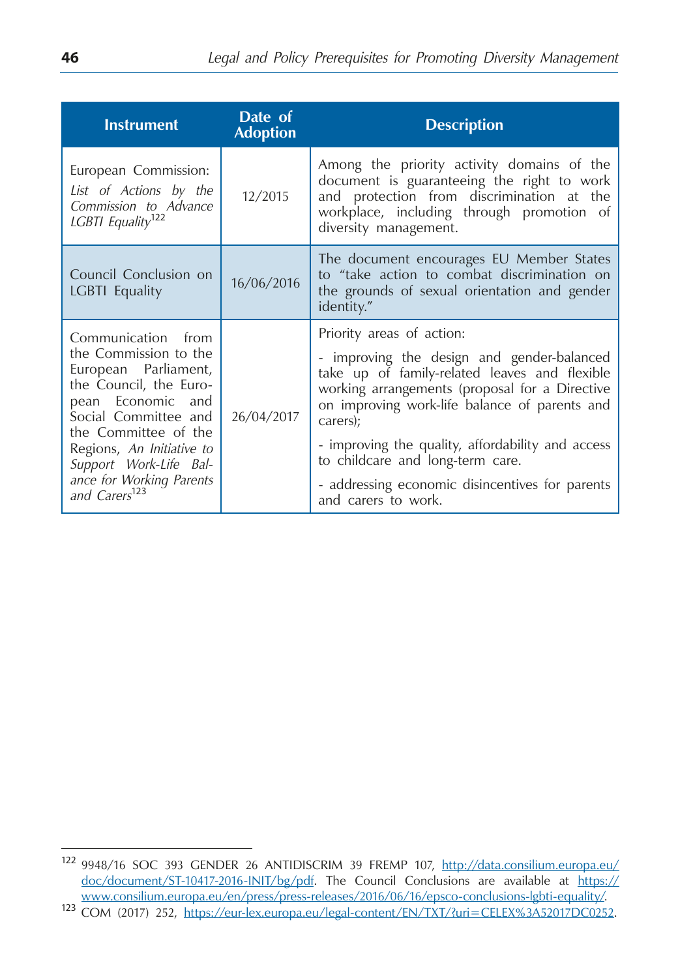| <b>Instrument</b>                                                                                                                                                                                                                                                                  | Date of<br><b>Adoption</b> | <b>Description</b>                                                                                                                                                                                                                                                                                                                                                                                         |
|------------------------------------------------------------------------------------------------------------------------------------------------------------------------------------------------------------------------------------------------------------------------------------|----------------------------|------------------------------------------------------------------------------------------------------------------------------------------------------------------------------------------------------------------------------------------------------------------------------------------------------------------------------------------------------------------------------------------------------------|
| European Commission:<br>List of Actions by the<br>Commission to Advance<br>LGBTI Equality <sup>122</sup>                                                                                                                                                                           | 12/2015                    | Among the priority activity domains of the<br>document is guaranteeing the right to work<br>and protection from discrimination at the<br>workplace, including through promotion of<br>diversity management.                                                                                                                                                                                                |
| Council Conclusion on<br><b>LGBTI</b> Equality                                                                                                                                                                                                                                     | 16/06/2016                 | The document encourages EU Member States<br>to "take action to combat discrimination on<br>the grounds of sexual orientation and gender<br>identity."                                                                                                                                                                                                                                                      |
| Communication from<br>the Commission to the<br>European Parliament,<br>the Council, the Euro-<br>pean Economic and<br>Social Committee and<br>the Committee of the<br>Regions, An Initiative to<br>Support Work-Life Bal-<br>ance for Working Parents<br>and Carers <sup>123</sup> | 26/04/2017                 | Priority areas of action:<br>- improving the design and gender-balanced<br>take up of family-related leaves and flexible<br>working arrangements (proposal for a Directive<br>on improving work-life balance of parents and<br>carers);<br>- improving the quality, affordability and access<br>to childcare and long-term care.<br>- addressing economic disincentives for parents<br>and carers to work. |

<sup>122</sup> 9948/16 SOC 393 GENDER 26 ANTIDISCRIM 39 FREMP 107, http://data.consilium.europa.eu/ doc/document/ST-10417-2016-INIT/bg/pdf. The Council Conclusions are available at https://<br>www.consilium.europa.eu/en/press/press-releases/2016/06/16/epsco-conclusions-lgbti-equality/. 123 COM (2017) 252, https://eur-lex.europa.eu/legal-content/EN/TXT/?uri=CELEX%3A52017DC0252.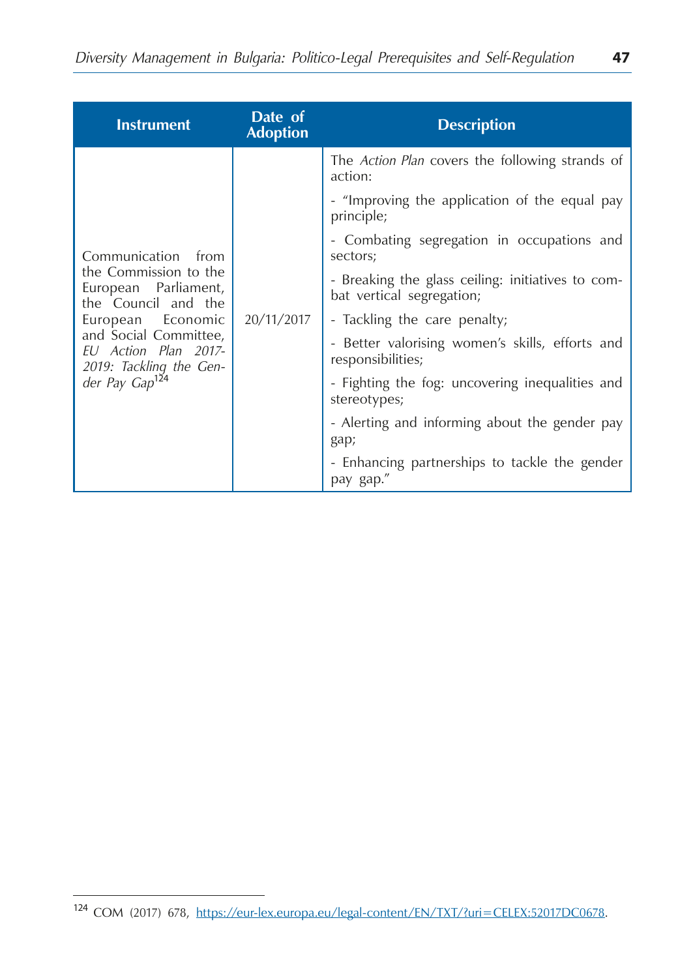| <b>Instrument</b>                                                                                                                                                                                                            | Date of<br><b>Adoption</b> | <b>Description</b>                                                             |
|------------------------------------------------------------------------------------------------------------------------------------------------------------------------------------------------------------------------------|----------------------------|--------------------------------------------------------------------------------|
| Communication<br>from<br>the Commission to the<br>European Parliament,<br>the Council and the<br>European Economic<br>and Social Committee,<br>EU Action Plan 2017-<br>2019: Tackling the Gen-<br>der Pay Gap <sup>124</sup> | 20/11/2017                 | The <i>Action Plan</i> covers the following strands of<br>action:              |
|                                                                                                                                                                                                                              |                            | - "Improving the application of the equal pay<br>principle;                    |
|                                                                                                                                                                                                                              |                            | - Combating segregation in occupations and<br>sectors;                         |
|                                                                                                                                                                                                                              |                            | - Breaking the glass ceiling: initiatives to com-<br>bat vertical segregation; |
|                                                                                                                                                                                                                              |                            | - Tackling the care penalty;                                                   |
|                                                                                                                                                                                                                              |                            | - Better valorising women's skills, efforts and<br>responsibilities;           |
|                                                                                                                                                                                                                              |                            | - Fighting the fog: uncovering inequalities and<br>stereotypes;                |
|                                                                                                                                                                                                                              |                            | - Alerting and informing about the gender pay<br>gap;                          |
|                                                                                                                                                                                                                              |                            | - Enhancing partnerships to tackle the gender<br>pay gap."                     |

<sup>124</sup> COM (2017) 678, https://eur-lex.europa.eu/legal-content/EN/TXT/?uri=CELEX:52017DC0678.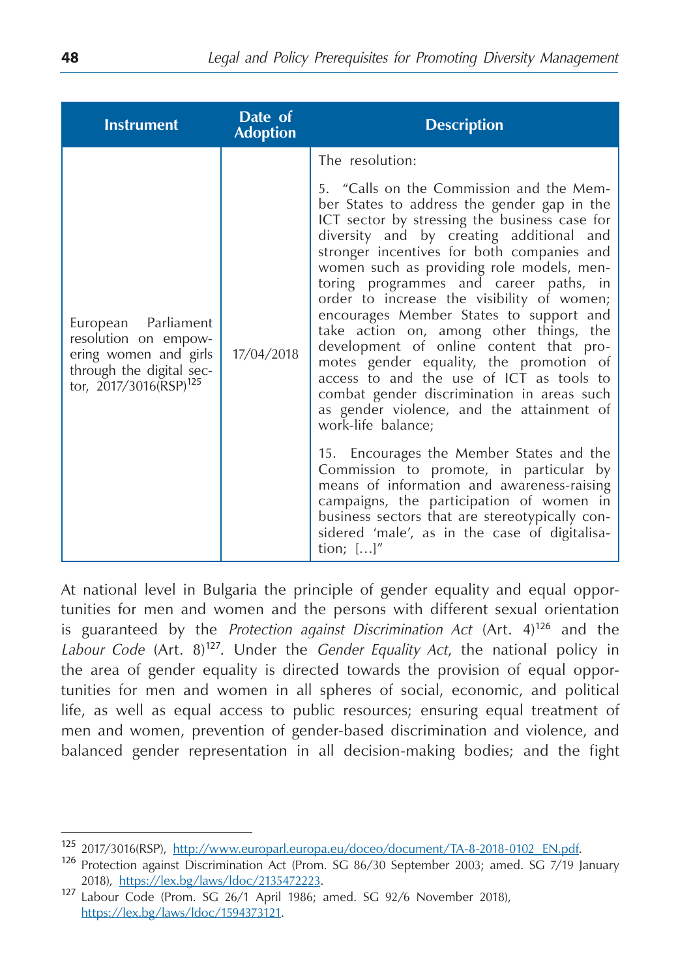| <b>Instrument</b>                                                                                                                      | Date of<br><b>Adoption</b> | <b>Description</b>                                                                                                                                                                                                                                                                                                                                                                                                                                                                                                                                                                                                                                                                                                                                                                                                                                    |
|----------------------------------------------------------------------------------------------------------------------------------------|----------------------------|-------------------------------------------------------------------------------------------------------------------------------------------------------------------------------------------------------------------------------------------------------------------------------------------------------------------------------------------------------------------------------------------------------------------------------------------------------------------------------------------------------------------------------------------------------------------------------------------------------------------------------------------------------------------------------------------------------------------------------------------------------------------------------------------------------------------------------------------------------|
|                                                                                                                                        |                            | The resolution:                                                                                                                                                                                                                                                                                                                                                                                                                                                                                                                                                                                                                                                                                                                                                                                                                                       |
| European Parliament<br>resolution on empow-<br>ering women and girls<br>through the digital sec-<br>tor, 2017/3016(RSP) <sup>125</sup> | 17/04/2018                 | 5. "Calls on the Commission and the Mem-<br>ber States to address the gender gap in the<br>ICT sector by stressing the business case for<br>diversity and by creating additional and<br>stronger incentives for both companies and<br>women such as providing role models, men-<br>toring programmes and career paths, in<br>order to increase the visibility of women;<br>encourages Member States to support and<br>take action on, among other things, the<br>development of online content that pro-<br>motes gender equality, the promotion of<br>access to and the use of ICT as tools to<br>combat gender discrimination in areas such<br>as gender violence, and the attainment of<br>work-life balance;<br>15. Encourages the Member States and the<br>Commission to promote, in particular by<br>means of information and awareness-raising |
|                                                                                                                                        |                            | campaigns, the participation of women in<br>business sectors that are stereotypically con-<br>sidered 'male', as in the case of digitalisa-<br>tion; []"                                                                                                                                                                                                                                                                                                                                                                                                                                                                                                                                                                                                                                                                                              |

At national level in Bulgaria the principle of gender equality and equal opportunities for men and women and the persons with different sexual orientation is guaranteed by the *Protection against Discrimination Act* (Art. 4)<sup>126</sup> and the *Labour Code* (Art. 8)<sup>127</sup>. Under the *Gender Equality Act*, the national policy in the area of gender equality is directed towards the provision of equal opportunities for men and women in all spheres of social, economic, and political life, as well as equal access to public resources; ensuring equal treatment of men and women, prevention of gender-based discrimination and violence, and balanced gender representation in all decision-making bodies; and the fight

<sup>&</sup>lt;sup>125</sup> 2017/3016(RSP), http://www.europarl.europa.eu/doceo/document/TA-8-2018-0102\_EN.pdf.<br><sup>126</sup> Protection against Discrimination Act (Prom. SG 86/30 September 2003; amed. SG 7/19 January

<sup>2018),</sup> [https://lex.bg/laws/ldoc/2135472223.](https://lex.bg/laws/ldoc/2135472223) <sup>127</sup> Labour Code (Prom. SG 26/1 April 1986; amed. SG 92/6 November 2018), <https://lex.bg/laws/ldoc/1594373121>.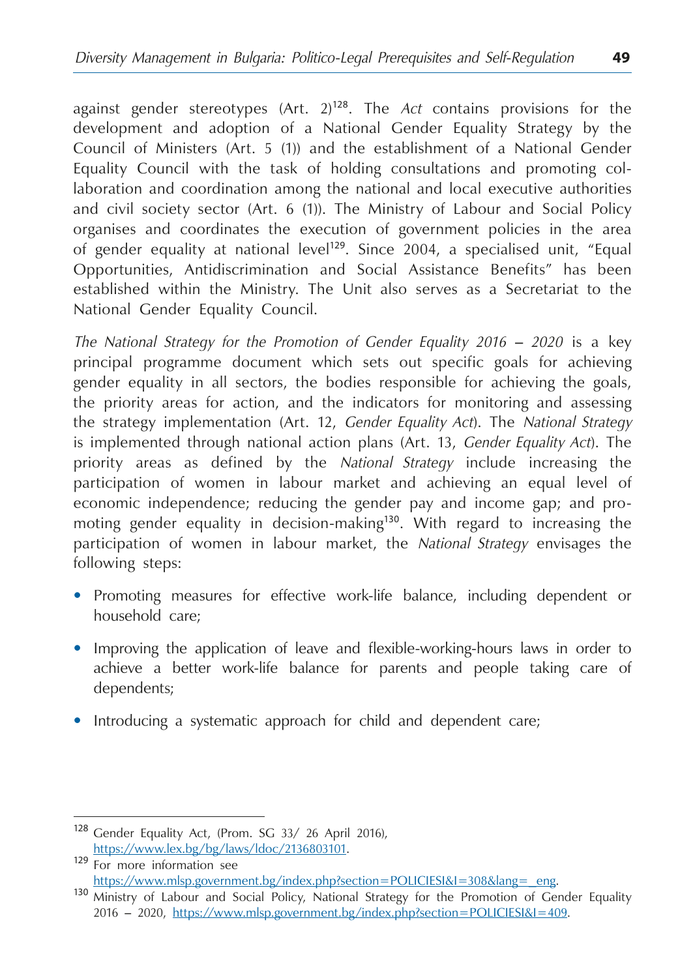against gender stereotypes (Art. 2)<sup>128</sup>. The *Act* contains provisions for the development and adoption of a National Gender Equality Strategy by the Council of Ministers (Art. 5 (1)) and the establishment of a National Gender Equality Council with the task of holding consultations and promoting collaboration and coordination among the national and local executive authorities and civil society sector (Art. 6 (1)). The Ministry of Labour and Social Policy organises and coordinates the execution of government policies in the area of gender equality at national level<sup>129</sup>. Since 2004, a specialised unit, "Equal Opportunities, Antidiscrimination and Social Assistance Benefits" has been established within the Ministry. The Unit also serves as a Secretariat to the National Gender Equality Council.

*The National Strategy for the Promotion of Gender Equality 2016 – 2020* is a key principal programme document which sets out specific goals for achieving gender equality in all sectors, the bodies responsible for achieving the goals, the priority areas for action, and the indicators for monitoring and assessing the strategy implementation (Art. 12, *Gender Equality Act*). The *National Strategy* is implemented through national action plans (Art. 13, *Gender Equality Act*). The priority areas as defined by the *National Strategy* include increasing the participation of women in labour market and achieving an equal level of economic independence; reducing the gender pay and income gap; and promoting gender equality in decision-making<sup>130</sup>. With regard to increasing the participation of women in labour market, the *National Strategy* envisages the following steps:

- **•**  Promoting measures for effective work-life balance, including dependent or household care;
- **•**  Improving the application of leave and flexible-working-hours laws in order to achieve a better work-life balance for parents and people taking care of dependents;
- Introducing a systematic approach for child and dependent care;

<sup>128</sup> Gender Equality Act, (Prom. SG 33/ 26 April 2016),

[https://www.lex.bg/bg/laws/ldoc/2136803101.](https://www.lex.bg/bg/laws/ldoc/2136803101)<br>
<sup>129</sup> For more information see<br>
https://www.mlsp.government.bg/index.php?section=POLICIESI&I=308&lang=\_eng.

<sup>130</sup> Ministry of Labour and Social Policy, National Strategy for the Promotion of Gender Equality 2016 – 2020, <https://www.mlsp.government.bg/index.php?section=POLICIESI&I=409>.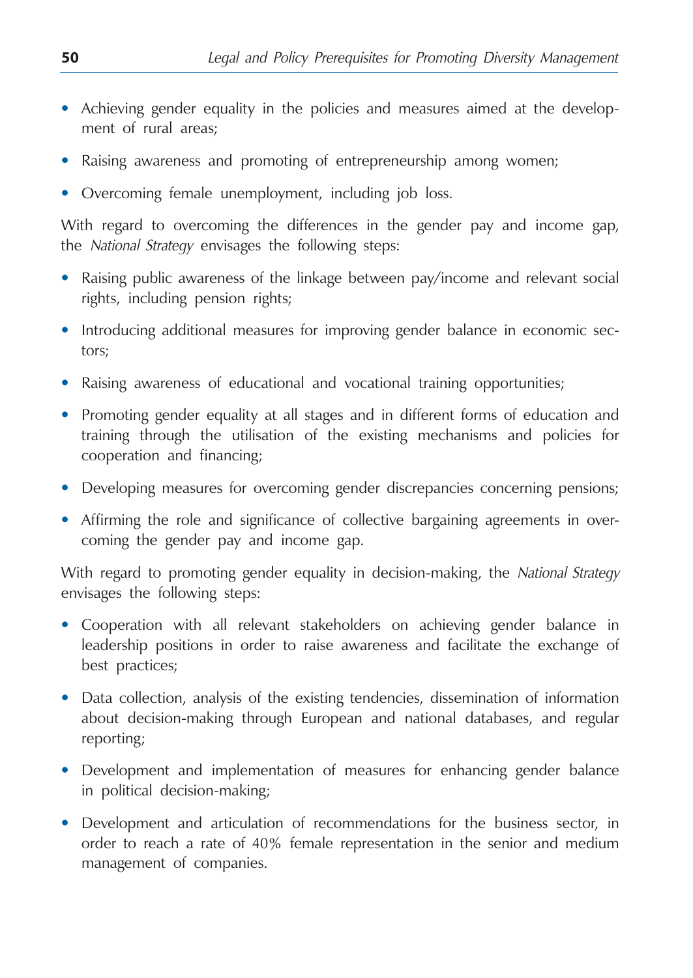- **•**  Achieving gender equality in the policies and measures aimed at the development of rural areas;
- Raising awareness and promoting of entrepreneurship among women;
- Overcoming female unemployment, including job loss.

With regard to overcoming the differences in the gender pay and income gap, the *National Strategy* envisages the following steps:

- **•**  Raising public awareness of the linkage between pay/income and relevant social rights, including pension rights;
- Introducing additional measures for improving gender balance in economic sectors;
- **Raising awareness of educational and vocational training opportunities;**
- **•**  Promoting gender equality at all stages and in different forms of education and training through the utilisation of the existing mechanisms and policies for cooperation and financing;
- **•** Developing measures for overcoming gender discrepancies concerning pensions;
- **•**  Affirming the role and significance of collective bargaining agreements in overcoming the gender pay and income gap.

With regard to promoting gender equality in decision-making, the *National Strategy* envisages the following steps:

- **•**  Cooperation with all relevant stakeholders on achieving gender balance in leadership positions in order to raise awareness and facilitate the exchange of best practices;
- Data collection, analysis of the existing tendencies, dissemination of information about decision-making through European and national databases, and regular reporting;
- **•**  Development and implementation of measures for enhancing gender balance in political decision-making;
- Development and articulation of recommendations for the business sector, in order to reach a rate of 40% female representation in the senior and medium management of companies.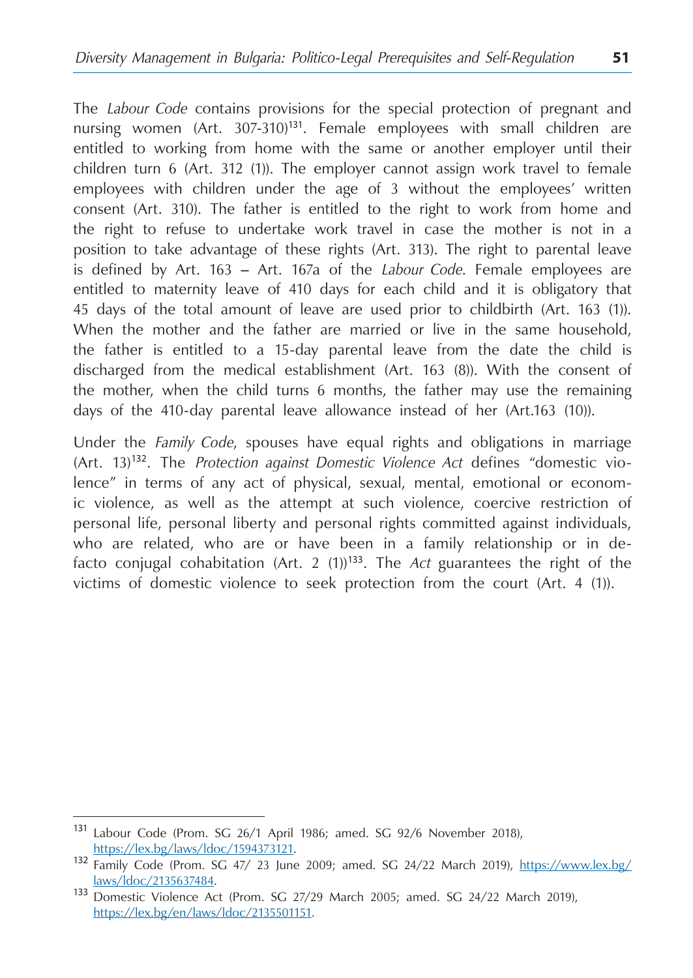The *Labour Code* contains provisions for the special protection of pregnant and nursing women (Art.  $307-310$ <sup>131</sup>. Female employees with small children are entitled to working from home with the same or another employer until their children turn 6 (Art. 312 (1)). The employer cannot assign work travel to female employees with children under the age of 3 without the employees' written consent (Art. 310). The father is entitled to the right to work from home and the right to refuse to undertake work travel in case the mother is not in a position to take advantage of these rights (Art. 313). The right to parental leave is defined by Art. 163 – Art. 167а of the *Labour Code*. Female employees are entitled to maternity leave of 410 days for each child and it is obligatory that 45 days of the total amount of leave are used prior to childbirth (Art. 163 (1)). When the mother and the father are married or live in the same household, the father is entitled to a 15-day parental leave from the date the child is discharged from the medical establishment (Art. 163 (8)). With the consent of the mother, when the child turns 6 months, the father may use the remaining days of the 410-day parental leave allowance instead of her (Art.163 (10)).

Under the *Family Code*, spouses have equal rights and obligations in marriage (Art. 13)<sup>132</sup>. The *Protection against Domestic Violence Act* defines "domestic violence" in terms of any act of physical, sexual, mental, emotional or economic violence, as well as the attempt at such violence, coercive restriction of personal life, personal liberty and personal rights committed against individuals, who are related, who are or have been in a family relationship or in defacto conjugal cohabitation (Art. 2 (1))<sup>133</sup>. The *Act* guarantees the right of the victims of domestic violence to seek protection from the court (Art. 4 (1)).

<sup>131</sup> Labour Code (Prom. SG 26/1 April 1986; amed. SG 92/6 November 2018),

[https://lex.bg/laws/ldoc/1594373121.](https://lex.bg/laws/ldoc/1594373121) <sup>132</sup> Family Code (Prom. SG 47/ 23 June 2009; amed. SG 24/22 March 2019), [https://www.lex.bg/](https://www.lex.bg/laws/ldoc/2135637484)

[laws/ldoc/2135637484.](https://www.lex.bg/laws/ldoc/2135637484) <sup>133</sup> Domestic Violence Act (Prom. SG 27/29 March 2005; amed. SG 24/22 March 2019), [https://lex.bg/en/laws/ldoc/2135501151.](https://lex.bg/en/laws/ldoc/2135501151)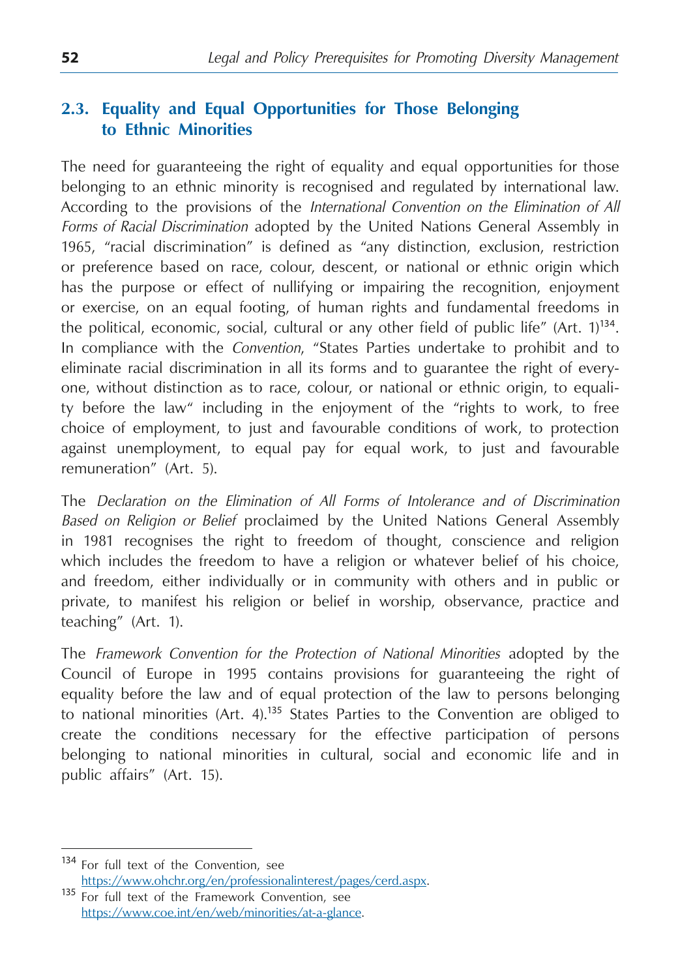# **2.3. Equality and Equal Opportunities for Those Belonging to Ethnic Minorities**

The need for guaranteeing the right of equality and equal opportunities for those belonging to an ethnic minority is recognised and regulated by international law. According to the provisions of the *International Convention on the Elimination of All Forms of Racial Discrimination* adopted by the United Nations General Assembly in 1965, "racial discrimination" is defined as "any distinction, exclusion, restriction or preference based on race, colour, descent, or national or ethnic origin which has the purpose or effect of nullifying or impairing the recognition, enjoyment or exercise, on an equal footing, of human rights and fundamental freedoms in the political, economic, social, cultural or any other field of public life" (Art.  $1$ )<sup>134</sup>. In compliance with the *Convention*, "States Parties undertake to prohibit and to eliminate racial discrimination in all its forms and to guarantee the right of everyone, without distinction as to race, colour, or national or ethnic origin, to equality before the law" including in the enjoyment of the "rights to work, to free choice of employment, to just and favourable conditions of work, to protection against unemployment, to equal pay for equal work, to just and favourable remuneration" (Art. 5).

The *Declaration on the Elimination of All Forms of Intolerance and of Discrimination Based on Religion or Belief* proclaimed by the United Nations General Assembly in 1981 recognises the right to freedom of thought, conscience and religion which includes the freedom to have a religion or whatever belief of his choice, and freedom, either individually or in community with others and in public or private, to manifest his religion or belief in worship, observance, practice and teaching" (Art. 1).

The *Framework Convention for the Protection of National Minorities* adopted by the Council of Europe in 1995 contains provisions for guaranteeing the right of equality before the law and of equal protection of the law to persons belonging to national minorities  $(Art. 4)$ .<sup>135</sup> States Parties to the Convention are obliged to create the conditions necessary for the effective participation of persons belonging to national minorities in cultural, social and economic life and in public affairs" (Art. 15).

<sup>&</sup>lt;sup>134</sup> For full text of the Convention, see<br>https://www.ohchr.org/en/professionalinterest/pages/cerd.aspx.

 $\overline{135}$  For full text of the Framework Convention, see <https://www.coe.int/en/web/minorities/at-a-glance>.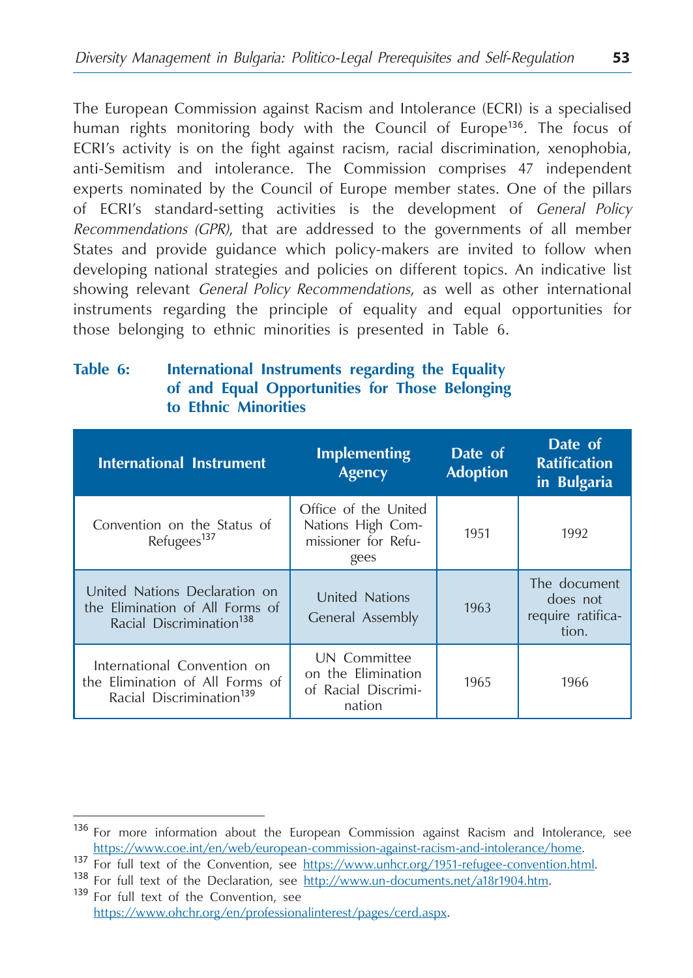The European Commission against Racism and Intolerance (ECRI) is a specialised human rights monitoring body with the Council of Europe<sup>136</sup>. The focus of ECRI's activity is on the fight against racism, racial discrimination, xenophobia, anti-Semitism and intolerance. The Commission comprises 47 independent experts nominated by the Council of Europe member states. One of the pillars of ECRI's standard-setting activities is the development of *General Policy Recommendations (GPR)*, that are addressed to the governments of all member States and provide guidance which policy-makers are invited to follow when developing national strategies and policies on different topics. An indicative list showing relevant *General Policy Recommendations*, as well as other international instruments regarding the principle of equality and equal opportunities for those belonging to ethnic minorities is presented in Table 6.

### **Table 6: International Instruments regarding the Equality of and Equal Opportunities for Those Belonging to Ethnic Minorities**

| <b>International Instrument</b>                                                                          | <b>Implementing</b><br><b>Agency</b>                                     | Date of<br><b>Adoption</b> | Date of<br><b>Ratification</b><br>in Bulgaria          |
|----------------------------------------------------------------------------------------------------------|--------------------------------------------------------------------------|----------------------------|--------------------------------------------------------|
| Convention on the Status of<br>Refugees <sup>137</sup>                                                   | Office of the United<br>Nations High Com-<br>missioner for Refu-<br>gees | 1951                       | 1992                                                   |
| United Nations Declaration on<br>the Elimination of All Forms of<br>Racial Discrimination <sup>138</sup> | <b>United Nations</b><br>General Assembly                                | 1963                       | The document<br>does not<br>require ratifica-<br>tion. |
| International Convention on<br>the Elimination of All Forms of<br>Racial Discrimination <sup>139</sup>   | UN Committee<br>on the Elimination<br>of Racial Discrimi-<br>nation      | 1965                       | 1966                                                   |

<sup>&</sup>lt;sup>136</sup> For more information about the European Commission against Racism and Intolerance, see https://www.coe.int/en/web/european-commission-against-racism-and-intolerance/home.

<sup>&</sup>lt;sup>137</sup> For full text of the Convention, see https://www.unhcr.org/1951-refugee-convention.html.<br><sup>138</sup> For full text of the Declaration, see <u>http://www.un-documents.net/a18r1904.htm</u>.<br><sup>139</sup> For full text of the Convention,

https://www.ohchr.org/en/professionalinterest/pages/cerd.aspx.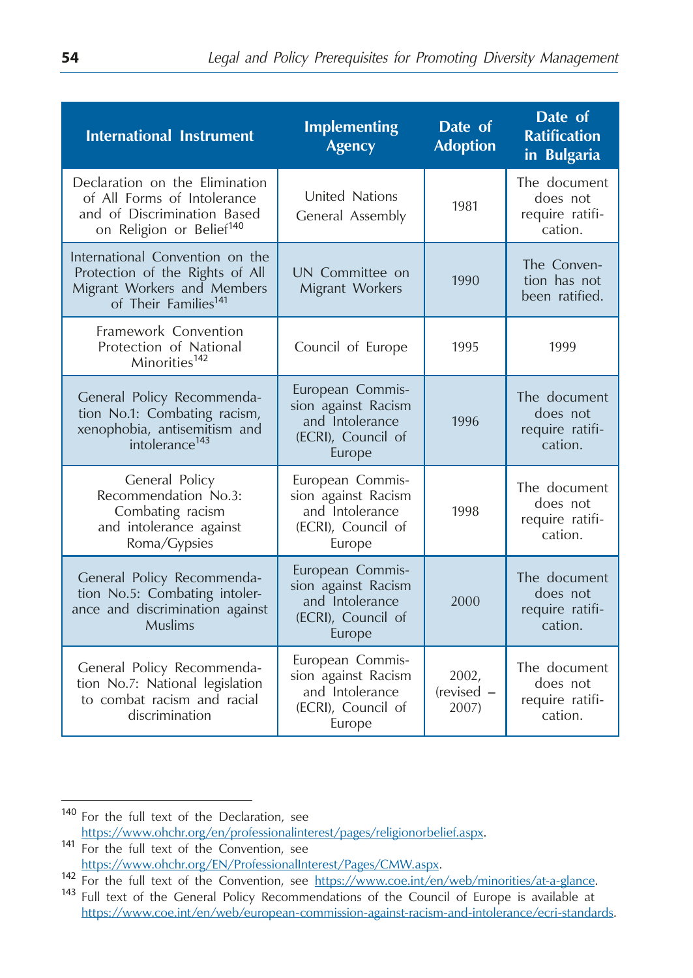| <b>International Instrument</b>                                                                                                       | <b>Implementing</b><br><b>Agency</b>                                                       | Date of<br><b>Adoption</b>     | Date of<br><b>Ratification</b><br>in Bulgaria          |
|---------------------------------------------------------------------------------------------------------------------------------------|--------------------------------------------------------------------------------------------|--------------------------------|--------------------------------------------------------|
| Declaration on the Elimination<br>of All Forms of Intolerance<br>and of Discrimination Based<br>on Religion or Belief <sup>140</sup>  | United Nations<br>General Assembly                                                         | 1981                           | The document<br>does not<br>require ratifi-<br>cation. |
| International Convention on the<br>Protection of the Rights of All<br>Migrant Workers and Members<br>of Their Families <sup>141</sup> | UN Committee on<br>Migrant Workers                                                         | 1990                           | The Conven-<br>tion has not<br>been ratified.          |
| Framework Convention<br>Protection of National<br>Minorities <sup>142</sup>                                                           | Council of Europe                                                                          | 1995                           | 1999                                                   |
| General Policy Recommenda-<br>tion No.1: Combating racism,<br>xenophobia, antisemitism and<br>intolerance <sup>143</sup>              | European Commis-<br>sion against Racism<br>and Intolerance<br>(ECRI), Council of<br>Europe | 1996                           | The document<br>does not<br>require ratifi-<br>cation. |
| General Policy<br>Recommendation No.3:<br>Combating racism<br>and intolerance against<br>Roma/Gypsies                                 | European Commis-<br>sion against Racism<br>and Intolerance<br>(ECRI), Council of<br>Europe | 1998                           | The document<br>does not<br>require ratifi-<br>cation. |
| General Policy Recommenda-<br>tion No.5: Combating intoler-<br>ance and discrimination against<br>Muslims                             | European Commis-<br>sion against Racism<br>and Intolerance<br>(ECRI), Council of<br>Europe | 2000                           | The document<br>does not<br>require ratifi-<br>cation. |
| General Policy Recommenda-<br>tion No.7: National legislation<br>to combat racism and racial<br>discrimination                        | European Commis-<br>sion against Racism<br>and Intolerance<br>(ECRI), Council of<br>Europe | 2002,<br>$(revised -$<br>2007) | The document<br>does not<br>require ratifi-<br>cation. |

<sup>140</sup> For the full text of the Declaration, see https://www.ohchr.org/en/professionalinterest/pages/religionorbelief.aspx.<br>
141 For the full text of the Convention, see<br>
https://www.ohchr.org/EN/ProfessionalInterest/Pages/CMW.aspx.

<sup>&</sup>lt;sup>142</sup> For the full text of the Convention, see https://www.coe.int/en/web/minorities/at-a-glance.<br><sup>143</sup> Full text of the General Policy Recommendations of the Council of Europe is available at https://www.coe.int/en/web/european-commission-against-racism-and-intolerance/ecri-standards.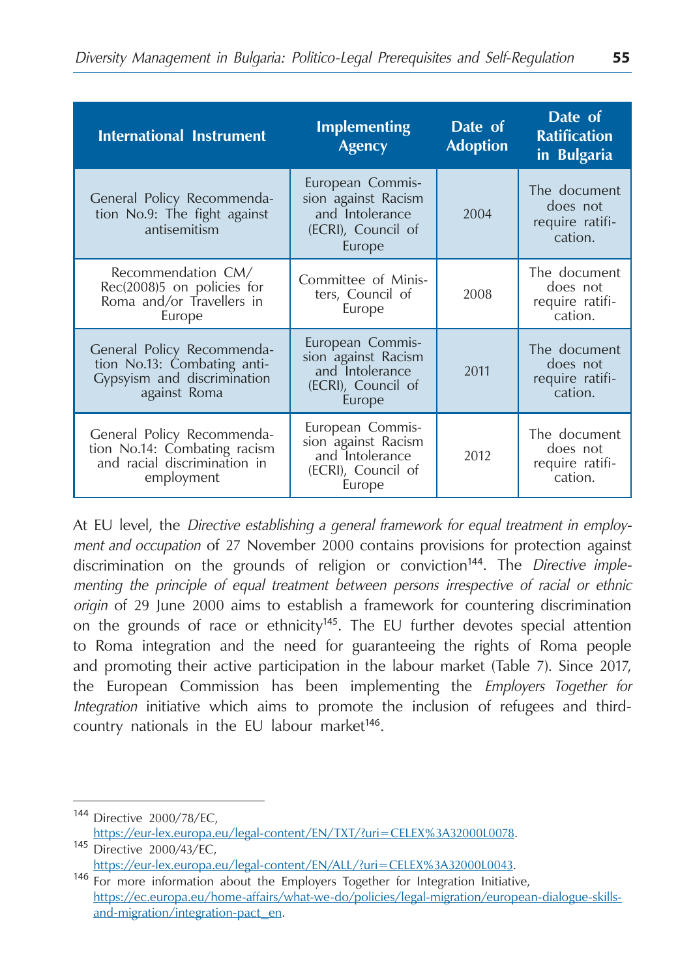| <b>International Instrument</b>                                                                          | <b>Implementing</b><br><b>Agency</b>                                                       | Date of<br><b>Adoption</b> | Date of<br><b>Ratification</b><br>in Bulgaria          |
|----------------------------------------------------------------------------------------------------------|--------------------------------------------------------------------------------------------|----------------------------|--------------------------------------------------------|
| General Policy Recommenda-<br>tion No.9: The fight against<br>antisemitism                               | European Commis-<br>sion against Racism<br>and Intolerance<br>(ECRI), Council of<br>Europe | 2004                       | The document<br>does not<br>require ratifi-<br>cation. |
| Recommendation CM/<br>Rec(2008)5 on policies for<br>Roma and/or Travellers in<br>Europe                  | Committee of Minis-<br>ters, Council of<br>Europe                                          | 2008                       | The document<br>does not<br>require ratifi-<br>cation. |
| General Policy Recommenda-<br>tion No.13: Combating anti-<br>Gypsyism and discrimination<br>against Roma | European Commis-<br>sion against Racism<br>and Intolerance<br>(ECRI), Council of<br>Europe | 2011                       | The document<br>does not<br>require ratifi-<br>cation. |
| General Policy Recommenda-<br>tion No.14: Combating racism<br>and racial discrimination in<br>employment | European Commis-<br>sion against Racism<br>and Intolerance<br>(ECRI), Council of<br>Europe | 2012                       | The document<br>does not<br>require ratifi-<br>cation. |

At EU level, the *Directive establishing a general framework for equal treatment in employment and occupation* of 27 November 2000 contains provisions for protection against discrimination on the grounds of religion or conviction<sup>144</sup>. The *Directive implementing the principle of equal treatment between persons irrespective of racial or ethnic origin* of 29 June 2000 aims to establish a framework for countering discrimination on the grounds of race or ethnicity<sup>145</sup>. The EU further devotes special attention to Roma integration and the need for guaranteeing the rights of Roma people and promoting their active participation in the labour market (Table 7). Since 2017, the European Commission has been implementing the *Employers Together for Integration* initiative which aims to promote the inclusion of refugees and thirdcountry nationals in the EU labour market<sup>146</sup>.

<sup>144</sup> Directive 2000/78/ЕC, [https://eur-lex.europa.eu/legal-content/EN/TXT/?uri=CELEX%3A32000L0078.](https://eur-lex.europa.eu/legal-content/EN/TXT/?uri=CELEX%3A32000L0078)<br>145 Directive 2000/43/EC,<br>https://eur-lex.europa.eu/legal-content/EN/ALL/?uri=CELEX%3A32000L0043.

 $146$  For more information about the Employers Together for Integration Initiative, [https://ec.europa.eu/home-affairs/what-we-do/policies/legal-migration/european-dialogue-skills](https://ec.europa.eu/home-affairs/what-we-do/policies/legal-migration/european-dialogue-skills-and-migration/integration-pact_en)[and-migration/integration-pact\\_en](https://ec.europa.eu/home-affairs/what-we-do/policies/legal-migration/european-dialogue-skills-and-migration/integration-pact_en).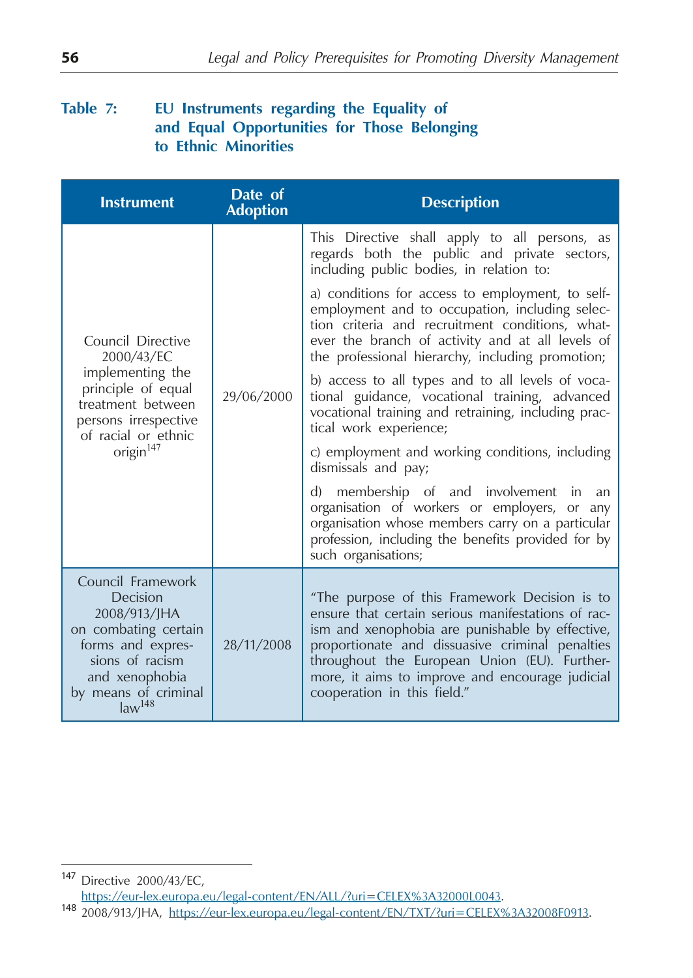## **Table 7: EU Instruments regarding the Equality of and Equal Opportunities for Those Belonging to Ethnic Minorities**

| <b>Instrument</b>                                                                                                                                                             | Date of<br><b>Adoption</b> | <b>Description</b>                                                                                                                                                                                                                                                                                                                          |
|-------------------------------------------------------------------------------------------------------------------------------------------------------------------------------|----------------------------|---------------------------------------------------------------------------------------------------------------------------------------------------------------------------------------------------------------------------------------------------------------------------------------------------------------------------------------------|
| Council Directive<br>2000/43/EC<br>implementing the<br>principle of equal<br>treatment between<br>persons irrespective<br>of racial or ethnic<br>origin <sup>147</sup>        | 29/06/2000                 | This Directive shall apply to all persons, as<br>regards both the public and private sectors,<br>including public bodies, in relation to:                                                                                                                                                                                                   |
|                                                                                                                                                                               |                            | a) conditions for access to employment, to self-<br>employment and to occupation, including selec-<br>tion criteria and recruitment conditions, what-<br>ever the branch of activity and at all levels of<br>the professional hierarchy, including promotion;                                                                               |
|                                                                                                                                                                               |                            | b) access to all types and to all levels of voca-<br>tional guidance, vocational training, advanced<br>vocational training and retraining, including prac-<br>tical work experience;                                                                                                                                                        |
|                                                                                                                                                                               |                            | c) employment and working conditions, including<br>dismissals and pay;                                                                                                                                                                                                                                                                      |
|                                                                                                                                                                               |                            | membership of and involvement in<br>d)<br>an<br>organisation of workers or employers, or any<br>organisation whose members carry on a particular<br>profession, including the benefits provided for by<br>such organisations;                                                                                                               |
| Council Framework<br>Decision<br>2008/913/JHA<br>on combating certain<br>forms and expres-<br>sions of racism<br>and xenophobia<br>by means of criminal<br>law <sup>148</sup> | 28/11/2008                 | "The purpose of this Framework Decision is to<br>ensure that certain serious manifestations of rac-<br>ism and xenophobia are punishable by effective,<br>proportionate and dissuasive criminal penalties<br>throughout the European Union (EU). Further-<br>more, it aims to improve and encourage judicial<br>cooperation in this field." |

https://eur-lex.europa.eu/legal-content/EN/TXT/?uri=CELEX%3A32008F0913.

<sup>147</sup> Directive 2000/43/EC,<br>https://eur-lex.europa.eu/legal-content/EN/ALL/?uri=CELEX%3A32000L0043.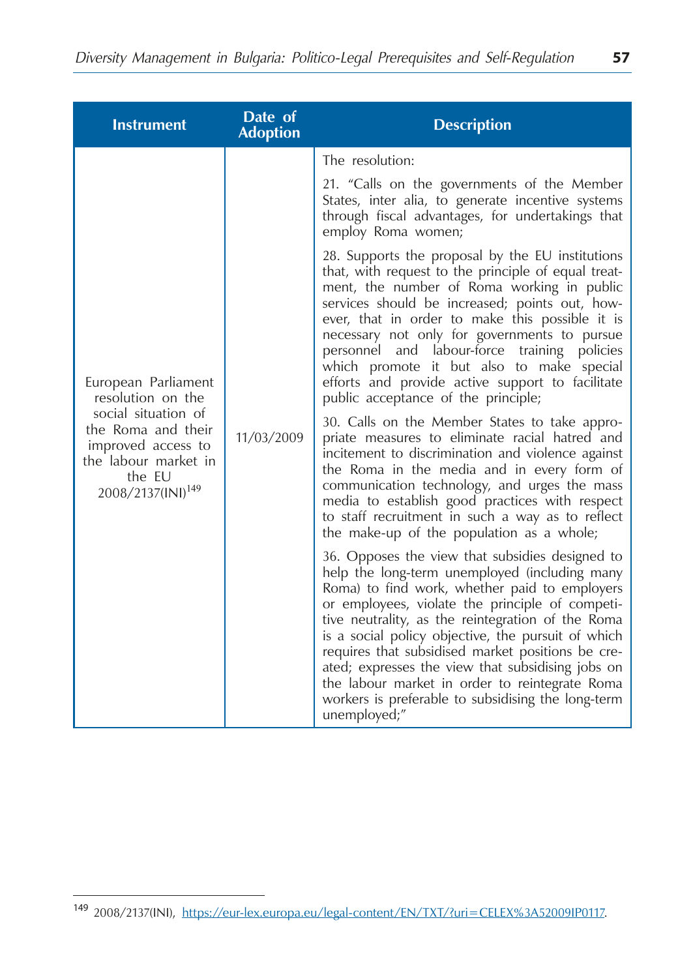| <b>Instrument</b>                                                                                                                                                              | Date of<br><b>Adoption</b> | <b>Description</b>                                                                                                                                                                                                                                                                                                                                                                                                                                                                                                                                |
|--------------------------------------------------------------------------------------------------------------------------------------------------------------------------------|----------------------------|---------------------------------------------------------------------------------------------------------------------------------------------------------------------------------------------------------------------------------------------------------------------------------------------------------------------------------------------------------------------------------------------------------------------------------------------------------------------------------------------------------------------------------------------------|
|                                                                                                                                                                                |                            | The resolution:                                                                                                                                                                                                                                                                                                                                                                                                                                                                                                                                   |
| European Parliament<br>resolution on the<br>social situation of<br>the Roma and their<br>improved access to<br>the labour market in<br>the EU<br>2008/2137(INI) <sup>149</sup> | 11/03/2009                 | 21. "Calls on the governments of the Member<br>States, inter alia, to generate incentive systems<br>through fiscal advantages, for undertakings that<br>employ Roma women;                                                                                                                                                                                                                                                                                                                                                                        |
|                                                                                                                                                                                |                            | 28. Supports the proposal by the EU institutions<br>that, with request to the principle of equal treat-<br>ment, the number of Roma working in public<br>services should be increased; points out, how-<br>ever, that in order to make this possible it is<br>necessary not only for governments to pursue<br>personnel and labour-force training<br>policies<br>which promote it but also to make special<br>efforts and provide active support to facilitate<br>public acceptance of the principle;                                             |
|                                                                                                                                                                                |                            | 30. Calls on the Member States to take appro-<br>priate measures to eliminate racial hatred and<br>incitement to discrimination and violence against<br>the Roma in the media and in every form of<br>communication technology, and urges the mass<br>media to establish good practices with respect<br>to staff recruitment in such a way as to reflect<br>the make-up of the population as a whole;                                                                                                                                             |
|                                                                                                                                                                                |                            | 36. Opposes the view that subsidies designed to<br>help the long-term unemployed (including many<br>Roma) to find work, whether paid to employers<br>or employees, violate the principle of competi-<br>tive neutrality, as the reintegration of the Roma<br>is a social policy objective, the pursuit of which<br>requires that subsidised market positions be cre-<br>ated; expresses the view that subsidising jobs on<br>the labour market in order to reintegrate Roma<br>workers is preferable to subsidising the long-term<br>unemployed;" |

<sup>149</sup> 2008/2137(INI), https://eur-lex.europa.eu/legal-content/EN/TXT/?uri=CELEX%3A52009IP0117.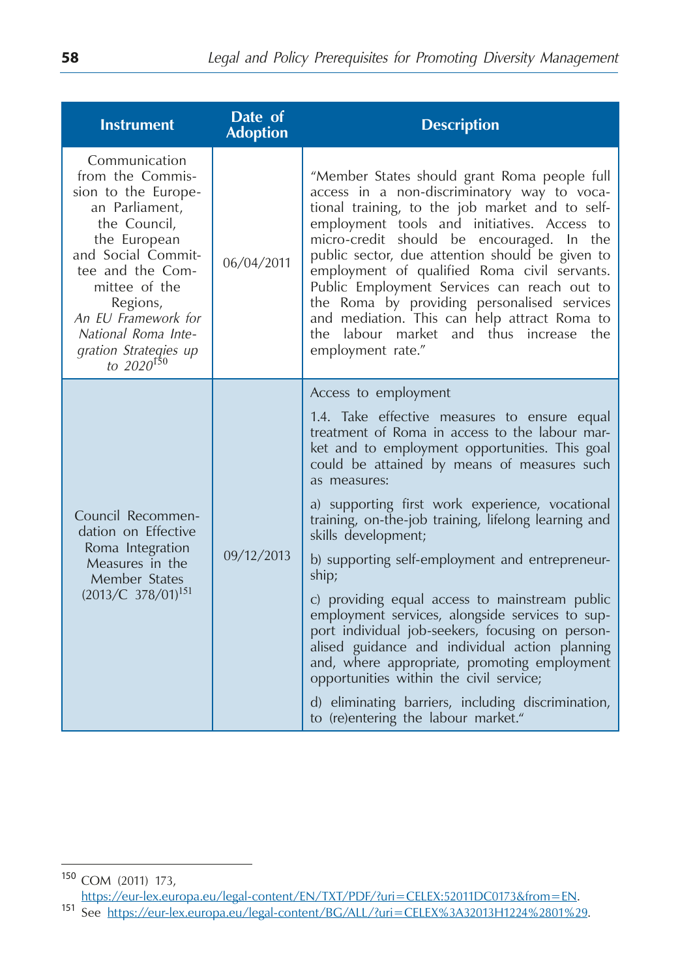| <b>Instrument</b>                                                                                                                                                                                                                                                           | Date of<br><b>Adoption</b> | <b>Description</b>                                                                                                                                                                                                                                                                                                                                                                                                                                                                                                                                          |
|-----------------------------------------------------------------------------------------------------------------------------------------------------------------------------------------------------------------------------------------------------------------------------|----------------------------|-------------------------------------------------------------------------------------------------------------------------------------------------------------------------------------------------------------------------------------------------------------------------------------------------------------------------------------------------------------------------------------------------------------------------------------------------------------------------------------------------------------------------------------------------------------|
| Communication<br>from the Commis-<br>sion to the Europe-<br>an Parliament,<br>the Council,<br>the European<br>and Social Commit-<br>tee and the Com-<br>mittee of the<br>Regions,<br>An EU Framework for<br>National Roma Inte-<br>gration Strategies up<br>to $2020^{150}$ | 06/04/2011                 | "Member States should grant Roma people full<br>access in a non-discriminatory way to voca-<br>tional training, to the job market and to self-<br>employment tools and initiatives. Access to<br>micro-credit should be encouraged. In the<br>public sector, due attention should be given to<br>employment of qualified Roma civil servants.<br>Public Employment Services can reach out to<br>the Roma by providing personalised services<br>and mediation. This can help attract Roma to<br>the labour market and thus increase the<br>employment rate." |
|                                                                                                                                                                                                                                                                             | 09/12/2013                 | Access to employment<br>1.4. Take effective measures to ensure equal<br>treatment of Roma in access to the labour mar-<br>ket and to employment opportunities. This goal<br>could be attained by means of measures such<br>as measures:                                                                                                                                                                                                                                                                                                                     |
| Council Recommen-<br>dation on Effective<br>Roma Integration<br>Measures in the<br>Member States<br>$(2013/C 378/01)^{151}$                                                                                                                                                 |                            | a) supporting first work experience, vocational<br>training, on-the-job training, lifelong learning and<br>skills development;                                                                                                                                                                                                                                                                                                                                                                                                                              |
|                                                                                                                                                                                                                                                                             |                            | b) supporting self-employment and entrepreneur-<br>ship;                                                                                                                                                                                                                                                                                                                                                                                                                                                                                                    |
|                                                                                                                                                                                                                                                                             |                            | c) providing equal access to mainstream public<br>employment services, alongside services to sup-<br>port individual job-seekers, focusing on person-<br>alised guidance and individual action planning<br>and, where appropriate, promoting employment<br>opportunities within the civil service;                                                                                                                                                                                                                                                          |
|                                                                                                                                                                                                                                                                             |                            | d) eliminating barriers, including discrimination,<br>to (re)entering the labour market."                                                                                                                                                                                                                                                                                                                                                                                                                                                                   |

<sup>150</sup> COM (2011) 173,

https://eur-lex.europa.eu/legal-content/EN/TXT/PDF/?uri=CELEX:52011DC0173&from=EN.<br>151 See https://eur-lex.europa.eu/legal-content/BG/ALL/?uri=CELEX%3A32013H1224%2801%29.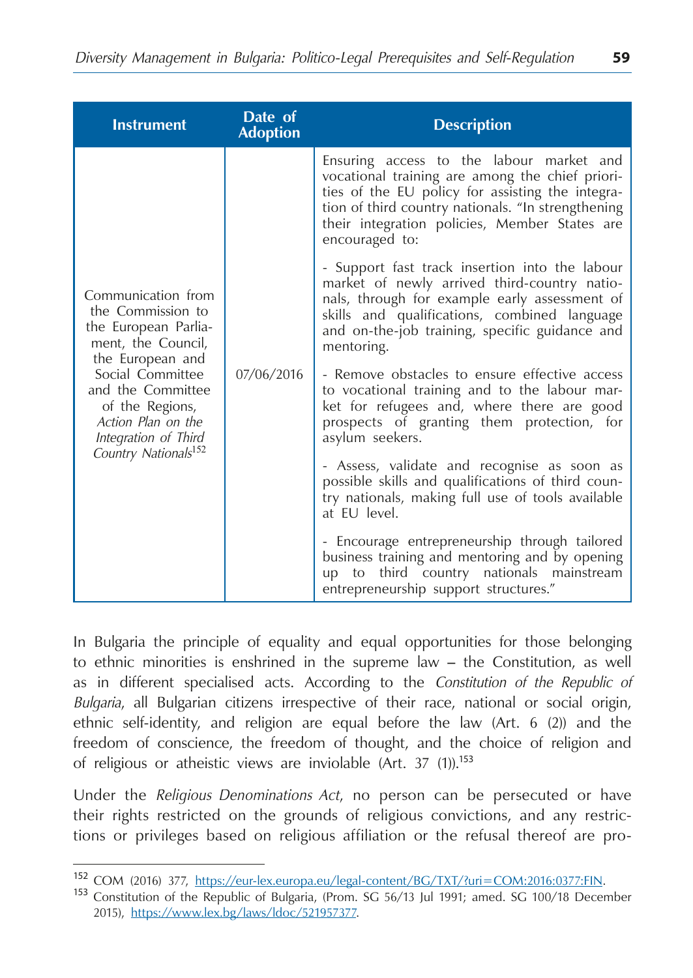| <b>Instrument</b>                                                                                                                                                                                                                                       | Date of<br><b>Adoption</b> | <b>Description</b>                                                                                                                                                                                                                                                       |
|---------------------------------------------------------------------------------------------------------------------------------------------------------------------------------------------------------------------------------------------------------|----------------------------|--------------------------------------------------------------------------------------------------------------------------------------------------------------------------------------------------------------------------------------------------------------------------|
| Communication from<br>the Commission to<br>the European Parlia-<br>ment, the Council,<br>the European and<br>Social Committee<br>and the Committee<br>of the Regions,<br>Action Plan on the<br>Integration of Third<br>Country Nationals <sup>152</sup> | 07/06/2016                 | Ensuring access to the labour market and<br>vocational training are among the chief priori-<br>ties of the EU policy for assisting the integra-<br>tion of third country nationals. "In strengthening<br>their integration policies, Member States are<br>encouraged to: |
|                                                                                                                                                                                                                                                         |                            | - Support fast track insertion into the labour<br>market of newly arrived third-country natio-<br>nals, through for example early assessment of<br>skills and qualifications, combined language<br>and on-the-job training, specific guidance and<br>mentoring.          |
|                                                                                                                                                                                                                                                         |                            | - Remove obstacles to ensure effective access<br>to vocational training and to the labour mar-<br>ket for refugees and, where there are good<br>prospects of granting them protection, for<br>asylum seekers.                                                            |
|                                                                                                                                                                                                                                                         |                            | - Assess, validate and recognise as soon as<br>possible skills and qualifications of third coun-<br>try nationals, making full use of tools available<br>at EU level.                                                                                                    |
|                                                                                                                                                                                                                                                         |                            | - Encourage entrepreneurship through tailored<br>business training and mentoring and by opening<br>third country nationals mainstream<br>up to<br>entrepreneurship support structures."                                                                                  |

In Bulgaria the principle of equality and equal opportunities for those belonging to ethnic minorities is enshrined in the supreme law – the Constitution, as well as in different specialised acts. According to the *Constitution of the Republic of Bulgaria*, all Bulgarian citizens irrespective of their race, national or social origin, ethnic self-identity, and religion are equal before the law (Art. 6 (2)) and the freedom of conscience, the freedom of thought, and the choice of religion and of religious or atheistic views are inviolable (Art. 37 (1)).<sup>153</sup>

Under the *Religious Denominations Act*, no person can be persecuted or have their rights restricted on the grounds of religious convictions, and any restrictions or privileges based on religious affiliation or the refusal thereof are pro-

<sup>152</sup> COM (2016) 377, https://eur-lex.europa.eu/legal-content/BG/TXT/?uri=COM:2016:0377:FIN.<br><sup>153</sup> Constitution of the Republic of Bulgaria, (Prom. SG 56/13 Jul 1991; amed. SG 100/18 December 2015), [https://www.lex.bg/laws/ldoc/521957377.](https://www.lex.bg/laws/ldoc/521957377)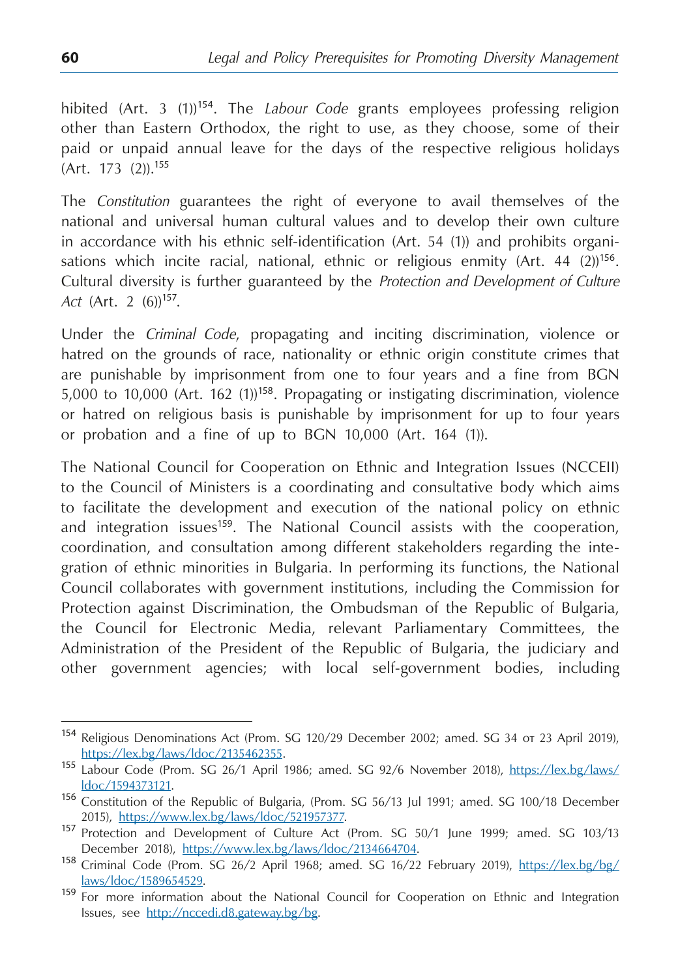hibited (Art. 3 (1))<sup>154</sup>. The *Labour Code* grants employees professing religion other than Eastern Orthodox, the right to use, as they choose, some of their paid or unpaid annual leave for the days of the respective religious holidays (Art. 173 (2)).<sup>155</sup>

The *Constitution* guarantees the right of everyone to avail themselves of the national and universal human cultural values and to develop their own culture in accordance with his ethnic self-identification (Art. 54 (1)) and prohibits organisations which incite racial, national, ethnic or religious enmity  $(Art. 44 (2))^{156}$ . Cultural diversity is further guaranteed by the *Protection and Development of Culture*  Act (Art. 2 (6))<sup>157</sup>.

Under the *Criminal Code*, propagating and inciting discrimination, violence or hatred on the grounds of race, nationality or ethnic origin constitute crimes that are punishable by imprisonment from one to four years and a fine from BGN 5,000 to 10,000 (Art. 162 (1))<sup>158</sup>. Propagating or instigating discrimination, violence or hatred on religious basis is punishable by imprisonment for up to four years or probation and a fine of up to BGN 10,000 (Art. 164 (1)).

The National Council for Cooperation on Ethnic and Integration Issues (NCCEII) to the Council of Ministers is a coordinating and consultative body which aims to facilitate the development and execution of the national policy on ethnic and integration issues<sup>159</sup>. The National Council assists with the cooperation, coordination, and consultation among different stakeholders regarding the integration of ethnic minorities in Bulgaria. In performing its functions, the National Council collaborates with government institutions, including the Commission for Protection against Discrimination, the Ombudsman of the Republic of Bulgaria, the Council for Electronic Media, relevant Parliamentary Committees, the Administration of the President of the Republic of Bulgaria, the judiciary and other government agencies; with local self-government bodies, including

<sup>154</sup> Religious Denominations Act (Prom. SG 120/29 December 2002; amed. SG 34 от 23 April 2019),

[https://lex.bg/laws/ldoc/2135462355.](https://lex.bg/laws/ldoc/2135462355)<br>155 Labour Code (Prom. SG 26/1 April 1986; amed. SG 92/6 November 2018), [https://lex.bg/laws/](https://lex.bg/laws/ldoc/1594373121)

[ldoc/1594373121.](https://lex.bg/laws/ldoc/1594373121) <sup>156</sup> Constitution of the Republic of Bulgaria, (Prom. SG 56/13 Jul 1991; amed. SG 100/18 December

<sup>2015),</sup> <https://www.lex.bg/laws/ldoc/521957377>.<br><sup>157</sup> Protection and Development of Culture Act (Prom. SG 50/1 June 1999; amed. SG 103/13

December 2018), [https://www.lex.bg/laws/ldoc/2134664704.](https://www.lex.bg/laws/ldoc/2134664704)<br><sup>158</sup> Criminal Code (Prom. SG 26/2 April 1968; amed. SG 16/22 February 2019), https://lex.bg/bg/

laws/ldoc/1589654529.<br><sup>159</sup> For more information about the National Council for Cooperation on Ethnic and Integration Issues, see [http://nccedi.d8.gateway.bg/bg.](http://nccedi.d8.gateway.bg/bg)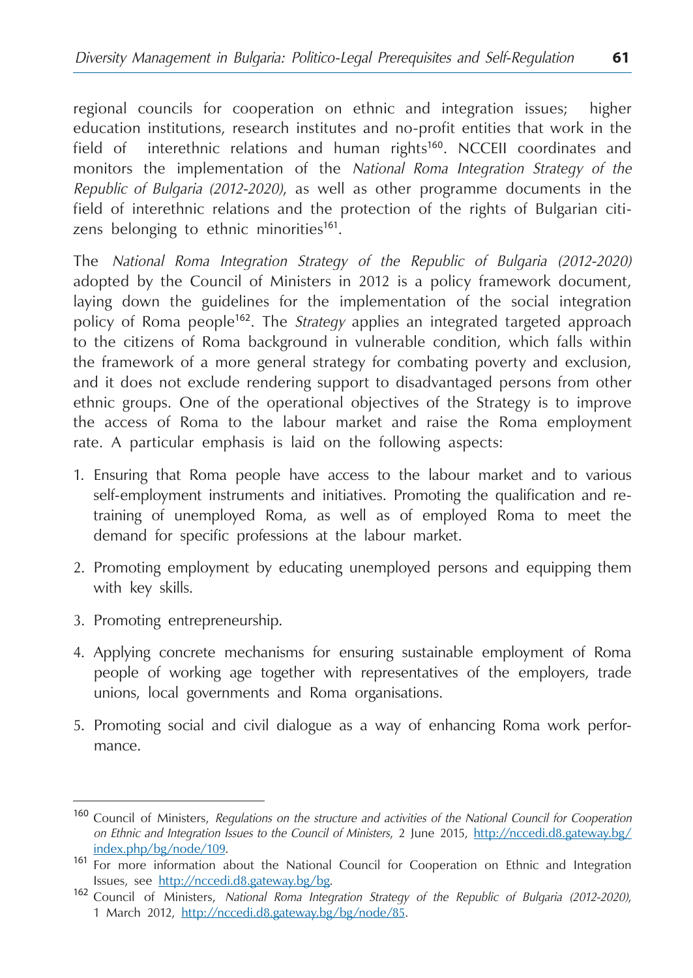regional councils for cooperation on ethnic and integration issues; higher education institutions, research institutes and no-profit entities that work in the field of interethnic relations and human rights<sup>160</sup>. NCCEII coordinates and monitors the implementation of the *National Roma Integration Strategy of the Republic of Bulgaria (2012-2020)*, as well as other programme documents in the field of interethnic relations and the protection of the rights of Bulgarian citizens belonging to ethnic minorities<sup>161</sup>.

The *National Roma Integration Strategy of the Republic of Bulgaria (2012-2020)* adopted by the Council of Ministers in 2012 is a policy framework document, laying down the guidelines for the implementation of the social integration policy of Roma people<sup>162</sup>. The *Strategy* applies an integrated targeted approach to the citizens of Roma background in vulnerable condition, which falls within the framework of a more general strategy for combating poverty and exclusion, and it does not exclude rendering support to disadvantaged persons from other ethnic groups. One of the operational objectives of the Strategy is to improve the access of Roma to the labour market and raise the Roma employment rate. A particular emphasis is laid on the following aspects:

- 1. Ensuring that Roma people have access to the labour market and to various self-employment instruments and initiatives. Promoting the qualification and retraining of unemployed Roma, as well as of employed Roma to meet the demand for specific professions at the labour market.
- 2. Promoting employment by educating unemployed persons and equipping them with key skills.
- 3. Promoting entrepreneurship.
- 4. Applying concrete mechanisms for ensuring sustainable employment of Roma people of working age together with representatives of the employers, trade unions, local governments and Roma organisations.
- 5. Promoting social and civil dialogue as a way of enhancing Roma work performance.

<sup>160</sup> Council of Ministers, *Regulations on the structure and activities of the National Council for Cooperation on Ethnic and Integration Issues to the Council of Ministers*, 2 June 2015, [http://nccedi.d8.gateway.bg/](http://nccedi.d8.gateway.bg/index.php/bg/node/109)

[index.php/bg/node/109.](http://nccedi.d8.gateway.bg/index.php/bg/node/109)<br><sup>161</sup> For more information about the National Council for Cooperation on Ethnic and Integration

Issues, see <http://nccedi.d8.gateway.bg/bg>. <sup>162</sup> Council of Ministers, *National Roma Integration Strategy of the Republic of Bulgaria (2012-2020)*, 1 March 2012, [http://nccedi.d8.gateway.bg/bg/node/85.](http://nccedi.d8.gateway.bg/bg/node/85)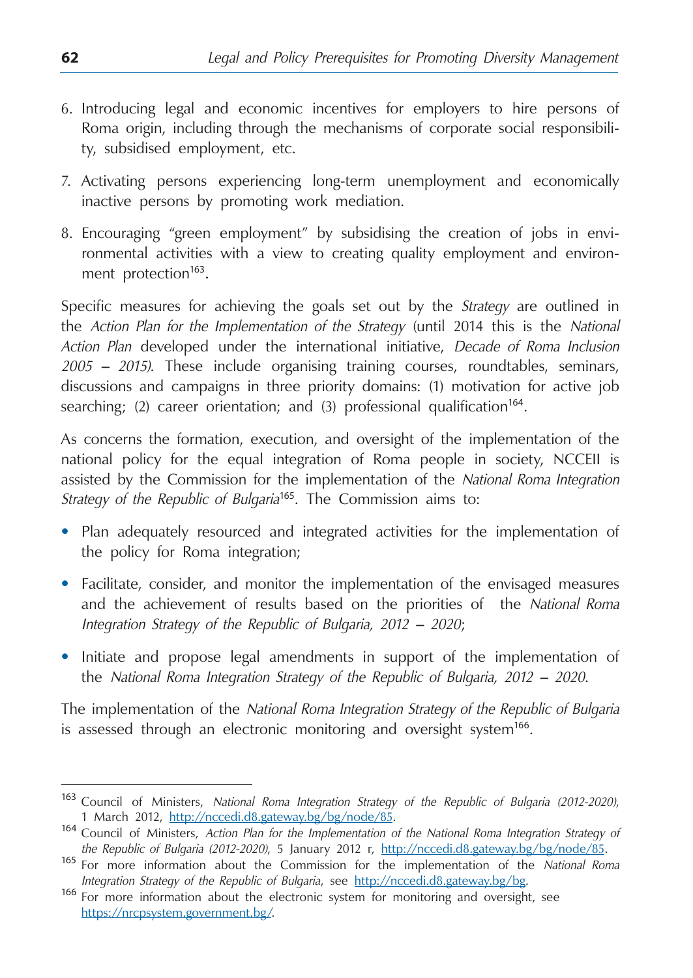- 6. Introducing legal and economic incentives for employers to hire persons of Roma origin, including through the mechanisms of corporate social responsibility, subsidised employment, etc.
- 7. Activating persons experiencing long-term unemployment and economically inactive persons by promoting work mediation.
- 8. Encouraging "green employment" by subsidising the creation of jobs in environmental activities with a view to creating quality employment and environment protection<sup>163</sup>.

Specific measures for achieving the goals set out by the *Strategy* are outlined in the *Action Plan for the Implementation of the Strategy* (until 2014 this is the *National Action Plan* developed under the international initiative, *Decade of Roma Inclusion 2005 – 2015)*. These include organising training courses, roundtables, seminars, discussions and campaigns in three priority domains: (1) motivation for active job searching; (2) career orientation; and (3) professional qualification<sup>164</sup>.

As concerns the formation, execution, and oversight of the implementation of the national policy for the equal integration of Roma people in society, NCCEII is assisted by the Commission for the implementation of the *National Roma Integration Strategy of the Republic of Bulgaria*<sup>165</sup>. The Commission aims to:

- **•**  Plan adequately resourced and integrated activities for the implementation of the policy for Roma integration;
- **•**  Facilitate, consider, and monitor the implementation of the envisaged measures and the achievement of results based on the priorities of the *National Roma Integration Strategy of the Republic of Bulgaria, 2012 – 2020*;
- **•**  Initiate and propose legal amendments in support of the implementation of the *National Roma Integration Strategy of the Republic of Bulgaria, 2012 – 2020*.

The implementation of the *National Roma Integration Strategy of the Republic of Bulgaria* is assessed through an electronic monitoring and oversight system<sup>166</sup>.

<sup>163</sup> Council of Ministers, *National Roma Integration Strategy of the Republic of Bulgaria (2012-2020)*,

<sup>1</sup> March 2012, <http://nccedi.d8.gateway.bg/bg/node/85>. <sup>164</sup> Council of Ministers, *Action Plan for the Implementation of the National Roma Integration Strategy of the Republic of Bulgaria (2012-2020)*, 5 January 2012 г, [http://nccedi.d8.gateway.bg/bg/node/85.](http://nccedi.d8.gateway.bg/bg/node/85) <sup>165</sup> For more information about the Commission for the implementation of the *National Roma* 

*Integration Strategy of the Republic of Bulgaria*, see [http://nccedi.d8.gateway.bg/bg.](http://nccedi.d8.gateway.bg/bg) 166 For more information about the electronic system for monitoring and oversight, see [https://nrcpsystem.government.bg/.](https://nrcpsystem.government.bg/)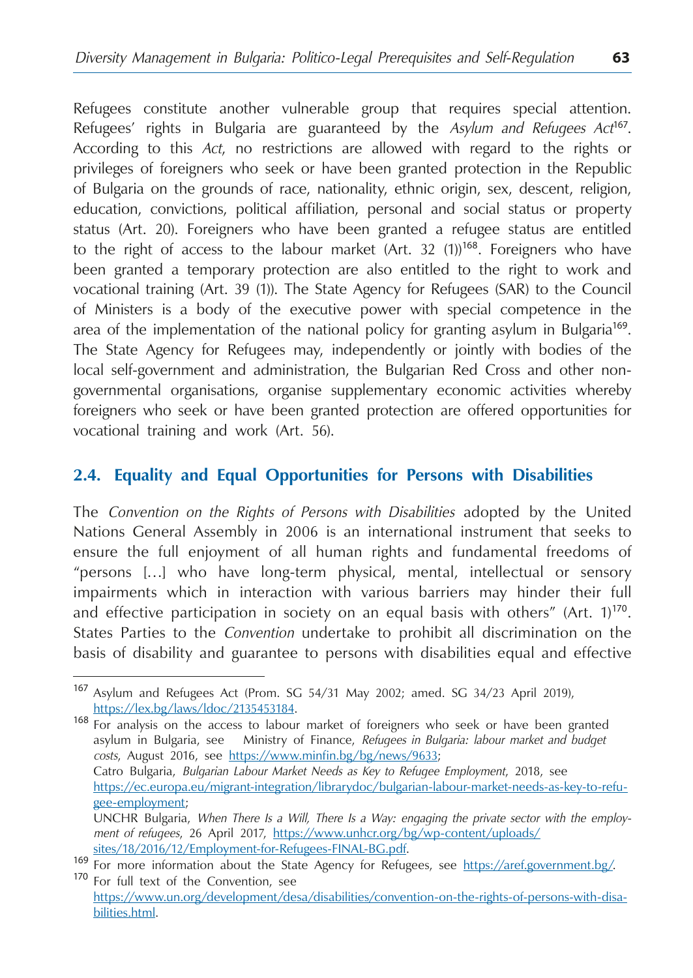Refugees constitute another vulnerable group that requires special attention. Refugees' rights in Bulgaria are guaranteed by the *Asylum and Refugees Act*<sup>167</sup>. According to this *Act*, no restrictions are allowed with regard to the rights or privileges of foreigners who seek or have been granted protection in the Republic of Bulgaria on the grounds of race, nationality, ethnic origin, sex, descent, religion, education, convictions, political affiliation, personal and social status or property status (Art. 20). Foreigners who have been granted a refugee status are entitled to the right of access to the labour market (Art. 32 (1))<sup>168</sup>. Foreigners who have been granted a temporary protection are also entitled to the right to work and vocational training (Art. 39 (1)). The State Agency for Refugees (SAR) to the Council of Ministers is a body of the executive power with special competence in the area of the implementation of the national policy for granting asylum in Bulgaria<sup>169</sup>. The State Agency for Refugees may, independently or jointly with bodies of the local self-government and administration, the Bulgarian Red Cross and other nongovernmental organisations, organise supplementary economic activities whereby foreigners who seek or have been granted protection are offered opportunities for vocational training and work (Art. 56).

# **2.4. Equality and Equal Opportunities for Persons with Disabilities**

The *Convention on the Rights of Persons with Disabilities* adopted by the United Nations General Assembly in 2006 is an international instrument that seeks to ensure the full enjoyment of all human rights and fundamental freedoms of "persons […] who have long-term physical, mental, intellectual or sensory impairments which in interaction with various barriers may hinder their full and effective participation in society on an equal basis with others" (Art.  $1$ )<sup>170</sup>. States Parties to the *Convention* undertake to prohibit all discrimination on the basis of disability and guarantee to persons with disabilities equal and effective

[https://lex.bg/laws/ldoc/2135453184.](https://lex.bg/laws/ldoc/2135453184) <sup>168</sup> For analysis on the access to labour market of foreigners who seek or have been granted asylum in Bulgaria, see Ministry of Finance, *Refugees in Bulgaria: labour market and budget costs*, August 2016, see <https://www.minfin.bg/bg/news/9633>; Catro Bulgaria, *Bulgarian Labour Market Needs as Key to Refugee Employment*, 2018, see https://ec.europa.eu/migrant-integration/librarydoc/bulgarian-labour-market-needs-as-key-to-refugee-employment; UNCHR Bulgaria, *When There Is a Will, There Is a Way: engaging the private sector with the employment of refugees*, 26 April 2017, https://www.unhcr.org/bg/wp-content/uploads/

<sup>167</sup> Asylum and Refugees Act (Prom. SG 54/31 May 2002; amed. SG 34/23 April 2019),

sites/18/2016/12/Employment-for-Refugees-FINAL-BG.pdf. <sup>169</sup> For more information about the State Agency for Refugees, see <https://aref.government.bg/>. <sup>170</sup> For full text of the Convention, see

[https://www.un.org/development/desa/disabilities/convention-on-the-rights-of-persons-with-disa](https://www.un.org/development/desa/disabilities/convention-on-the-rights-of-persons-with-disabilities.html)[bilities.html](https://www.un.org/development/desa/disabilities/convention-on-the-rights-of-persons-with-disabilities.html).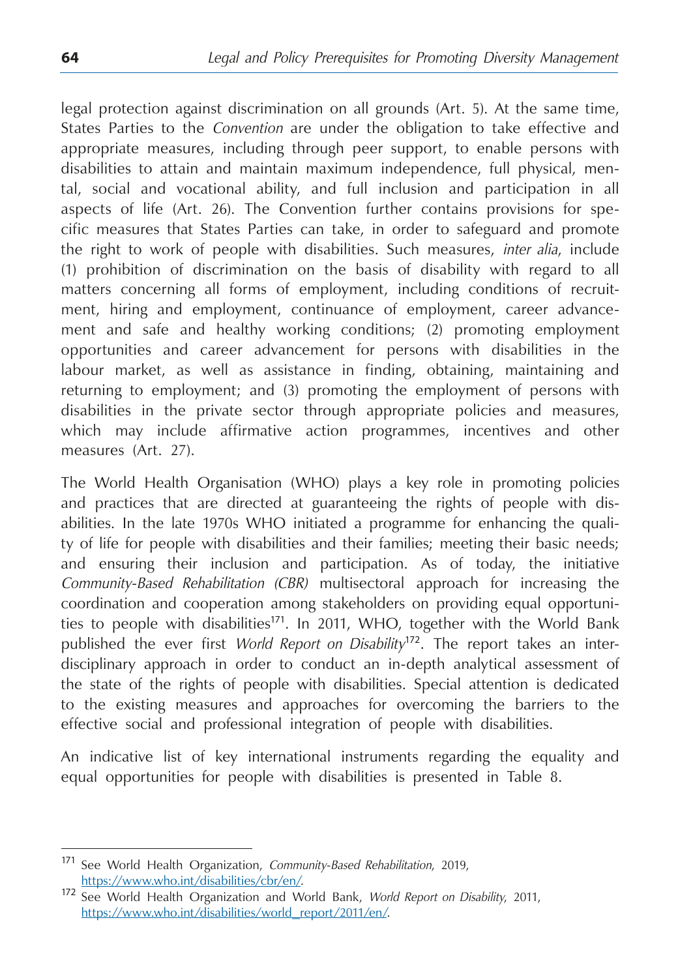legal protection against discrimination on all grounds (Art. 5). At the same time, States Parties to the *Convention* are under the obligation to take effective and appropriate measures, including through peer support, to enable persons with disabilities to attain and maintain maximum independence, full physical, mental, social and vocational ability, and full inclusion and participation in all aspects of life (Art. 26). The Convention further contains provisions for specific measures that States Parties can take, in order to safeguard and promote the right to work of people with disabilities. Such measures, *inter alia*, include (1) prohibition of discrimination on the basis of disability with regard to all matters concerning all forms of employment, including conditions of recruitment, hiring and employment, continuance of employment, career advancement and safe and healthy working conditions; (2) promoting employment opportunities and career advancement for persons with disabilities in the labour market, as well as assistance in finding, obtaining, maintaining and returning to employment; and (3) promoting the employment of persons with disabilities in the private sector through appropriate policies and measures, which may include affirmative action programmes, incentives and other measures (Art. 27).

The World Health Organisation (WHO) plays a key role in promoting policies and practices that are directed at guaranteeing the rights of people with disabilities. In the late 1970s WHO initiated a programme for enhancing the quality of life for people with disabilities and their families; meeting their basic needs; and ensuring their inclusion and participation. As of today, the initiative *Community-Based Rehabilitation (CBR)* multisectoral approach for increasing the coordination and cooperation among stakeholders on providing equal opportunities to people with disabilities<sup>171</sup>. In 2011, WHO, together with the World Bank published the ever first *World Report on Disability*<sup>172</sup>. The report takes an interdisciplinary approach in order to conduct an in-depth analytical assessment of the state of the rights of people with disabilities. Special attention is dedicated to the existing measures and approaches for overcoming the barriers to the effective social and professional integration of people with disabilities.

An indicative list of key international instruments regarding the equality and equal opportunities for people with disabilities is presented in Table 8.

<sup>171</sup> See World Health Organization, *Community-Based Rehabilitation*, 2019,

<https://www.who.int/disabilities/cbr/en/>. <sup>172</sup> See World Health Organization and World Bank, *World Report on Disability*, 2011, [https://www.who.int/disabilities/world\\_report/2011/en/](https://www.who.int/disabilities/world_report/2011/en/).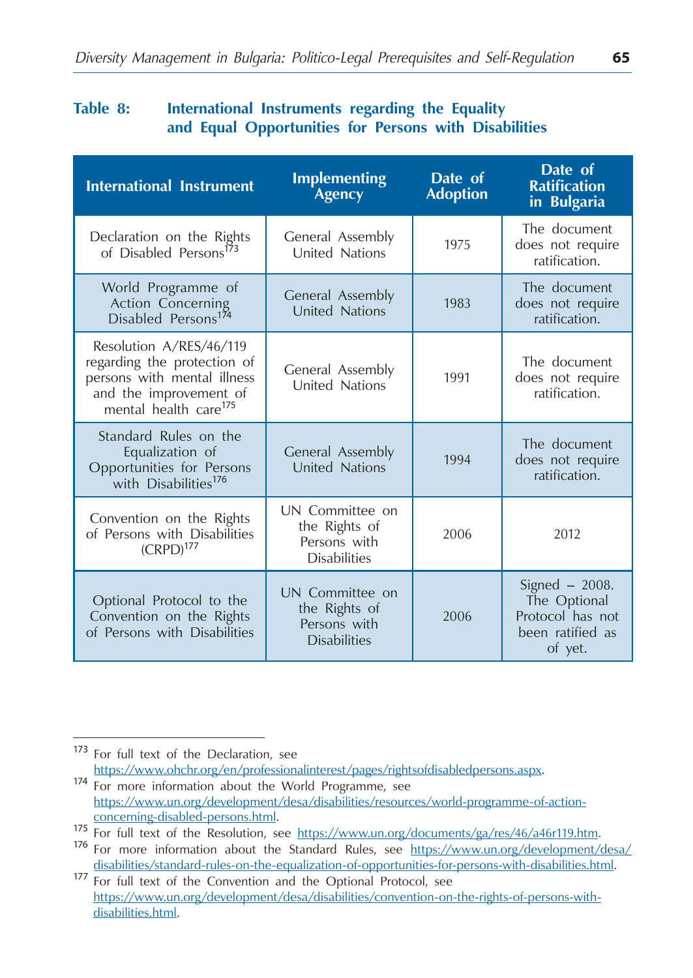### **Table 8: International Instruments regarding the Equality and Equal Opportunities for Persons with Disabilities**

| <b>International Instrument</b>                                                                                                                      | <b>Implementing</b><br>Agency                                           | Date of<br><b>Adoption</b> | Date of<br><b>Ratification</b><br>in Bulgaria                                       |
|------------------------------------------------------------------------------------------------------------------------------------------------------|-------------------------------------------------------------------------|----------------------------|-------------------------------------------------------------------------------------|
| Declaration on the Rights<br>of Disabled Persons <sup>173</sup>                                                                                      | General Assembly<br>United Nations                                      | 1975                       | The document<br>does not require<br>ratification.                                   |
| World Programme of<br>Action Concerning<br>Disabled Persons <sup>174</sup>                                                                           | General Assembly<br><b>United Nations</b>                               | 1983                       | The document<br>does not require<br>ratification.                                   |
| Resolution A/RES/46/119<br>regarding the protection of<br>persons with mental illness<br>and the improvement of<br>mental health care <sup>175</sup> | General Assembly<br>United Nations                                      | 1991                       | The document<br>does not require<br>ratification.                                   |
| Standard Rules on the<br>Equalization of<br>Opportunities for Persons<br>with Disabilities <sup>176</sup>                                            | General Assembly<br><b>United Nations</b>                               | 1994                       | The document<br>does not require<br>ratification.                                   |
| Convention on the Rights<br>of Persons with Disabilities<br>$(CRPD)^{177}$                                                                           | UN Committee on<br>the Rights of<br>Persons with<br><b>Disabilities</b> | 2006                       | 2012                                                                                |
| Optional Protocol to the<br>Convention on the Rights<br>of Persons with Disabilities                                                                 | UN Committee on<br>the Rights of<br>Persons with<br><b>Disabilities</b> | 2006                       | Signed $-2008$ .<br>The Optional<br>Protocol has not<br>been ratified as<br>of yet. |

<sup>&</sup>lt;sup>173</sup> For full text of the Declaration, see<br>https://www.ohchr.org/en/professionalinterest/pages/rightsofdisabledpersons.aspx. 174 For more information about the World Programme, see https://www.un.org/development/desa/disabilities/resources/world-programme-of-action-

<sup>175</sup> For full text of the Resolution, see https://www.un.org/documents/ga/res/46/a46r119.htm.<br>176 For more information about the Standard Rules, see https://www.un.org/development/desa/

disabilities/standard-rules-on-the-equalization-of-opportunities-for-persons-with-disabilities.html. <sup>177</sup> For full text of the Convention and the Optional Protocol, see https://www.un.org/development/desa/disabilities/convention-on-the-rights-of-persons-withdisabilities.html.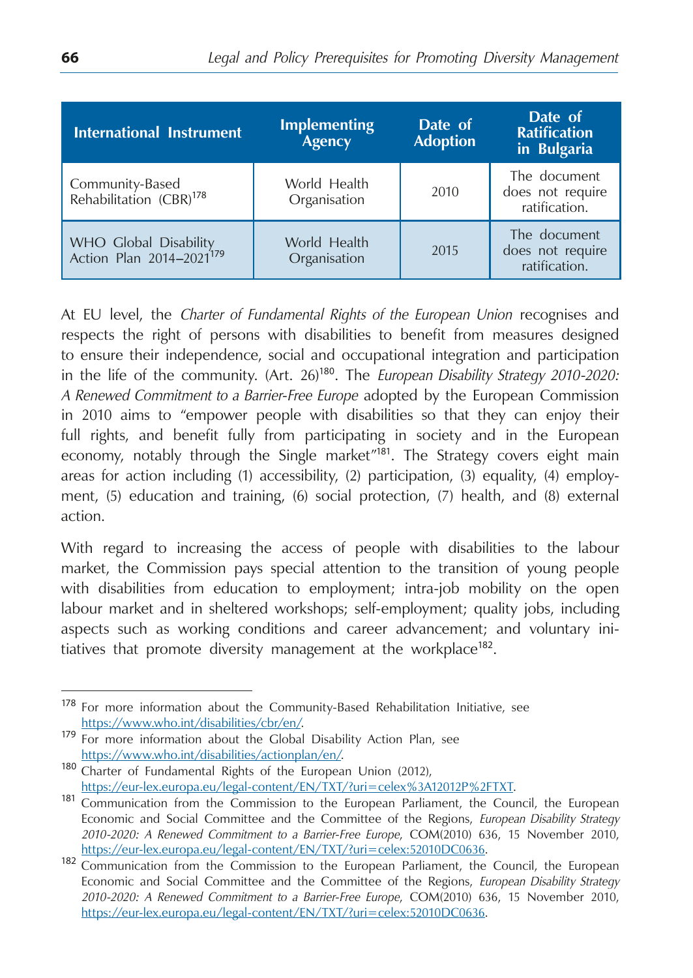| <b>International Instrument</b>                               | <b>Implementing</b><br>Agency | Date of<br><b>Adoption</b> | Date of<br><b>Ratification</b><br>in Bulgaria     |
|---------------------------------------------------------------|-------------------------------|----------------------------|---------------------------------------------------|
| Community-Based<br>Rehabilitation (CBR) <sup>178</sup>        | World Health<br>Organisation  | 2010                       | The document<br>does not require<br>ratification. |
| WHO Global Disability<br>Action Plan 2014-2021 <sup>179</sup> | World Health<br>Organisation  | 2015                       | The document<br>does not require<br>ratification. |

At EU level, the *Charter of Fundamental Rights of the European Union* recognises and respects the right of persons with disabilities to benefit from measures designed to ensure their independence, social and occupational integration and participation in the life of the community. (Art. 26)<sup>180</sup>. The *European Disability Strategy 2010-2020*: *A Renewed Commitment to a Barrier-Free Europe* adopted by the European Commission in 2010 aims to "empower people with disabilities so that they can enjoy their full rights, and benefit fully from participating in society and in the European economy, notably through the Single market"<sup>181</sup>. The Strategy covers eight main areas for action including (1) accessibility, (2) participation, (3) equality, (4) employment, (5) education and training, (6) social protection, (7) health, and (8) external action.

With regard to increasing the access of people with disabilities to the labour market, the Commission pays special attention to the transition of young people with disabilities from education to employment; intra-job mobility on the open labour market and in sheltered workshops; self-employment; quality jobs, including aspects such as working conditions and career advancement; and voluntary initiatives that promote diversity management at the workplace<sup>182</sup>.

<sup>&</sup>lt;sup>178</sup> For more information about the Community-Based Rehabilitation Initiative, see https://www.who.int/disabilities/cbr/en/.

<sup>179</sup> For more information about the Global Disability Action Plan, see

https://www.who.int/disabilities/actionplan/en/.<br>
<sup>180</sup> Charter of Fundamental Rights of the European Union (2012),<br>
https://eur-lex.europa.eu/legal-content/EN/TXT/?uri=celex%3A12012P%2FTXT.

 $\frac{181}{\text{Communication}}$  from the Commission to the European Parliament, the Council, the European Economic and Social Committee and the Committee of the Regions, *European Disability Strategy 2010-2020: A Renewed Commitment to a Barrier-Free Europe*, COM(2010) 636, 15 November 2010,

<https://eur-lex.europa.eu/legal-content/EN/TXT/?uri=celex:52010DC0636>.<br><sup>182</sup> Communication from the Commission to the European Parliament, the Council, the European Economic and Social Committee and the Committee of the Regions, *European Disability Strategy 2010-2020: A Renewed Commitment to a Barrier-Free Europe*, COM(2010) 636, 15 November 2010, <https://eur-lex.europa.eu/legal-content/EN/TXT/?uri=celex:52010DC0636>.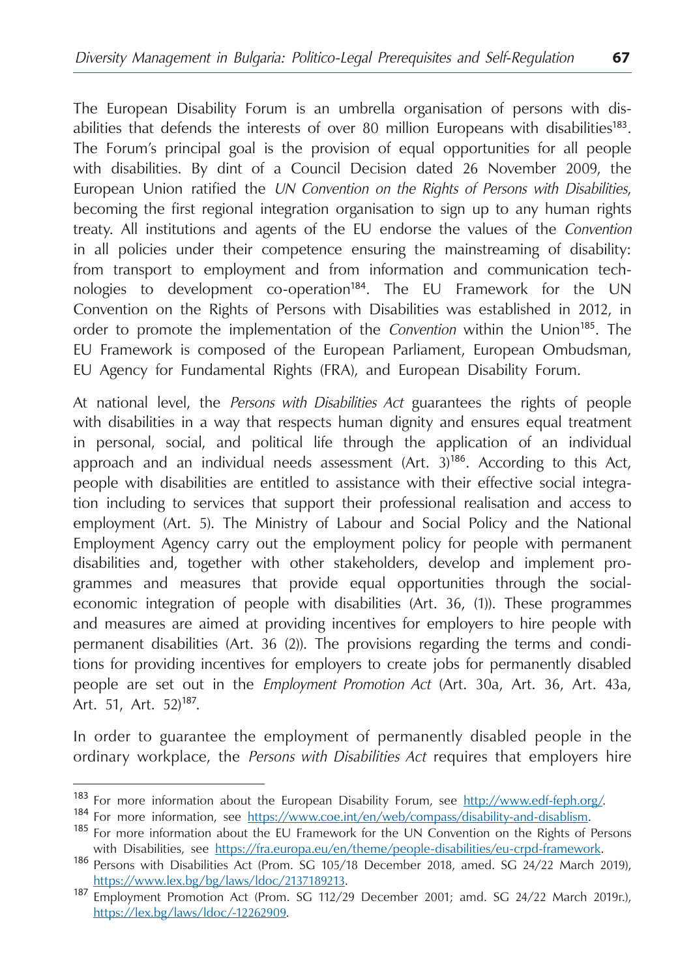The European Disability Forum is an umbrella organisation of persons with disabilities that defends the interests of over 80 million Europeans with disabilities<sup>183</sup>. The Forum's principal goal is the provision of equal opportunities for all people with disabilities. By dint of a Council Decision dated 26 November 2009, the European Union ratified the *UN Convention on the Rights of Persons with Disabilities*, becoming the first regional integration organisation to sign up to any human rights treaty. All institutions and agents of the EU endorse the values of the *Convention* in all policies under their competence ensuring the mainstreaming of disability: from transport to employment and from information and communication technologies to development co-operation<sup>184</sup>. The EU Framework for the UN Convention on the Rights of Persons with Disabilities was established in 2012, in order to promote the implementation of the *Convention* within the Union<sup>185</sup>. The EU Framework is composed of the European Parliament, European Ombudsman, EU Agency for Fundamental Rights (FRA), and European Disability Forum.

At national level, the *Persons with Disabilities Act* guarantees the rights of people with disabilities in a way that respects human dignity and ensures equal treatment in personal, social, and political life through the application of an individual approach and an individual needs assessment (Art. 3)<sup>186</sup>. According to this Act, people with disabilities are entitled to assistance with their effective social integration including to services that support their professional realisation and access to employment (Art. 5). The Ministry of Labour and Social Policy and the National Employment Agency carry out the employment policy for people with permanent disabilities and, together with other stakeholders, develop and implement programmes and measures that provide equal opportunities through the socialeconomic integration of people with disabilities (Art. 36, (1)). These programmes and measures are aimed at providing incentives for employers to hire people with permanent disabilities (Art. 36 (2)). The provisions regarding the terms and conditions for providing incentives for employers to create jobs for permanently disabled people are set out in the *Employment Promotion Act* (Art. 30а, Art. 36, Art. 43а, Art. 51, Art. 52)<sup>187</sup>.

In order to guarantee the employment of permanently disabled people in the ordinary workplace, the *Persons with Disabilities Act* requires that employers hire

<sup>&</sup>lt;sup>183</sup> For more information about the European Disability Forum, see<http://www.edf-feph.org/>.<br><sup>184</sup> For more information, see https://www.coe.int/en/web/compass/disability-and-disablism.<br><sup>185</sup> For more information about th

with Disabilities, see https://fra.europa.eu/en/theme/people-disabilities/eu-crpd-framework.<br><sup>186</sup> Persons with Disabilities Act (Prom. SG 105/18 December 2018, amed. SG 24/22 March 2019),

https://www.lex.bg/bg/laws/ldoc/2137189213. <sup>187</sup> Employment Promotion Act (Prom. SG 112/29 December 2001; amd. SG 24/22 March 2019г.), [https://lex.bg/laws/ldoc/-12262909.](https://lex.bg/laws/ldoc/-12262909)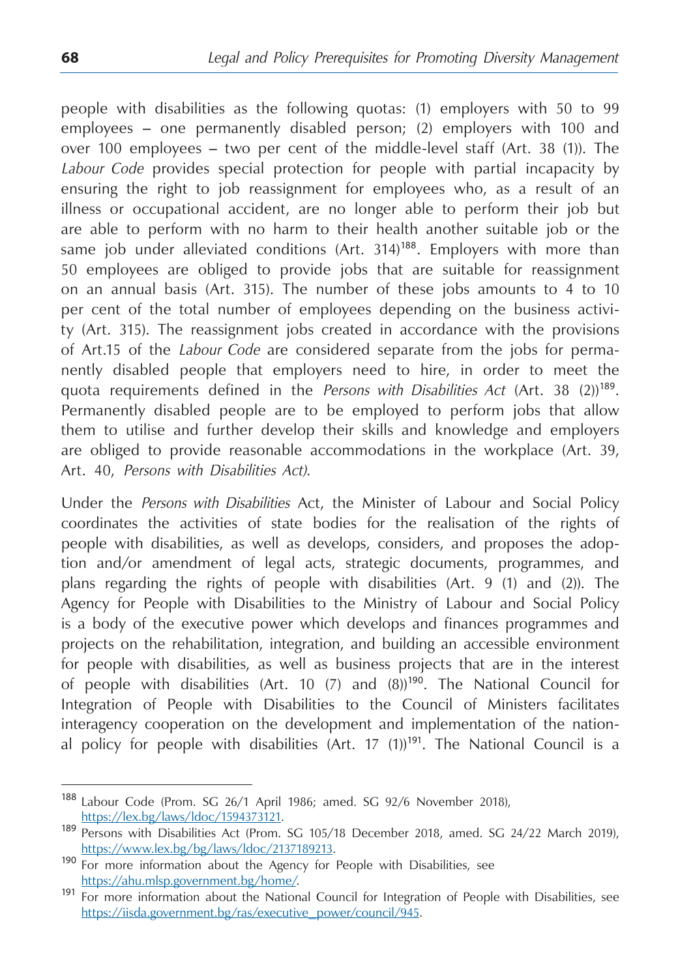people with disabilities as the following quotas: (1) employers with 50 to 99 employees – one permanently disabled person; (2) employers with 100 and over 100 employees – two per cent of the middle-level staff (Art. 38 (1)). The *Labour Code* provides special protection for people with partial incapacity by ensuring the right to job reassignment for employees who, as a result of an illness or occupational accident, are no longer able to perform their job but are able to perform with no harm to their health another suitable job or the same job under alleviated conditions (Art. 314)<sup>188</sup>. Employers with more than 50 employees are obliged to provide jobs that are suitable for reassignment on an annual basis (Art. 315). The number of these jobs amounts to 4 to 10 per cent of the total number of employees depending on the business activity (Art. 315). The reassignment jobs created in accordance with the provisions of Art.15 of the *Labour Code* are considered separate from the jobs for permanently disabled people that employers need to hire, in order to meet the quota requirements defined in the *Persons with Disabilities Act* (Art. 38 (2))<sup>189</sup>. Permanently disabled people are to be employed to perform jobs that allow them to utilise and further develop their skills and knowledge and employers are obliged to provide reasonable accommodations in the workplace (Art. 39, Art. 40, *Persons with Disabilities Act)*.

Under the *Persons with Disabilities* Act, the Minister of Labour and Social Policy coordinates the activities of state bodies for the realisation of the rights of people with disabilities, as well as develops, considers, and proposes the adoption and/or amendment of legal acts, strategic documents, programmes, and plans regarding the rights of people with disabilities (Art. 9 (1) and (2)). The Agency for People with Disabilities to the Ministry of Labour and Social Policy is a body of the executive power which develops and finances programmes and projects on the rehabilitation, integration, and building an accessible environment for people with disabilities, as well as business projects that are in the interest of people with disabilities (Art. 10  $(7)$  and  $(8)$ )<sup>190</sup>. The National Council for Integration of People with Disabilities to the Council of Ministers facilitates interagency cooperation on the development and implementation of the national policy for people with disabilities (Art. 17  $(1)$ )<sup>191</sup>. The National Council is a

<sup>&</sup>lt;sup>188</sup> Labour Code (Prom. SG 26/1 April 1986; amed. SG 92/6 November 2018), https://lex.bg/laws/ldoc/1594373121.

<sup>189</sup> Persons with Disabilities Act (Prom. SG 105/18 December 2018, amed. SG 24/22 March 2019),

<https://www.lex.bg/bg/laws/ldoc/2137189213>.<br>
190 For more information about the Agency for People with Disabilities, see<br>
https://ahu.mlsp.government.bg/home/.

<sup>191</sup> For more information about the National Council for Integration of People with Disabilities, see [https://iisda.government.bg/ras/executive\\_power/council/945.](https://iisda.government.bg/ras/executive_power/council/945)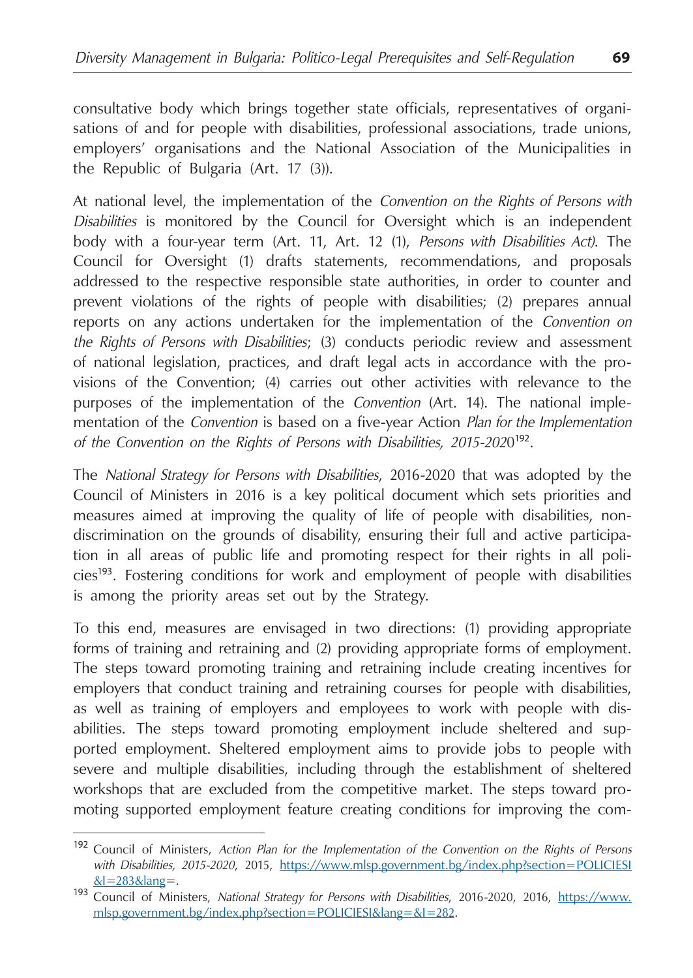consultative body which brings together state officials, representatives of organisations of and for people with disabilities, professional associations, trade unions, employers' organisations and the National Association of the Municipalities in the Republic of Bulgaria (Art. 17 (3)).

At national level, the implementation of the *Convention on the Rights of Persons with Disabilities* is monitored by the Council for Oversight which is an independent body with a four-year term (Art. 11, Art. 12 (1), *Persons with Disabilities Act)*. The Council for Oversight (1) drafts statements, recommendations, and proposals addressed to the respective responsible state authorities, in order to counter and prevent violations of the rights of people with disabilities; (2) prepares annual reports on any actions undertaken for the implementation of the *Convention on the Rights of Persons with Disabilities*; (3) conducts periodic review and assessment of national legislation, practices, and draft legal acts in accordance with the provisions of the Convention; (4) carries out other activities with relevance to the purposes of the implementation of the *Convention* (Art. 14). The national implementation of the *Convention* is based on a five-year Action *Plan for the Implementation of the Convention on the Rights of Persons with Disabilities, 2015-202*0<sup>192</sup>.

The *National Strategy for Persons with Disabilities*, 2016-2020 that was adopted by the Council of Ministers in 2016 is a key political document which sets priorities and measures aimed at improving the quality of life of people with disabilities, nondiscrimination on the grounds of disability, ensuring their full and active participation in all areas of public life and promoting respect for their rights in all policies<sup>193</sup>. Fostering conditions for work and employment of people with disabilities is among the priority areas set out by the Strategy.

To this end, measures are envisaged in two directions: (1) providing appropriate forms of training and retraining and (2) providing appropriate forms of employment. The steps toward promoting training and retraining include creating incentives for employers that conduct training and retraining courses for people with disabilities, as well as training of employers and employees to work with people with disabilities. The steps toward promoting employment include sheltered and supported employment. Sheltered employment aims to provide jobs to people with severe and multiple disabilities, including through the establishment of sheltered workshops that are excluded from the competitive market. The steps toward promoting supported employment feature creating conditions for improving the com-

<sup>192</sup> Council of Ministers, *Action Plan for the Implementation of the Convention on the Rights of Persons with Disabilities, 2015-2020*, 2015, [https://www.mlsp.government.bg/index.php?section=POLICIESI](https://www.mlsp.government.bg/index.php?section=POLICIESI&I=283&lang)

[<sup>&</sup>amp;I=283&lang](https://www.mlsp.government.bg/index.php?section=POLICIESI&I=283&lang)=. <sup>193</sup> Council of Ministers, *National Strategy for Persons with Disabilities*, 2016-2020, 2016, [https://www.](https://www.mlsp.government.bg/index.php?section=POLICIESI&lang=&I=282) [mlsp.government.bg/index.php?section=POLICIESI&lang=&I=282](https://www.mlsp.government.bg/index.php?section=POLICIESI&lang=&I=282).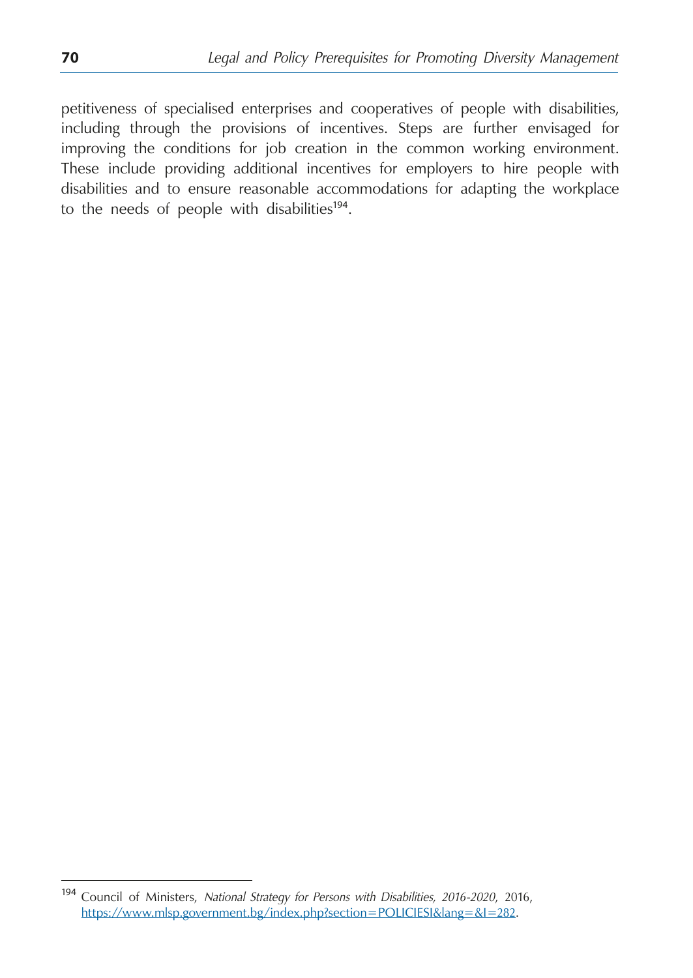petitiveness of specialised enterprises and cooperatives of people with disabilities, including through the provisions of incentives. Steps are further envisaged for improving the conditions for job creation in the common working environment. These include providing additional incentives for employers to hire people with disabilities and to ensure reasonable accommodations for adapting the workplace to the needs of people with disabilities<sup>194</sup>.

<sup>194</sup> Council of Ministers, *National Strategy for Persons with Disabilities, 2016-2020*, 2016, [https://www.mlsp.government.bg/index.php?section=POLICIESI&lang=&I=282.](https://www.mlsp.government.bg/index.php?section=POLICIESI&lang=&I=282)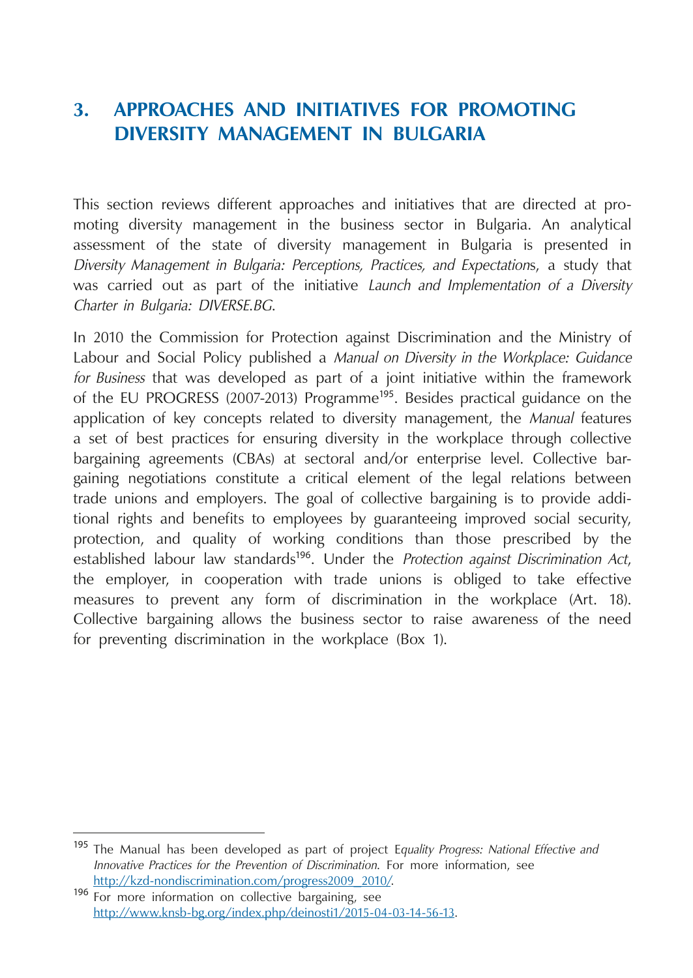# **3. Approaches and Initiatives for Promoting Diversity Management in Bulgaria**

This section reviews different approaches and initiatives that are directed at promoting diversity management in the business sector in Bulgaria. An analytical assessment of the state of diversity management in Bulgaria is presented in *Diversity Management in Bulgaria: Perceptions, Practices, and Expectation*s, a study that was carried out as part of the initiative *Launch and Implementation of a Diversity Charter in Bulgaria: DIVERSE.BG*.

In 2010 the Commission for Protection against Discrimination and the Ministry of Labour and Social Policy published a *Manual on Diversity in the Workplace: Guidance for Business* that was developed as part of a joint initiative within the framework of the EU PROGRESS (2007-2013) Programme<sup>195</sup>. Besides practical guidance on the application of key concepts related to diversity management, the *Manual* features a set of best practices for ensuring diversity in the workplace through collective bargaining agreements (CBAs) at sectoral and/or enterprise level. Collective bargaining negotiations constitute a critical element of the legal relations between trade unions and employers. The goal of collective bargaining is to provide additional rights and benefits to employees by guaranteeing improved social security, protection, and quality of working conditions than those prescribed by the established labour law standards<sup>196</sup>. Under the *Protection against Discrimination Act*, the employer, in cooperation with trade unions is obliged to take effective measures to prevent any form of discrimination in the workplace (Art. 18). Collective bargaining allows the business sector to raise awareness of the need for preventing discrimination in the workplace (Box 1).

<sup>195</sup> The Manual has been developed as part of project E*quality Progress: National Effective and Innovative Practices for the Prevention of Discrimination*. For more information, see

<sup>196</sup> For more information on collective bargaining, see <http://www.knsb-bg.org/index.php/deinosti1/2015-04-03-14-56-13>.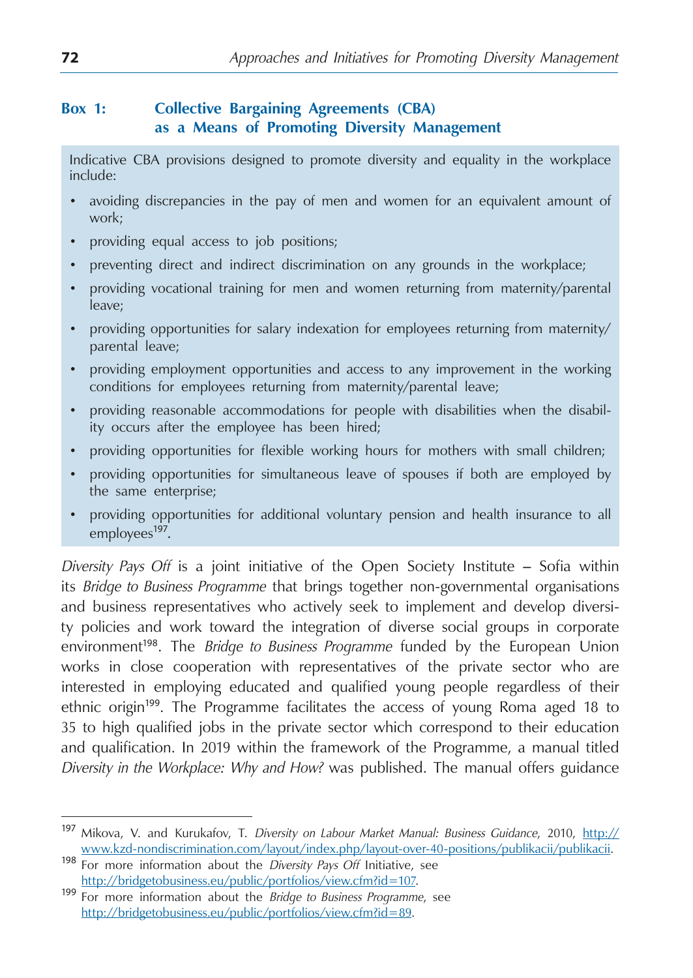## **Box 1: Collective Bargaining Agreements (CBA) as a Means of Promoting Diversity Management**

Indicative CBA provisions designed to promote diversity and equality in the workplace include:

- avoiding discrepancies in the pay of men and women for an equivalent amount of work;
- providing equal access to job positions;
- preventing direct and indirect discrimination on any grounds in the workplace;
- providing vocational training for men and women returning from maternity/parental leave;
- providing opportunities for salary indexation for employees returning from maternity/ parental leave;
- providing employment opportunities and access to any improvement in the working conditions for employees returning from maternity/parental leave;
- providing reasonable accommodations for people with disabilities when the disability occurs after the employee has been hired;
- providing opportunities for flexible working hours for mothers with small children;
- providing opportunities for simultaneous leave of spouses if both are employed by the same enterprise;
- providing opportunities for additional voluntary pension and health insurance to all employees<sup>197</sup>.

*Diversity Pays Off* is a joint initiative of the Open Society Institute – Sofia within its *Bridge to Business Programme* that brings together non-governmental organisations and business representatives who actively seek to implement and develop diversity policies and work toward the integration of diverse social groups in corporate environment<sup>198</sup>. The *Bridge to Business Programme* funded by the European Union works in close cooperation with representatives of the private sector who are interested in employing educated and qualified young people regardless of their ethnic origin<sup>199</sup>. The Programme facilitates the access of young Roma aged 18 to 35 to high qualified jobs in the private sector which correspond to their education and qualification. In 2019 within the framework of the Programme, a manual titled *Diversity in the Workplace: Why and How?* was published. The manual offers guidance

<sup>197</sup> Mikova, V. and Kurukafov, T. *Diversity on Labour Market Manual: Business Guidance*, 2010, http:// www.kzd-nondiscrimination.com/layout/index.php/layout-over-40-positions/publikacii/publikacii. <sup>198</sup> For more information about the *Diversity Pays Off* Initiative, see

[http://bridgetobusiness.eu/public/portfolios/view.cfm?id=107.](http://bridgetobusiness.eu/public/portfolios/view.cfm?id=107) <sup>199</sup> For more information about the *Bridge to Business Programme*, see <http://bridgetobusiness.eu/public/portfolios/view.cfm?id=89>.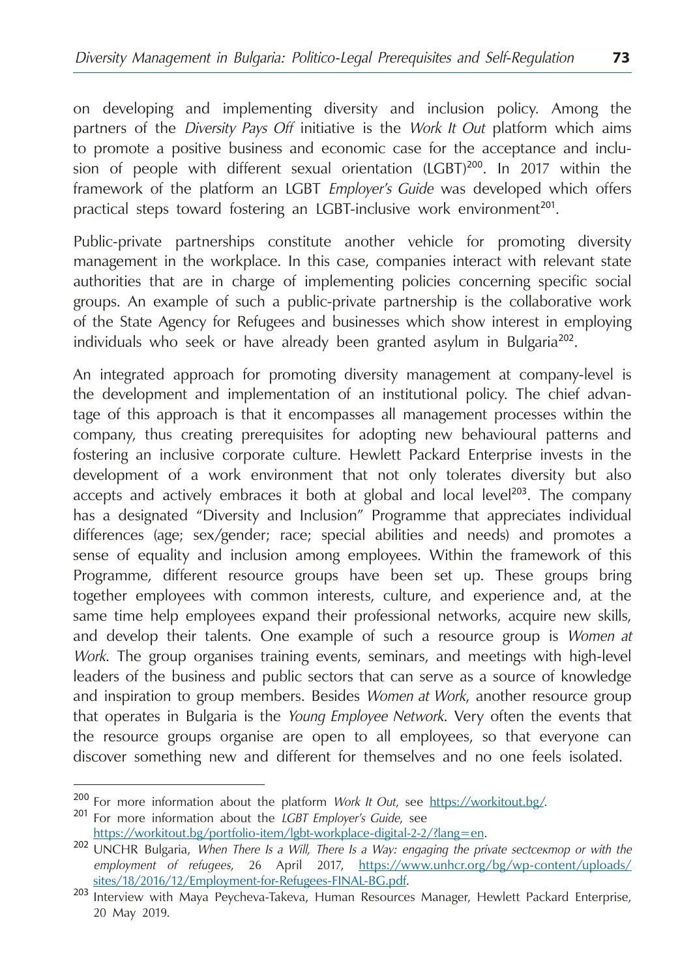on developing and implementing diversity and inclusion policy. Among the partners of the *Diversity Pays Off* initiative is the *Work It Out* platform which aims to promote a positive business and economic case for the acceptance and inclusion of people with different sexual orientation (LGBT)<sup>200</sup>. In 2017 within the framework of the platform an LGBT *Employer's Guide* was developed which offers practical steps toward fostering an LGBT-inclusive work environment<sup>201</sup>.

Public-private partnerships constitute another vehicle for promoting diversity management in the workplace. In this case, companies interact with relevant state authorities that are in charge of implementing policies concerning specific social groups. An example of such a public-private partnership is the collaborative work of the State Agency for Refugees and businesses which show interest in employing individuals who seek or have already been granted asylum in Bulgaria<sup>202</sup>.

An integrated approach for promoting diversity management at company-level is the development and implementation of an institutional policy. The chief advantage of this approach is that it encompasses all management processes within the company, thus creating prerequisites for adopting new behavioural patterns and fostering an inclusive corporate culture. Hewlett Packard Enterprise invests in the development of a work environment that not only tolerates diversity but also accepts and actively embraces it both at global and local level<sup>203</sup>. The company has a designated "Diversity and Inclusion" Programme that appreciates individual differences (age; sex/gender; race; special abilities and needs) and promotes a sense of equality and inclusion among employees. Within the framework of this Programme, different resource groups have been set up. These groups bring together employees with common interests, culture, and experience and, at the same time help employees expand their professional networks, acquire new skills, and develop their talents. One example of such a resource group is *Women at Work*. The group organises training events, seminars, and meetings with high-level leaders of the business and public sectors that can serve as a source of knowledge and inspiration to group members. Besides *Women at Work*, another resource group that operates in Bulgaria is the *Young Employee Network*. Very often the events that the resource groups organise are open to all employees, so that everyone can discover something new and different for themselves and no one feels isolated.

<sup>200</sup> For more information about the platform *Work It Out*, see <https://workitout.bg/>. <sup>201</sup> For more information about the *LGBT Employer's Guide*, see

https://workitout.bg/portfolio-item/lgbt-workplace-digital-2-2/?lang=en. <sup>202</sup> UNCHR Bulgaria, *When There Is a Will, There Is a Way: engaging the private sectсектор or with the employment of refugees*, 26 April 2017, https://www.unhcr.org/bg/wp-content/uploads/

<sup>203</sup> Interview with Maya Peycheva-Takeva, Human Resources Manager, Hewlett Packard Enterprise, 20 May 2019.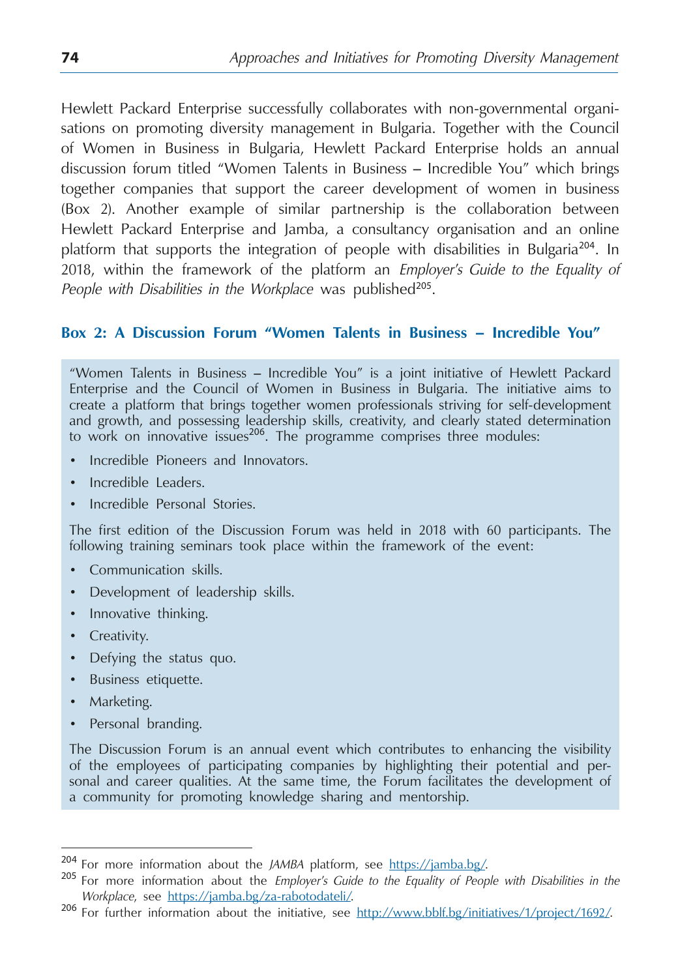Hewlett Packard Enterprise successfully collaborates with non-governmental organisations on promoting diversity management in Bulgaria. Together with the Council of Women in Business in Bulgaria, Hewlett Packard Enterprise holds an annual discussion forum titled "Women Talents in Business – Incredible You" which brings together companies that support the career development of women in business (Box 2). Another example of similar partnership is the collaboration between Hewlett Packard Enterprise and Jamba, a consultancy organisation and an online platform that supports the integration of people with disabilities in Bulgaria<sup>204</sup>. In 2018, within the framework of the platform an *Employer's Guide to the Equality of*  People with Disabilities in the Workplace was published<sup>205</sup>.

### **Box 2: A Discussion Forum "Women Talents in Business – Incredible You"**

"Women Talents in Business – Incredible You" is a joint initiative of Hewlett Packard Enterprise and the Council of Women in Business in Bulgaria. The initiative aims to create a platform that brings together women professionals striving for self-development and growth, and possessing leadership skills, creativity, and clearly stated determination to work on innovative issues<sup>206</sup>. The programme comprises three modules:

- Incredible Pioneers and Innovators.
- Incredible Leaders.
- Incredible Personal Stories.

The first edition of the Discussion Forum was held in 2018 with 60 participants. The following training seminars took place within the framework of the event:

- Communication skills.
- Development of leadership skills.
- Innovative thinking.
- Creativity.
- Defying the status quo.
- Business etiquette.
- Marketing.
- Personal branding.

The Discussion Forum is an annual event which contributes to enhancing the visibility of the employees of participating companies by highlighting their potential and personal and career qualities. At the same time, the Forum facilitates the development of a community for promoting knowledge sharing and mentorship.

<sup>&</sup>lt;sup>204</sup> For more information about the *JAMBA* platform, see <https://jamba.bg/>.<br><sup>205</sup> For more information about the *Employer's Guide to the Equality of People with Disabilities in the* 

*Workplace*, see [https://jamba.bg/za-rabotodateli/.](https://jamba.bg/za-rabotodateli/)<br><sup>206</sup> For further information about the initiative, see http://www.bblf.bg/initiatives/1/project/1692/.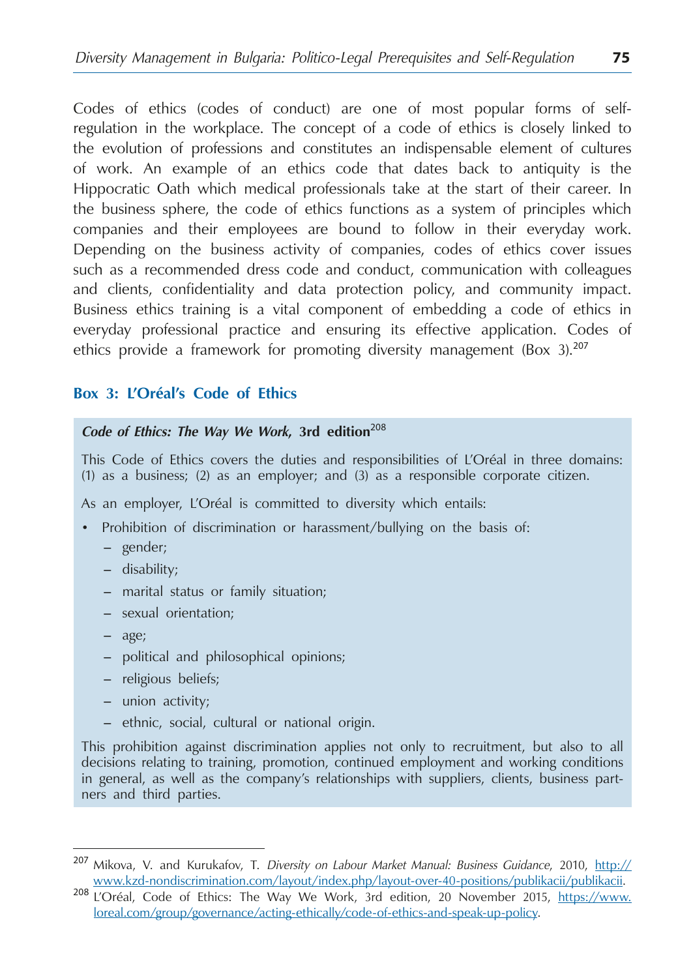Codes of ethics (codes of conduct) are one of most popular forms of selfregulation in the workplace. The concept of a code of ethics is closely linked to the evolution of professions and constitutes an indispensable element of cultures of work. An example of an ethics code that dates back to antiquity is the Hippocratic Oath which medical professionals take at the start of their career. In the business sphere, the code of ethics functions as a system of principles which companies and their employees are bound to follow in their everyday work. Depending on the business activity of companies, codes of ethics cover issues such as a recommended dress code and conduct, communication with colleagues and clients, confidentiality and data protection policy, and community impact. Business ethics training is a vital component of embedding a code of ethics in everyday professional practice and ensuring its effective application. Codes of ethics provide a framework for promoting diversity management (Box 3).<sup>207</sup>

## **Box 3: L'Oréal's Code of Ethics**

#### *Code of Ethics: The Way We Work***, 3rd edition**<sup>208</sup>

This Code of Ethics covers the duties and responsibilities of L'Oréal in three domains: (1) as a business; (2) as an employer; and (3) as a responsible corporate citizen.

As an employer, L'Oréal is committed to diversity which entails:

- Prohibition of discrimination or harassment/bullying on the basis of:
	- gender;
	- disability;
	- marital status or family situation;
	- sexual orientation;
	- age;
	- political and philosophical opinions;
	- religious beliefs;
	- union activity;
	- ethnic, social, cultural or national origin.

This prohibition against discrimination applies not only to recruitment, but also to all decisions relating to training, promotion, continued employment and working conditions in general, as well as the company's relationships with suppliers, clients, business partners and third parties.

<sup>207</sup> Mikova, V. and Kurukafov, T. *Diversity on Labour Market Manual: Business Guidance*, 2010, [http://](http://www.kzd-nondiscrimination.com/layout/index.php/layout-over-40-positions/publikacii/publikacii)

[www.kzd-nondiscrimination.com/layout/index.php/layout-over-40-positions/publikacii/publikacii](http://www.kzd-nondiscrimination.com/layout/index.php/layout-over-40-positions/publikacii/publikacii). <sup>208</sup> L'Oréal, Code of Ethics: The Way We Work, 3rd edition, 20 November 2015, https://www. loreal.com/group/governance/acting-ethically/code-of-ethics-and-speak-up-policy.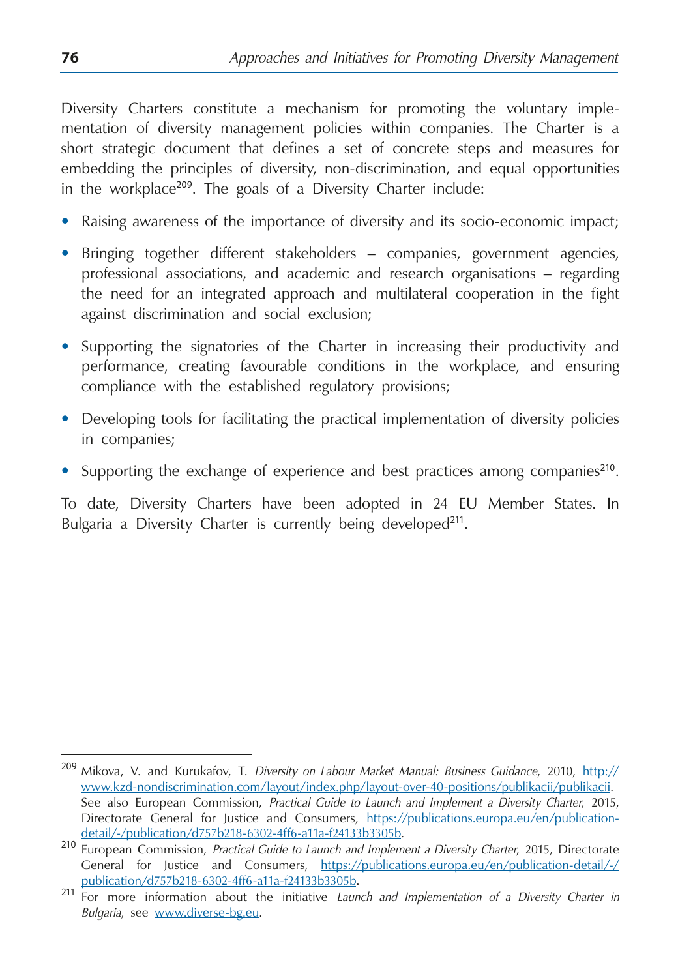Diversity Charters constitute a mechanism for promoting the voluntary implementation of diversity management policies within companies. The Charter is a short strategic document that defines a set of concrete steps and measures for embedding the principles of diversity, non-discrimination, and equal opportunities in the workplace<sup>209</sup>. The goals of a Diversity Charter include:

- Raising awareness of the importance of diversity and its socio-economic impact;
- Bringing together different stakeholders companies, government agencies, professional associations, and academic and research organisations – regarding the need for an integrated approach and multilateral cooperation in the fight against discrimination and social exclusion;
- Supporting the signatories of the Charter in increasing their productivity and performance, creating favourable conditions in the workplace, and ensuring compliance with the established regulatory provisions;
- Developing tools for facilitating the practical implementation of diversity policies in companies;
- Supporting the exchange of experience and best practices among companies<sup>210</sup>.

To date, Diversity Charters have been adopted in 24 EU Member States. In Bulgaria a Diversity Charter is currently being developed<sup>211</sup>.

<sup>209</sup> Mikova, V. and Kurukafov, T. *Diversity on Labour Market Manual: Business Guidance*, 2010, [http://](http://www.kzd-nondiscrimination.com/layout/index.php/layout-over-40-positions/publikacii/publikacii) [www.kzd-nondiscrimination.com/layout/index.php/layout-over-40-positions/publikacii/publikacii.](http://www.kzd-nondiscrimination.com/layout/index.php/layout-over-40-positions/publikacii/publikacii) See also European Commission, *Practical Guide to Launch and Implement a Diversity Charter*, 2015, Directorate General for Justice and Consumers, [https://publications.europa.eu/en/publication-](https://publications.europa.eu/en/publication-detail/-/publication/d757b218-6302-4ff6-a11a-f24133b3305b)

[detail/-/publication/d757b218-6302-4ff6-a11a-f24133b3305b.](https://publications.europa.eu/en/publication-detail/-/publication/d757b218-6302-4ff6-a11a-f24133b3305b) <sup>210</sup> European Commission, *Practical Guide to Launch and Implement a Diversity Charter*, 2015, Directorate General for Justice and Consumers, [https://publications.europa.eu/en/publication-detail/-/](https://publications.europa.eu/en/publication-detail/-/publication/d757b218-6302-4ff6-a11a-f24133b3305b)

[publication/d757b218-6302-4ff6-a11a-f24133b3305b.](https://publications.europa.eu/en/publication-detail/-/publication/d757b218-6302-4ff6-a11a-f24133b3305b) <sup>211</sup> For more information about the initiative *Launch and Implementation of a Diversity Charter in Bulgaria*, see [www.diverse-bg.eu](http://www.diverse-bg.eu).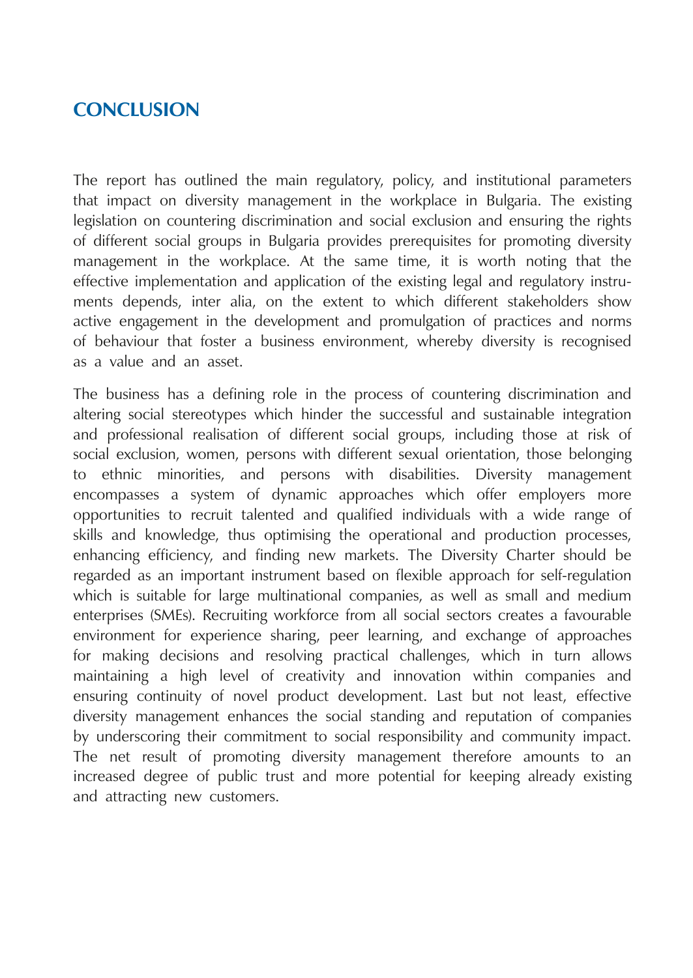# **Conclusion**

The report has outlined the main regulatory, policy, and institutional parameters that impact on diversity management in the workplace in Bulgaria. The existing legislation on countering discrimination and social exclusion and ensuring the rights of different social groups in Bulgaria provides prerequisites for promoting diversity management in the workplace. At the same time, it is worth noting that the effective implementation and application of the existing legal and regulatory instruments depends, inter alia, on the extent to which different stakeholders show active engagement in the development and promulgation of practices and norms of behaviour that foster a business environment, whereby diversity is recognised as a value and an asset.

The business has a defining role in the process of countering discrimination and altering social stereotypes which hinder the successful and sustainable integration and professional realisation of different social groups, including those at risk of social exclusion, women, persons with different sexual orientation, those belonging to ethnic minorities, and persons with disabilities. Diversity management encompasses a system of dynamic approaches which offer employers more opportunities to recruit talented and qualified individuals with a wide range of skills and knowledge, thus optimising the operational and production processes, enhancing efficiency, and finding new markets. The Diversity Charter should be regarded as an important instrument based on flexible approach for self-regulation which is suitable for large multinational companies, as well as small and medium enterprises (SMEs). Recruiting workforce from all social sectors creates a favourable environment for experience sharing, peer learning, and exchange of approaches for making decisions and resolving practical challenges, which in turn allows maintaining a high level of creativity and innovation within companies and ensuring continuity of novel product development. Last but not least, effective diversity management enhances the social standing and reputation of companies by underscoring their commitment to social responsibility and community impact. The net result of promoting diversity management therefore amounts to an increased degree of public trust and more potential for keeping already existing and attracting new customers.